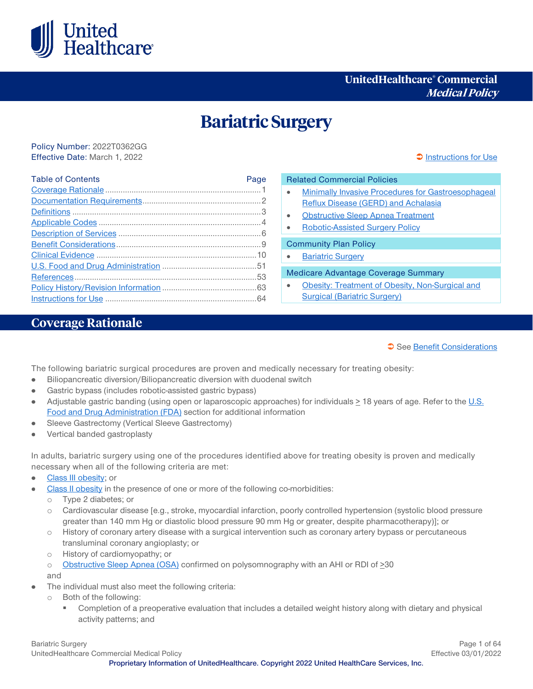

# **UnitedHealthcare® Commercial Medical Policy**

# **Bariatric Surgery**

Policy Number: 2022T0362GG Effective Date: March 1, 2022 **[Instructions for Use](#page-63-0) Instructions for Use Instructions for Use** 

| <b>Table of Contents</b> | Page |
|--------------------------|------|
|                          |      |
|                          |      |
|                          |      |
|                          |      |
|                          |      |
|                          |      |
|                          |      |
|                          |      |
|                          |      |
|                          |      |
|                          |      |

# Related Commercial Policies • [Minimally Invasive Procedures for Gastroesophageal](https://www.uhcprovider.com/content/dam/provider/docs/public/policies/comm-medical-drug/minimally-invasive-procedures-gerd-achalasia.pdf)  [Reflux Disease \(GERD\) and Achalasia](https://www.uhcprovider.com/content/dam/provider/docs/public/policies/comm-medical-drug/minimally-invasive-procedures-gerd-achalasia.pdf) • [Obstructive Sleep Apnea Treatment](https://www.uhcprovider.com/content/dam/provider/docs/public/policies/comm-medical-drug/obstructive-sleep-apnea-treatment.pdf) • [Robotic-Assisted Surgery Policy](https://www.uhcprovider.com/content/provider/en/viewer.html?file=%2Fcontent%2Fdam%2Fprovider%2Fdocs%2Fpublic%2Fpolicies%2Fcomm-reimbursement%2FCOMM-Robotic-Assisted-Surgery-Policy.pdf) Community Plan Policy **[Bariatric Surgery](https://www.uhcprovider.com/content/dam/provider/docs/public/policies/medicaid-comm-plan/bariatric-surgery-cs.pdf)** Medicare Advantage Coverage Summary

• [Obesity: Treatment of Obesity, Non-Surgical and](https://www.uhcprovider.com/content/dam/provider/docs/public/policies/medadv-coverage-sum/obesity-treatment-obesity-nonsurgical-surgical-bariatric-surgery.pdf)  [Surgical \(Bariatric Surgery\)](https://www.uhcprovider.com/content/dam/provider/docs/public/policies/medadv-coverage-sum/obesity-treatment-obesity-nonsurgical-surgical-bariatric-surgery.pdf)

# <span id="page-0-0"></span>**Coverage Rationale**

#### See [Benefit Considerations](#page-8-0)

<span id="page-0-1"></span>The following bariatric surgical procedures are proven and medically necessary for treating obesity:

- Biliopancreatic diversion/Biliopancreatic diversion with duodenal switch  $\bullet$
- Gastric bypass (includes robotic-assisted gastric bypass)
- Adjustable gastric banding (using open or laparoscopic approaches) for individuals  $\geq$  18 years of age. Refer to the U.S. [Food and Drug Administration \(FDA\)](#page-50-0) section for additional information
- Sleeve Gastrectomy (Vertical Sleeve Gastrectomy)
- Vertical banded gastroplasty  $\bullet$

In adults, bariatric surgery using one of the procedures identified above for treating obesity is proven and medically necessary when all of the following criteria are met:

- [Class III obesity;](#page-2-1) or
- [Class II obesity](#page-2-2) in the presence of one or more of the following co-morbidities:
	- o Type 2 diabetes; or
	- o Cardiovascular disease [e.g., stroke, myocardial infarction, poorly controlled hypertension (systolic blood pressure greater than 140 mm Hg or diastolic blood pressure 90 mm Hg or greater, despite pharmacotherapy)]; or
	- o History of coronary artery disease with a surgical intervention such as coronary artery bypass or percutaneous transluminal coronary angioplasty; or
	- o History of cardiomyopathy; or

o [Obstructive Sleep Apnea \(OSA\)](#page-3-1) confirmed on polysomnography with an AHI or RDI of >30 and

- The individual must also meet the following criteria:
	- o Both of the following:
		- Completion of a preoperative evaluation that includes a detailed weight history along with dietary and physical activity patterns; and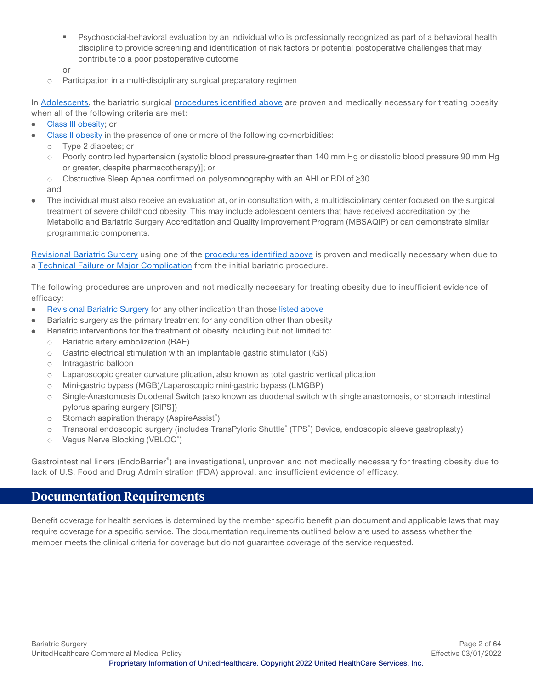- Psychosocial-behavioral evaluation by an individual who is professionally recognized as part of a behavioral health discipline to provide screening and identification of risk factors or potential postoperative challenges that may contribute to a poor postoperative outcome
- or
- o Participation in a multi-disciplinary surgical preparatory regimen

In [Adolescents,](#page-2-3) the bariatric surgical [procedures identified above](#page-0-1) are proven and medically necessary for treating obesity when all of the following criteria are met:

- [Class III obesity;](#page-2-2) or  $\bullet$
- [Class II obesity](#page-2-4) in the presence of one or more of the following co-morbidities:
	- o Type 2 diabetes; or
	- o Poorly controlled hypertension (systolic blood pressure greater than 140 mm Hg or diastolic blood pressure 90 mm Hg or greater, despite pharmacotherapy)]; or
	- o Obstructive Sleep Apnea confirmed on polysomnography with an AHI or RDI of >30

and

The individual must also receive an evaluation at, or in consultation with, a multidisciplinary center focused on the surgical treatment of severe childhood obesity. This may include adolescent centers that have received accreditation by the Metabolic and Bariatric Surgery Accreditation and Quality Improvement Program (MBSAQIP) or can demonstrate similar programmatic components.

[Revisional Bariatric Surgery](#page-3-2) using one of the [procedures identified above](#page-0-1) is proven and medically necessary when due to a [Technical Failure or Major Complication](#page-3-3) from the initial bariatric procedure.

The following procedures are unproven and not medically necessary for treating obesity due to insufficient evidence of efficacy:

- [Revisional Bariatric Surgery](#page-3-2) for any other indication than thos[e listed above](#page-0-1)  $\bullet$
- Bariatric surgery as the primary treatment for any condition other than obesity
	- Bariatric interventions for the treatment of obesity including but not limited to:
	- o Bariatric artery embolization (BAE)
	- $\circ$  Gastric electrical stimulation with an implantable gastric stimulator (IGS)
	- o Intragastric balloon
	- o Laparoscopic greater curvature plication, also known as total gastric vertical plication
	- o Mini-gastric bypass (MGB)/Laparoscopic mini-gastric bypass (LMGBP)
	- o Single-Anastomosis Duodenal Switch (also known as duodenal switch with single anastomosis, or stomach intestinal pylorus sparing surgery [SIPS])
	- o Stomach aspiration therapy (AspireAssist<sup>®</sup>)
	- o Transoral endoscopic surgery (includes TransPyloric Shuttle® (TPS®) Device, endoscopic sleeve gastroplasty)
	- o Vagus Nerve Blocking (VBLOC®)

Gastrointestinal liners (EndoBarrier®) are investigational, unproven and not medically necessary for treating obesity due to lack of U.S. Food and Drug Administration (FDA) approval, and insufficient evidence of efficacy.

# <span id="page-1-0"></span>**Documentation Requirements**

Benefit coverage for health services is determined by the member specific benefit plan document and applicable laws that may require coverage for a specific service. The documentation requirements outlined below are used to assess whether the member meets the clinical criteria for coverage but do not guarantee coverage of the service requested.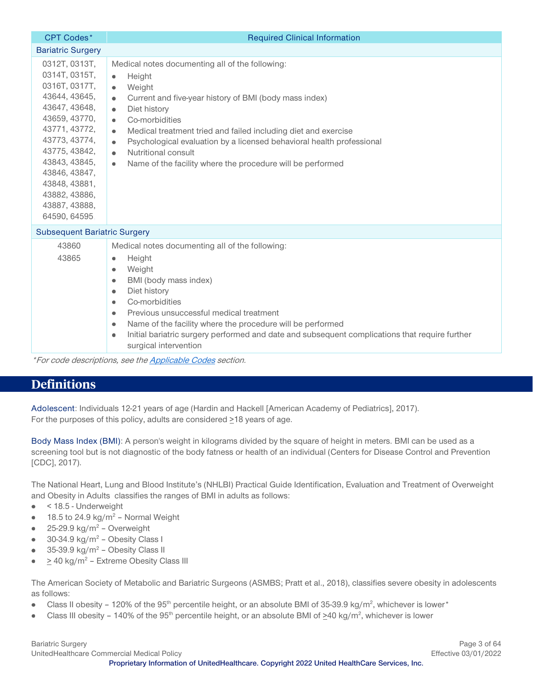| <b>CPT Codes*</b>                                                                                                                                                                                                                                          | <b>Required Clinical Information</b>                                                                                                                                                                                                                                                                                                                                                                                                                                                                                 |
|------------------------------------------------------------------------------------------------------------------------------------------------------------------------------------------------------------------------------------------------------------|----------------------------------------------------------------------------------------------------------------------------------------------------------------------------------------------------------------------------------------------------------------------------------------------------------------------------------------------------------------------------------------------------------------------------------------------------------------------------------------------------------------------|
| <b>Bariatric Surgery</b>                                                                                                                                                                                                                                   |                                                                                                                                                                                                                                                                                                                                                                                                                                                                                                                      |
| 0312T, 0313T,<br>0314T, 0315T,<br>0316T, 0317T,<br>43644, 43645,<br>43647, 43648,<br>43659, 43770,<br>43771, 43772,<br>43773, 43774,<br>43775, 43842,<br>43843, 43845,<br>43846, 43847,<br>43848, 43881,<br>43882, 43886,<br>43887, 43888,<br>64590, 64595 | Medical notes documenting all of the following:<br>Height<br>$\bullet$<br>Weight<br>$\bullet$<br>Current and five-year history of BMI (body mass index)<br>$\bullet$<br>Diet history<br>$\bullet$<br>Co-morbidities<br>$\bullet$<br>Medical treatment tried and failed including diet and exercise<br>$\bullet$<br>Psychological evaluation by a licensed behavioral health professional<br>$\bullet$<br>Nutritional consult<br>$\bullet$<br>Name of the facility where the procedure will be performed<br>$\bullet$ |
| <b>Subsequent Bariatric Surgery</b>                                                                                                                                                                                                                        |                                                                                                                                                                                                                                                                                                                                                                                                                                                                                                                      |
| 43860<br>43865                                                                                                                                                                                                                                             | Medical notes documenting all of the following:<br>Height<br>$\bullet$<br>Weight<br>$\bullet$<br>BMI (body mass index)<br>$\bullet$<br>Diet history<br>$\bullet$<br>Co-morbidities<br>$\bullet$<br>Previous unsuccessful medical treatment<br>$\bullet$<br>Name of the facility where the procedure will be performed<br>$\bullet$<br>Initial bariatric surgery performed and date and subsequent complications that require further<br>$\bullet$<br>surgical intervention                                           |

\*For code descriptions, see th[e Applicable Codes](#page-3-0) section.

# <span id="page-2-0"></span>**Definitions**

<span id="page-2-3"></span>Adolescent: Individuals 12-21 years of age (Hardin and Hackell [American Academy of Pediatrics], 2017). For the purposes of this policy, adults are considered  $\geq$ 18 years of age.

<span id="page-2-5"></span>Body Mass Index (BMI): A person's weight in kilograms divided by the square of height in meters. BMI can be used as a screening tool but is not diagnostic of the body fatness or health of an individual (Centers for Disease Control and Prevention [CDC], 2017).

The National Heart, Lung and Blood Institute's (NHLBI) Practical Guide Identification, Evaluation and Treatment of Overweight and Obesity in Adults classifies the ranges of BMI in adults as follows:

- < 18.5 Underweight  $\bullet$
- 18.5 to 24.9 kg/m<sup>2</sup> Normal Weight  $\bullet$
- $25-29.9$  kg/m<sup>2</sup> Overweight
- 30-34.9 kg/m<sup>2</sup> Obesity Class I  $\bullet$
- 35-39.9 kg/ $m^2$  Obesity Class II
- <span id="page-2-1"></span>> 40 kg/m2 – Extreme Obesity Class III  $\bullet$

The American Society of Metabolic and Bariatric Surgeons (ASMBS; Pratt et al., 2018), classifies severe obesity in adolescents as follows:

- <span id="page-2-4"></span>Class II obesity - 120% of the 95<sup>th</sup> percentile height, or an absolute BMI of 35-39.9 kg/m<sup>2</sup>, whichever is lower\*  $\bullet$
- <span id="page-2-2"></span>Class III obesity – 140% of the 95<sup>th</sup> percentile height, or an absolute BMI of  $\geq 40$  kg/m<sup>2</sup>, whichever is lower  $\bullet$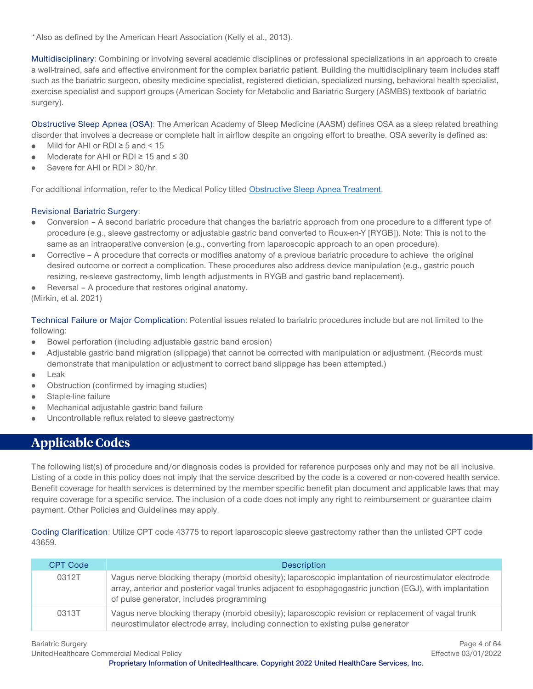\*Also as defined by the American Heart Association (Kelly et al., 2013).

Multidisciplinary: Combining or involving several academic disciplines or professional specializations in an approach to create a well-trained, safe and effective environment for the complex bariatric patient. Building the multidisciplinary team includes staff such as the bariatric surgeon, obesity medicine specialist, registered dietician, specialized nursing, behavioral health specialist, exercise specialist and support groups (American Society for Metabolic and Bariatric Surgery (ASMBS) textbook of bariatric surgery).

<span id="page-3-1"></span>Obstructive Sleep Apnea (OSA): The American Academy of Sleep Medicine (AASM) defines OSA as a sleep related breathing disorder that involves a decrease or complete halt in airflow despite an ongoing effort to breathe. OSA severity is defined as:

- Mild for AHI or RDI  $\geq$  5 and < 15  $\bullet$
- Moderate for AHI or RDI ≥ 15 and ≤ 30
- Severe for AHI or RDI > 30/hr.

For additional information, refer to the Medical Policy titled [Obstructive Sleep Apnea Treatment.](https://www.uhcprovider.com/content/dam/provider/docs/public/policies/comm-medical-drug/obstructive-sleep-apnea-treatment.pdf)

#### <span id="page-3-2"></span>Revisional Bariatric Surgery:

- Conversion A second bariatric procedure that changes the bariatric approach from one procedure to a different type of procedure (e.g., sleeve gastrectomy or adjustable gastric band converted to Roux-en-Y [RYGB]). Note: This is not to the same as an intraoperative conversion (e.g., converting from laparoscopic approach to an open procedure).
- Corrective A procedure that corrects or modifies anatomy of a previous bariatric procedure to achieve the original desired outcome or correct a complication. These procedures also address device manipulation (e.g., gastric pouch resizing, re-sleeve gastrectomy, limb length adjustments in RYGB and gastric band replacement).
- Reversal A procedure that restores original anatomy.

(Mirkin, et al. 2021)

<span id="page-3-3"></span>Technical Failure or Major Complication: Potential issues related to bariatric procedures include but are not limited to the following:

- Bowel perforation (including adjustable gastric band erosion)
- Adjustable gastric band migration (slippage) that cannot be corrected with manipulation or adjustment. (Records must demonstrate that manipulation or adjustment to correct band slippage has been attempted.)
- Leak
- Obstruction (confirmed by imaging studies)
- Staple-line failure
- Mechanical adjustable gastric band failure
- Uncontrollable reflux related to sleeve gastrectomy

# <span id="page-3-0"></span>**Applicable Codes**

The following list(s) of procedure and/or diagnosis codes is provided for reference purposes only and may not be all inclusive. Listing of a code in this policy does not imply that the service described by the code is a covered or non-covered health service. Benefit coverage for health services is determined by the member specific benefit plan document and applicable laws that may require coverage for a specific service. The inclusion of a code does not imply any right to reimbursement or guarantee claim payment. Other Policies and Guidelines may apply.

Coding Clarification: Utilize CPT code 43775 to report laparoscopic sleeve gastrectomy rather than the unlisted CPT code 43659.

| <b>CPT Code</b> | <b>Description</b>                                                                                                                                                                                                                                            |
|-----------------|---------------------------------------------------------------------------------------------------------------------------------------------------------------------------------------------------------------------------------------------------------------|
| 0312T           | Vagus nerve blocking therapy (morbid obesity); laparoscopic implantation of neurostimulator electrode<br>array, anterior and posterior vagal trunks adjacent to esophagogastric junction (EGJ), with implantation<br>of pulse generator, includes programming |
| 0313T           | Vagus nerve blocking therapy (morbid obesity); laparoscopic revision or replacement of vagal trunk<br>neurostimulator electrode array, including connection to existing pulse generator                                                                       |

UnitedHealthcare Commercial Medical Policy Effective 03/01/2022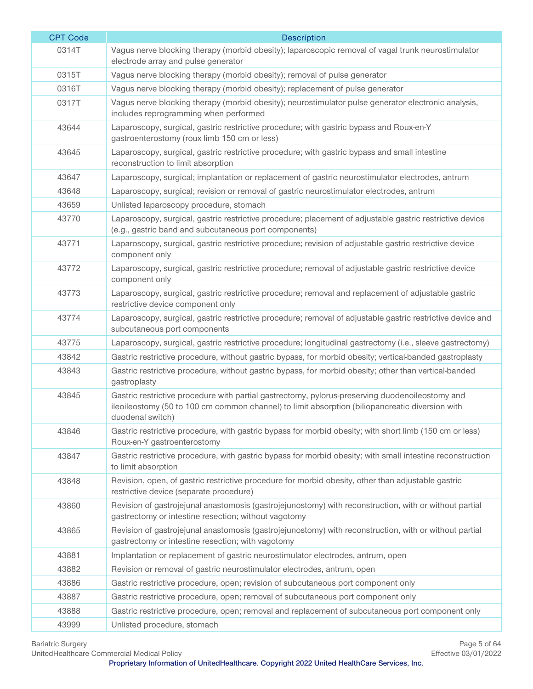| <b>CPT Code</b> | <b>Description</b>                                                                                                                                                                                                     |
|-----------------|------------------------------------------------------------------------------------------------------------------------------------------------------------------------------------------------------------------------|
| 0314T           | Vagus nerve blocking therapy (morbid obesity); laparoscopic removal of vagal trunk neurostimulator<br>electrode array and pulse generator                                                                              |
| 0315T           | Vagus nerve blocking therapy (morbid obesity); removal of pulse generator                                                                                                                                              |
| 0316T           | Vagus nerve blocking therapy (morbid obesity); replacement of pulse generator                                                                                                                                          |
| 0317T           | Vagus nerve blocking therapy (morbid obesity); neurostimulator pulse generator electronic analysis,<br>includes reprogramming when performed                                                                           |
| 43644           | Laparoscopy, surgical, gastric restrictive procedure; with gastric bypass and Roux-en-Y<br>gastroenterostomy (roux limb 150 cm or less)                                                                                |
| 43645           | Laparoscopy, surgical, gastric restrictive procedure; with gastric bypass and small intestine<br>reconstruction to limit absorption                                                                                    |
| 43647           | Laparoscopy, surgical; implantation or replacement of gastric neurostimulator electrodes, antrum                                                                                                                       |
| 43648           | Laparoscopy, surgical; revision or removal of gastric neurostimulator electrodes, antrum                                                                                                                               |
| 43659           | Unlisted laparoscopy procedure, stomach                                                                                                                                                                                |
| 43770           | Laparoscopy, surgical, gastric restrictive procedure; placement of adjustable gastric restrictive device<br>(e.g., gastric band and subcutaneous port components)                                                      |
| 43771           | Laparoscopy, surgical, gastric restrictive procedure; revision of adjustable gastric restrictive device<br>component only                                                                                              |
| 43772           | Laparoscopy, surgical, gastric restrictive procedure; removal of adjustable gastric restrictive device<br>component only                                                                                               |
| 43773           | Laparoscopy, surgical, gastric restrictive procedure; removal and replacement of adjustable gastric<br>restrictive device component only                                                                               |
| 43774           | Laparoscopy, surgical, gastric restrictive procedure; removal of adjustable gastric restrictive device and<br>subcutaneous port components                                                                             |
| 43775           | Laparoscopy, surgical, gastric restrictive procedure; longitudinal gastrectomy (i.e., sleeve gastrectomy)                                                                                                              |
| 43842           | Gastric restrictive procedure, without gastric bypass, for morbid obesity; vertical-banded gastroplasty                                                                                                                |
| 43843           | Gastric restrictive procedure, without gastric bypass, for morbid obesity; other than vertical-banded<br>gastroplasty                                                                                                  |
| 43845           | Gastric restrictive procedure with partial gastrectomy, pylorus-preserving duodenoileostomy and<br>ileoileostomy (50 to 100 cm common channel) to limit absorption (biliopancreatic diversion with<br>duodenal switch) |
| 43846           | Gastric restrictive procedure, with gastric bypass for morbid obesity; with short limb (150 cm or less)<br>Roux-en-Y gastroenterostomy                                                                                 |
| 43847           | Gastric restrictive procedure, with gastric bypass for morbid obesity; with small intestine reconstruction<br>to limit absorption                                                                                      |
| 43848           | Revision, open, of gastric restrictive procedure for morbid obesity, other than adjustable gastric<br>restrictive device (separate procedure)                                                                          |
| 43860           | Revision of gastrojejunal anastomosis (gastrojejunostomy) with reconstruction, with or without partial<br>gastrectomy or intestine resection; without vagotomy                                                         |
| 43865           | Revision of gastrojejunal anastomosis (gastrojejunostomy) with reconstruction, with or without partial<br>gastrectomy or intestine resection; with vagotomy                                                            |
| 43881           | Implantation or replacement of gastric neurostimulator electrodes, antrum, open                                                                                                                                        |
| 43882           | Revision or removal of gastric neurostimulator electrodes, antrum, open                                                                                                                                                |
| 43886           | Gastric restrictive procedure, open; revision of subcutaneous port component only                                                                                                                                      |
| 43887           | Gastric restrictive procedure, open; removal of subcutaneous port component only                                                                                                                                       |
| 43888           | Gastric restrictive procedure, open; removal and replacement of subcutaneous port component only                                                                                                                       |
| 43999           | Unlisted procedure, stomach                                                                                                                                                                                            |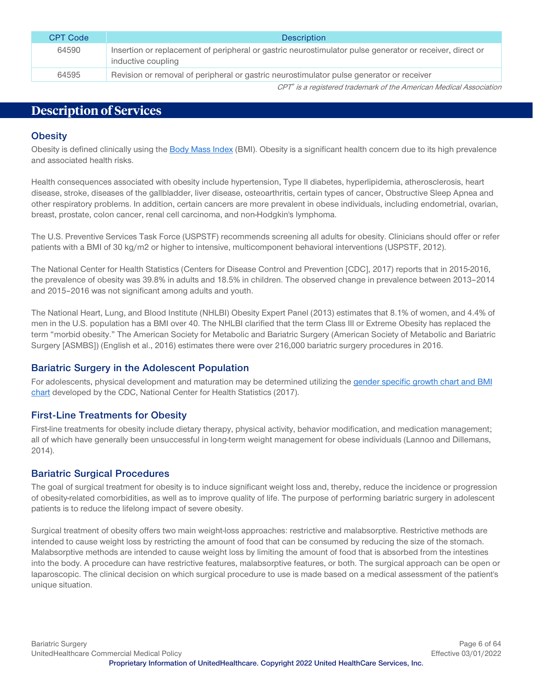| CPT Code | <b>Description</b>                                                                                                             |
|----------|--------------------------------------------------------------------------------------------------------------------------------|
| 64590    | Insertion or replacement of peripheral or gastric neurostimulator pulse generator or receiver, direct or<br>inductive coupling |
| 64595    | Revision or removal of peripheral or gastric neurostimulator pulse generator or receiver                                       |

CPT® is a registered trademark of the American Medical Association

# <span id="page-5-0"></span>**Description of Services**

#### **Obesity**

Obesity is defined clinically using the [Body Mass Index](#page-2-5) (BMI). Obesity is a significant health concern due to its high prevalence and associated health risks.

Health consequences associated with obesity include hypertension, Type II diabetes, hyperlipidemia, atherosclerosis, heart disease, stroke, diseases of the gallbladder, liver disease, osteoarthritis, certain types of cancer, Obstructive Sleep Apnea and other respiratory problems. In addition, certain cancers are more prevalent in obese individuals, including endometrial, ovarian, breast, prostate, colon cancer, renal cell carcinoma, and non-Hodgkin's lymphoma.

The U.S. Preventive Services Task Force (USPSTF) recommends screening all adults for obesity. Clinicians should offer or refer patients with a BMI of 30 kg/m2 or higher to intensive, multicomponent behavioral interventions (USPSTF, 2012).

The National Center for Health Statistics (Centers for Disease Control and Prevention [CDC], 2017) reports that in 2015-2016, the prevalence of obesity was 39.8% in adults and 18.5% in children. The observed change in prevalence between 2013–2014 and 2015–2016 was not significant among adults and youth.

The National Heart, Lung, and Blood Institute (NHLBI) Obesity Expert Panel (2013) estimates that 8.1% of women, and 4.4% of men in the U.S. population has a BMI over 40. The NHLBI clarified that the term Class III or Extreme Obesity has replaced the term "morbid obesity." The American Society for Metabolic and Bariatric Surgery (American Society of Metabolic and Bariatric Surgery [ASMBS]) (English et al., 2016) estimates there were over 216,000 bariatric surgery procedures in 2016.

#### **Bariatric Surgery in the Adolescent Population**

For adolescents, physical development and maturation may be determined utilizing the [gender specific growth chart and BMI](https://www.cdc.gov/growthcharts/clinical_charts.htm)  [chart](https://www.cdc.gov/growthcharts/clinical_charts.htm) developed by the CDC, National Center for Health Statistics (2017).

# **First-Line Treatments for Obesity**

First-line treatments for obesity include dietary therapy, physical activity, behavior modification, and medication management; all of which have generally been unsuccessful in long-term weight management for obese individuals (Lannoo and Dillemans, 2014).

#### **Bariatric Surgical Procedures**

The goal of surgical treatment for obesity is to induce significant weight loss and, thereby, reduce the incidence or progression of obesity-related comorbidities, as well as to improve quality of life. The purpose of performing bariatric surgery in adolescent patients is to reduce the lifelong impact of severe obesity.

Surgical treatment of obesity offers two main weight-loss approaches: restrictive and malabsorptive. Restrictive methods are intended to cause weight loss by restricting the amount of food that can be consumed by reducing the size of the stomach. Malabsorptive methods are intended to cause weight loss by limiting the amount of food that is absorbed from the intestines into the body. A procedure can have restrictive features, malabsorptive features, or both. The surgical approach can be open or laparoscopic. The clinical decision on which surgical procedure to use is made based on a medical assessment of the patient's unique situation.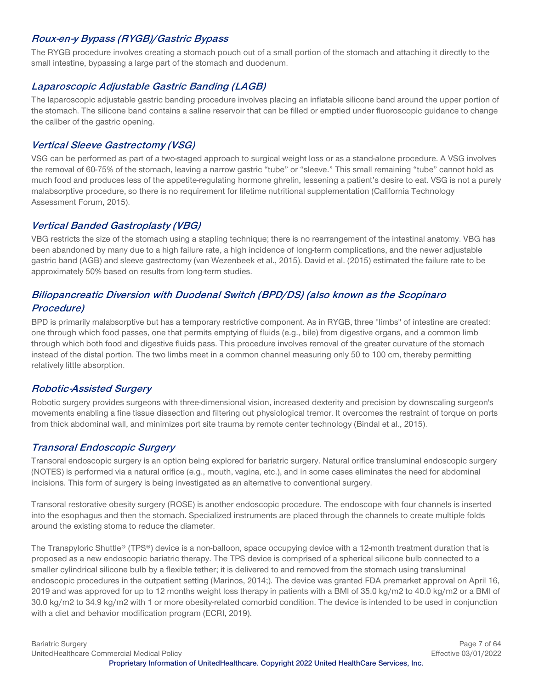### **Roux-en-y Bypass (RYGB)/Gastric Bypass**

The RYGB procedure involves creating a stomach pouch out of a small portion of the stomach and attaching it directly to the small intestine, bypassing a large part of the stomach and duodenum.

#### **Laparoscopic Adjustable Gastric Banding (LAGB)**

The laparoscopic adjustable gastric banding procedure involves placing an inflatable silicone band around the upper portion of the stomach. The silicone band contains a saline reservoir that can be filled or emptied under fluoroscopic guidance to change the caliber of the gastric opening.

#### **Vertical Sleeve Gastrectomy (VSG)**

VSG can be performed as part of a two-staged approach to surgical weight loss or as a stand-alone procedure. A VSG involves the removal of 60-75% of the stomach, leaving a narrow gastric "tube" or "sleeve." This small remaining "tube" cannot hold as much food and produces less of the appetite-regulating hormone ghrelin, lessening a patient's desire to eat. VSG is not a purely malabsorptive procedure, so there is no requirement for lifetime nutritional supplementation (California Technology Assessment Forum, 2015).

#### **Vertical Banded Gastroplasty (VBG)**

VBG restricts the size of the stomach using a stapling technique; there is no rearrangement of the intestinal anatomy. VBG has been abandoned by many due to a high failure rate, a high incidence of long-term complications, and the newer adjustable gastric band (AGB) and sleeve gastrectomy (van Wezenbeek et al., 2015). David et al. (2015) estimated the failure rate to be approximately 50% based on results from long-term studies.

# **Biliopancreatic Diversion with Duodenal Switch (BPD/DS) (also known as the Scopinaro Procedure)**

BPD is primarily malabsorptive but has a temporary restrictive component. As in RYGB, three "limbs" of intestine are created: one through which food passes, one that permits emptying of fluids (e.g., bile) from digestive organs, and a common limb through which both food and digestive fluids pass. This procedure involves removal of the greater curvature of the stomach instead of the distal portion. The two limbs meet in a common channel measuring only 50 to 100 cm, thereby permitting relatively little absorption.

#### **Robotic-Assisted Surgery**

Robotic surgery provides surgeons with three-dimensional vision, increased dexterity and precision by downscaling surgeon's movements enabling a fine tissue dissection and filtering out physiological tremor. It overcomes the restraint of torque on ports from thick abdominal wall, and minimizes port site trauma by remote center technology (Bindal et al., 2015).

#### **Transoral Endoscopic Surgery**

Transoral endoscopic surgery is an option being explored for bariatric surgery. Natural orifice transluminal endoscopic surgery (NOTES) is performed via a natural orifice (e.g., mouth, vagina, etc.), and in some cases eliminates the need for abdominal incisions. This form of surgery is being investigated as an alternative to conventional surgery.

Transoral restorative obesity surgery (ROSE) is another endoscopic procedure. The endoscope with four channels is inserted into the esophagus and then the stomach. Specialized instruments are placed through the channels to create multiple folds around the existing stoma to reduce the diameter.

The Transpyloric Shuttle® (TPS®) device is a non-balloon, space occupying device with a 12-month treatment duration that is proposed as a new endoscopic bariatric therapy. The TPS device is comprised of a spherical silicone bulb connected to a smaller cylindrical silicone bulb by a flexible tether; it is delivered to and removed from the stomach using transluminal endoscopic procedures in the outpatient setting (Marinos, 2014;). The device was granted FDA premarket approval on April 16, 2019 and was approved for up to 12 months weight loss therapy in patients with a BMI of 35.0 kg/m2 to 40.0 kg/m2 or a BMI of 30.0 kg/m2 to 34.9 kg/m2 with 1 or more obesity-related comorbid condition. The device is intended to be used in conjunction with a diet and behavior modification program (ECRI, 2019).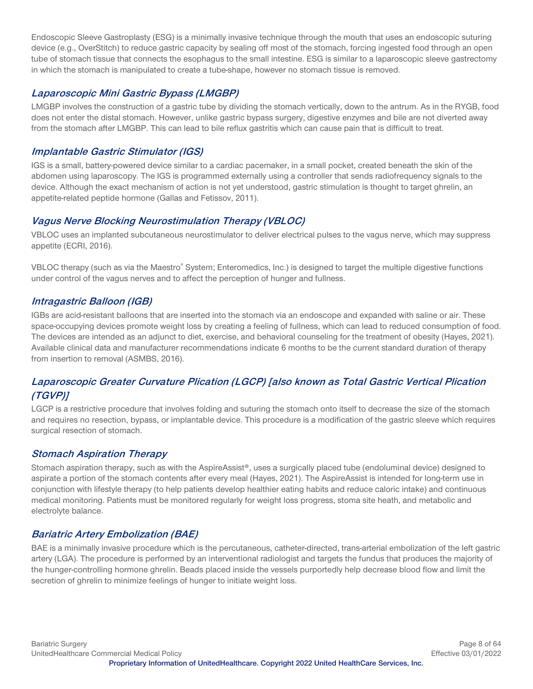Endoscopic Sleeve Gastroplasty (ESG) is a minimally invasive technique through the mouth that uses an endoscopic suturing device (e.g., OverStitch) to reduce gastric capacity by sealing off most of the stomach, forcing ingested food through an open tube of stomach tissue that connects the esophagus to the small intestine. ESG is similar to a laparoscopic sleeve gastrectomy in which the stomach is manipulated to create a tube-shape, however no stomach tissue is removed.

# **Laparoscopic Mini Gastric Bypass (LMGBP)**

LMGBP involves the construction of a gastric tube by dividing the stomach vertically, down to the antrum. As in the RYGB, food does not enter the distal stomach. However, unlike gastric bypass surgery, digestive enzymes and bile are not diverted away from the stomach after LMGBP. This can lead to bile reflux gastritis which can cause pain that is difficult to treat.

# **Implantable Gastric Stimulator (IGS)**

IGS is a small, battery-powered device similar to a cardiac pacemaker, in a small pocket, created beneath the skin of the abdomen using laparoscopy. The IGS is programmed externally using a controller that sends radiofrequency signals to the device. Although the exact mechanism of action is not yet understood, gastric stimulation is thought to target ghrelin, an appetite-related peptide hormone (Gallas and Fetissov, 2011).

# **Vagus Nerve Blocking Neurostimulation Therapy (VBLOC)**

VBLOC uses an implanted subcutaneous neurostimulator to deliver electrical pulses to the vagus nerve, which may suppress appetite (ECRI, 2016).

VBLOC therapy (such as via the Maestro® System; Enteromedics, Inc.) is designed to target the multiple digestive functions under control of the vagus nerves and to affect the perception of hunger and fullness.

# **Intragastric Balloon (IGB)**

IGBs are acid-resistant balloons that are inserted into the stomach via an endoscope and expanded with saline or air. These space-occupying devices promote weight loss by creating a feeling of fullness, which can lead to reduced consumption of food. The devices are intended as an adjunct to diet, exercise, and behavioral counseling for the treatment of obesity (Hayes, 2021). Available clinical data and manufacturer recommendations indicate 6 months to be the current standard duration of therapy from insertion to removal (ASMBS, 2016).

# **Laparoscopic Greater Curvature Plication (LGCP) [also known as Total Gastric Vertical Plication (TGVP)]**

LGCP is a restrictive procedure that involves folding and suturing the stomach onto itself to decrease the size of the stomach and requires no resection, bypass, or implantable device. This procedure is a modification of the gastric sleeve which requires surgical resection of stomach.

# **Stomach Aspiration Therapy**

Stomach aspiration therapy, such as with the AspireAssist®, uses a surgically placed tube (endoluminal device) designed to aspirate a portion of the stomach contents after every meal (Hayes, 2021). The AspireAssist is intended for long-term use in conjunction with lifestyle therapy (to help patients develop healthier eating habits and reduce caloric intake) and continuous medical monitoring. Patients must be monitored regularly for weight loss progress, stoma site heath, and metabolic and electrolyte balance.

# **Bariatric Artery Embolization (BAE)**

BAE is a minimally invasive procedure which is the percutaneous, catheter-directed, trans-arterial embolization of the left gastric artery (LGA). The procedure is performed by an interventional radiologist and targets the fundus that produces the majority of the hunger-controlling hormone ghrelin. Beads placed inside the vessels purportedly help decrease blood flow and limit the secretion of ghrelin to minimize feelings of hunger to initiate weight loss.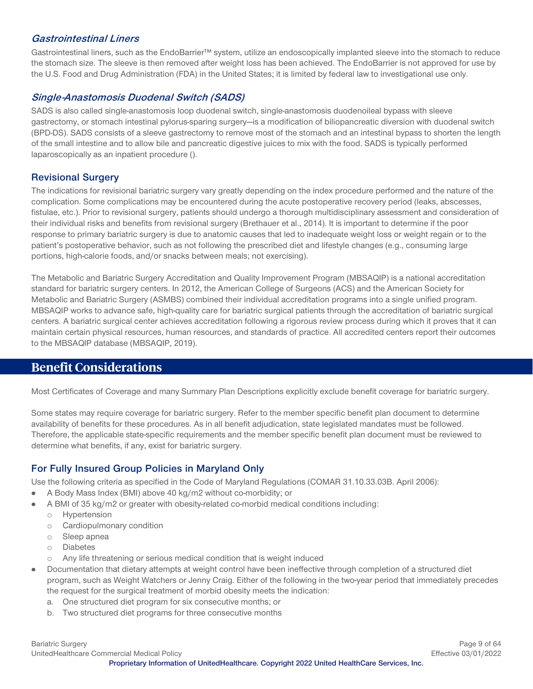#### **Gastrointestinal Liners**

Gastrointestinal liners, such as the EndoBarrier™ system, utilize an endoscopically implanted sleeve into the stomach to reduce the stomach size. The sleeve is then removed after weight loss has been achieved. The EndoBarrier is not approved for use by the U.S. Food and Drug Administration (FDA) in the United States; it is limited by federal law to investigational use only.

#### **Single-Anastomosis Duodenal Switch (SADS)**

SADS is also called single-anastomosis loop duodenal switch, single-anastomosis duodenoileal bypass with sleeve gastrectomy, or stomach intestinal pylorus-sparing surgery—is a modification of biliopancreatic diversion with duodenal switch (BPD-DS). SADS consists of a sleeve gastrectomy to remove most of the stomach and an intestinal bypass to shorten the length of the small intestine and to allow bile and pancreatic digestive juices to mix with the food. SADS is typically performed laparoscopically as an inpatient procedure ().

#### **Revisional Surgery**

The indications for revisional bariatric surgery vary greatly depending on the index procedure performed and the nature of the complication. Some complications may be encountered during the acute postoperative recovery period (leaks, abscesses, fistulae, etc.). Prior to revisional surgery, patients should undergo a thorough multidisciplinary assessment and consideration of their individual risks and benefits from revisional surgery (Brethauer et al., 2014). It is important to determine if the poor response to primary bariatric surgery is due to anatomic causes that led to inadequate weight loss or weight regain or to the patient's postoperative behavior, such as not following the prescribed diet and lifestyle changes (e.g., consuming large portions, high-calorie foods, and/or snacks between meals; not exercising).

The Metabolic and Bariatric Surgery Accreditation and Quality Improvement Program (MBSAQIP) is a national accreditation standard for bariatric surgery centers. In 2012, the American College of Surgeons (ACS) and the American Society for Metabolic and Bariatric Surgery (ASMBS) combined their individual accreditation programs into a single unified program. MBSAQIP works to advance safe, high-quality care for bariatric surgical patients through the accreditation of bariatric surgical centers. A bariatric surgical center achieves accreditation following a rigorous review process during which it proves that it can maintain certain physical resources, human resources, and standards of practice. All accredited centers report their outcomes to the MBSAQIP database (MBSAQIP, 2019).

# <span id="page-8-0"></span>**Benefit Considerations**

Most Certificates of Coverage and many Summary Plan Descriptions explicitly exclude benefit coverage for bariatric surgery.

Some states may require coverage for bariatric surgery. Refer to the member specific benefit plan document to determine availability of benefits for these procedures. As in all benefit adjudication, state legislated mandates must be followed. Therefore, the applicable state-specific requirements and the member specific benefit plan document must be reviewed to determine what benefits, if any, exist for bariatric surgery.

# **For Fully Insured Group Policies in Maryland Only**

Use the following criteria as specified in the Code of Maryland Regulations (COMAR 31.10.33.03B. April 2006):

- A Body Mass Index (BMI) above 40 kg/m2 without co-morbidity; or  $\bullet$
- A BMI of 35 kg/m2 or greater with obesity-related co-morbid medical conditions including:
	- o Hypertension
	- o Cardiopulmonary condition
	- o Sleep apnea
	- o Diabetes
	- o Any life threatening or serious medical condition that is weight induced
- Documentation that dietary attempts at weight control have been ineffective through completion of a structured diet program, such as Weight Watchers or Jenny Craig. Either of the following in the two-year period that immediately precedes the request for the surgical treatment of morbid obesity meets the indication:
	- a. One structured diet program for six consecutive months; or
	- b. Two structured diet programs for three consecutive months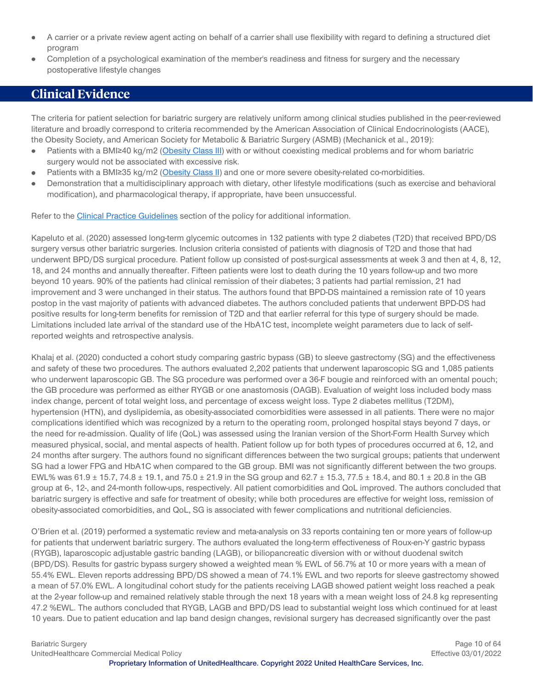- A carrier or a private review agent acting on behalf of a carrier shall use flexibility with regard to defining a structured diet program
- Completion of a psychological examination of the member's readiness and fitness for surgery and the necessary postoperative lifestyle changes

# <span id="page-9-0"></span>**Clinical Evidence**

The criteria for patient selection for bariatric surgery are relatively uniform among clinical studies published in the peer-reviewed literature and broadly correspond to criteria recommended by the American Association of Clinical Endocrinologists (AACE), the Obesity Society, and American Society for Metabolic & Bariatric Surgery (ASMB) (Mechanick et al., 2019):

- Patients with a BMI≥40 kg/m2 [\(Obesity Class III\)](#page-2-4) with or without coexisting medical problems and for whom bariatric  $\bullet$ surgery would not be associated with excessive risk.
- Patients with a BMI≥35 kg/m2 [\(Obesity Class II\)](#page-2-2) and one or more severe obesity-related co-morbidities.  $\bullet$
- Demonstration that a multidisciplinary approach with dietary, other lifestyle modifications (such as exercise and behavioral modification), and pharmacological therapy, if appropriate, have been unsuccessful.

Refer to the [Clinical Practice Guidelines](#page-41-0) section of the policy for additional information.

Kapeluto et al. (2020) assessed long-term glycemic outcomes in 132 patients with type 2 diabetes (T2D) that received BPD/DS surgery versus other bariatric surgeries. Inclusion criteria consisted of patients with diagnosis of T2D and those that had underwent BPD/DS surgical procedure. Patient follow up consisted of post-surgical assessments at week 3 and then at 4, 8, 12, 18, and 24 months and annually thereafter. Fifteen patients were lost to death during the 10 years follow-up and two more beyond 10 years. 90% of the patients had clinical remission of their diabetes; 3 patients had partial remission, 21 had improvement and 3 were unchanged in their status. The authors found that BPD-DS maintained a remission rate of 10 years postop in the vast majority of patients with advanced diabetes. The authors concluded patients that underwent BPD-DS had positive results for long-term benefits for remission of T2D and that earlier referral for this type of surgery should be made. Limitations included late arrival of the standard use of the HbA1C test, incomplete weight parameters due to lack of selfreported weights and retrospective analysis.

Khalaj et al. (2020) conducted a cohort study comparing gastric bypass (GB) to sleeve gastrectomy (SG) and the effectiveness and safety of these two procedures. The authors evaluated 2,202 patients that underwent laparoscopic SG and 1,085 patients who underwent laparoscopic GB. The SG procedure was performed over a 36-F bougie and reinforced with an omental pouch; the GB procedure was performed as either RYGB or one anastomosis (OAGB). Evaluation of weight loss included body mass index change, percent of total weight loss, and percentage of excess weight loss. Type 2 diabetes mellitus (T2DM), hypertension (HTN), and dyslipidemia, as obesity-associated comorbidities were assessed in all patients. There were no major complications identified which was recognized by a return to the operating room, prolonged hospital stays beyond 7 days, or the need for re-admission. Quality of life (QoL) was assessed using the Iranian version of the Short-Form Health Survey which measured physical, social, and mental aspects of health. Patient follow up for both types of procedures occurred at 6, 12, and 24 months after surgery. The authors found no significant differences between the two surgical groups; patients that underwent SG had a lower FPG and HbA1C when compared to the GB group. BMI was not significantly different between the two groups. EWL% was  $61.9 \pm 15.7$ ,  $74.8 \pm 19.1$ , and  $75.0 \pm 21.9$  in the SG group and  $62.7 \pm 15.3$ ,  $77.5 \pm 18.4$ , and  $80.1 \pm 20.8$  in the GB group at 6-, 12-, and 24-month follow-ups, respectively. All patient comorbidities and QoL improved. The authors concluded that bariatric surgery is effective and safe for treatment of obesity; while both procedures are effective for weight loss, remission of obesity-associated comorbidities, and QoL, SG is associated with fewer complications and nutritional deficiencies.

O'Brien et al. (2019) performed a systematic review and meta-analysis on 33 reports containing ten or more years of follow-up for patients that underwent bariatric surgery. The authors evaluated the long-term effectiveness of Roux-en-Y gastric bypass (RYGB), laparoscopic adjustable gastric banding (LAGB), or biliopancreatic diversion with or without duodenal switch (BPD/DS). Results for gastric bypass surgery showed a weighted mean % EWL of 56.7% at 10 or more years with a mean of 55.4% EWL. Eleven reports addressing BPD/DS showed a mean of 74.1% EWL and two reports for sleeve gastrectomy showed a mean of 57.0% EWL. A longitudinal cohort study for the patients receiving LAGB showed patient weight loss reached a peak at the 2-year follow-up and remained relatively stable through the next 18 years with a mean weight loss of 24.8 kg representing 47.2 %EWL. The authors concluded that RYGB, LAGB and BPD/DS lead to substantial weight loss which continued for at least 10 years. Due to patient education and lap band design changes, revisional surgery has decreased significantly over the past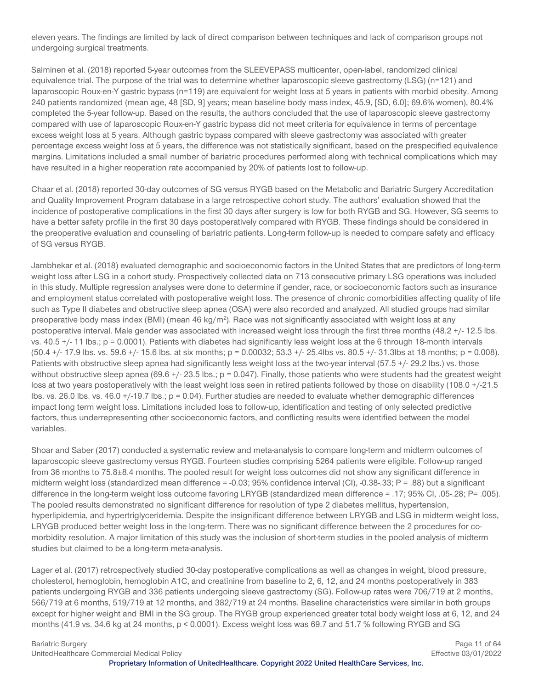eleven years. The findings are limited by lack of direct comparison between techniques and lack of comparison groups not undergoing surgical treatments.

Salminen et al. (2018) reported 5-year outcomes from the SLEEVEPASS multicenter, open-label, randomized clinical equivalence trial. The purpose of the trial was to determine whether laparoscopic sleeve gastrectomy (LSG) (n=121) and laparoscopic Roux-en-Y gastric bypass (n=119) are equivalent for weight loss at 5 years in patients with morbid obesity. Among 240 patients randomized (mean age, 48 [SD, 9] years; mean baseline body mass index, 45.9, [SD, 6.0]; 69.6% women), 80.4% completed the 5-year follow-up. Based on the results, the authors concluded that the use of laparoscopic sleeve gastrectomy compared with use of laparoscopic Roux-en-Y gastric bypass did not meet criteria for equivalence in terms of percentage excess weight loss at 5 years. Although gastric bypass compared with sleeve gastrectomy was associated with greater percentage excess weight loss at 5 years, the difference was not statistically significant, based on the prespecified equivalence margins. Limitations included a small number of bariatric procedures performed along with technical complications which may have resulted in a higher reoperation rate accompanied by 20% of patients lost to follow-up.

Chaar et al. (2018) reported 30-day outcomes of SG versus RYGB based on the Metabolic and Bariatric Surgery Accreditation and Quality Improvement Program database in a large retrospective cohort study. The authors' evaluation showed that the incidence of postoperative complications in the first 30 days after surgery is low for both RYGB and SG. However, SG seems to have a better safety profile in the first 30 days postoperatively compared with RYGB. These findings should be considered in the preoperative evaluation and counseling of bariatric patients. Long-term follow-up is needed to compare safety and efficacy of SG versus RYGB.

Jambhekar et al. (2018) evaluated demographic and socioeconomic factors in the United States that are predictors of long-term weight loss after LSG in a cohort study. Prospectively collected data on 713 consecutive primary LSG operations was included in this study. Multiple regression analyses were done to determine if gender, race, or socioeconomic factors such as insurance and employment status correlated with postoperative weight loss. The presence of chronic comorbidities affecting quality of life such as Type II diabetes and obstructive sleep apnea (OSA) were also recorded and analyzed. All studied groups had similar preoperative body mass index (BMI) (mean 46 kg/m<sup>2</sup>). Race was not significantly associated with weight loss at any postoperative interval. Male gender was associated with increased weight loss through the first three months (48.2 +/- 12.5 lbs. vs. 40.5 +/- 11 lbs.; p = 0.0001). Patients with diabetes had significantly less weight loss at the 6 through 18-month intervals (50.4 +/- 17.9 lbs. vs. 59.6 +/- 15.6 lbs. at six months; p = 0.00032; 53.3 +/- 25.4lbs vs. 80.5 +/- 31.3lbs at 18 months; p = 0.008). Patients with obstructive sleep apnea had significantly less weight loss at the two-year interval (57.5 +/- 29.2 lbs.) vs. those without obstructive sleep apnea (69.6 +/- 23.5 lbs.; p = 0.047). Finally, those patients who were students had the greatest weight loss at two years postoperatively with the least weight loss seen in retired patients followed by those on disability (108.0 +/-21.5 lbs. vs. 26.0 lbs. vs.  $46.0 + (-19.7 \text{ lbs.}; p = 0.04)$ . Further studies are needed to evaluate whether demographic differences impact long term weight loss. Limitations included loss to follow-up, identification and testing of only selected predictive factors, thus underrepresenting other socioeconomic factors, and conflicting results were identified between the model variables.

Shoar and Saber (2017) conducted a systematic review and meta-analysis to compare long-term and midterm outcomes of laparoscopic sleeve gastrectomy versus RYGB. Fourteen studies comprising 5264 patients were eligible. Follow-up ranged from 36 months to 75.8±8.4 months. The pooled result for weight loss outcomes did not show any significant difference in midterm weight loss (standardized mean difference =  $-0.03$ ; 95% confidence interval (CI),  $-0.38$ -.33; P = .88) but a significant difference in the long-term weight loss outcome favoring LRYGB (standardized mean difference = .17; 95% CI, .05-.28; P= .005). The pooled results demonstrated no significant difference for resolution of type 2 diabetes mellitus, hypertension, hyperlipidemia, and hypertriglyceridemia. Despite the insignificant difference between LRYGB and LSG in midterm weight loss, LRYGB produced better weight loss in the long-term. There was no significant difference between the 2 procedures for comorbidity resolution. A major limitation of this study was the inclusion of short-term studies in the pooled analysis of midterm studies but claimed to be a long-term meta-analysis.

Lager et al. (2017) retrospectively studied 30-day postoperative complications as well as changes in weight, blood pressure, cholesterol, hemoglobin, hemoglobin A1C, and creatinine from baseline to 2, 6, 12, and 24 months postoperatively in 383 patients undergoing RYGB and 336 patients undergoing sleeve gastrectomy (SG). Follow-up rates were 706/719 at 2 months, 566/719 at 6 months, 519/719 at 12 months, and 382/719 at 24 months. Baseline characteristics were similar in both groups except for higher weight and BMI in the SG group. The RYGB group experienced greater total body weight loss at 6, 12, and 24 months (41.9 vs. 34.6 kg at 24 months, p < 0.0001). Excess weight loss was 69.7 and 51.7 % following RYGB and SG

Bariatric Surgery **Page 11 of 64** Page 11 of 64 UnitedHealthcare Commercial Medical Policy Effective 03/01/2022 **Proprietary Information of UnitedHealthcare. Copyright 2022 United HealthCare Services, Inc.**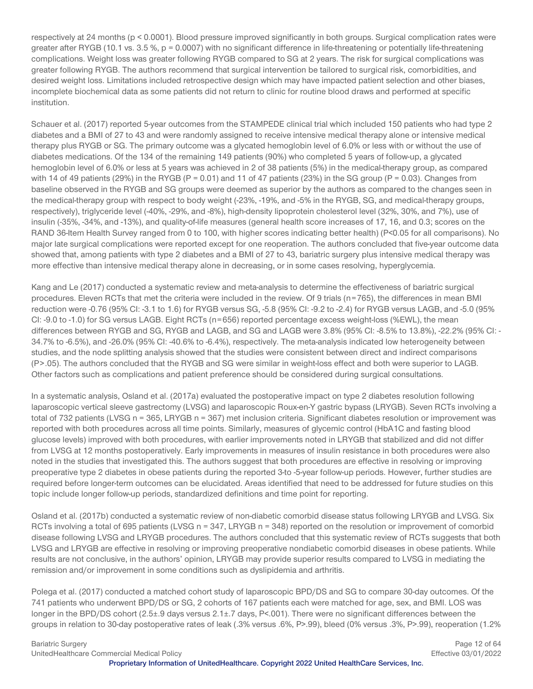respectively at 24 months (p < 0.0001). Blood pressure improved significantly in both groups. Surgical complication rates were greater after RYGB (10.1 vs. 3.5 %, p = 0.0007) with no significant difference in life-threatening or potentially life-threatening complications. Weight loss was greater following RYGB compared to SG at 2 years. The risk for surgical complications was greater following RYGB. The authors recommend that surgical intervention be tailored to surgical risk, comorbidities, and desired weight loss. Limitations included retrospective design which may have impacted patient selection and other biases, incomplete biochemical data as some patients did not return to clinic for routine blood draws and performed at specific institution.

Schauer et al. (2017) reported 5-year outcomes from the STAMPEDE clinical trial which included 150 patients who had type 2 diabetes and a BMI of 27 to 43 and were randomly assigned to receive intensive medical therapy alone or intensive medical therapy plus RYGB or SG. The primary outcome was a glycated hemoglobin level of 6.0% or less with or without the use of diabetes medications. Of the 134 of the remaining 149 patients (90%) who completed 5 years of follow-up, a glycated hemoglobin level of 6.0% or less at 5 years was achieved in 2 of 38 patients (5%) in the medical-therapy group, as compared with 14 of 49 patients (29%) in the RYGB (P = 0.01) and 11 of 47 patients (23%) in the SG group (P = 0.03). Changes from baseline observed in the RYGB and SG groups were deemed as superior by the authors as compared to the changes seen in the medical-therapy group with respect to body weight (-23%, -19%, and -5% in the RYGB, SG, and medical-therapy groups, respectively), triglyceride level (-40%, -29%, and -8%), high-density lipoprotein cholesterol level (32%, 30%, and 7%), use of insulin (-35%, -34%, and -13%), and quality-of-life measures (general health score increases of 17, 16, and 0.3; scores on the RAND 36-Item Health Survey ranged from 0 to 100, with higher scores indicating better health) (P<0.05 for all comparisons). No major late surgical complications were reported except for one reoperation. The authors concluded that five-year outcome data showed that, among patients with type 2 diabetes and a BMI of 27 to 43, bariatric surgery plus intensive medical therapy was more effective than intensive medical therapy alone in decreasing, or in some cases resolving, hyperglycemia.

Kang and Le (2017) conducted a systematic review and meta-analysis to determine the effectiveness of bariatric surgical procedures. Eleven RCTs that met the criteria were included in the review. Of 9 trials (n=765), the differences in mean BMI reduction were -0.76 (95% CI: -3.1 to 1.6) for RYGB versus SG, -5.8 (95% CI: -9.2 to -2.4) for RYGB versus LAGB, and -5.0 (95% CI: -9.0 to -1.0) for SG versus LAGB. Eight RCTs (n=656) reported percentage excess weight-loss (%EWL), the mean differences between RYGB and SG, RYGB and LAGB, and SG and LAGB were 3.8% (95% CI: -8.5% to 13.8%), -22.2% (95% CI: - 34.7% to -6.5%), and -26.0% (95% CI: -40.6% to -6.4%), respectively. The meta-analysis indicated low heterogeneity between studies, and the node splitting analysis showed that the studies were consistent between direct and indirect comparisons (P>.05). The authors concluded that the RYGB and SG were similar in weight-loss effect and both were superior to LAGB. Other factors such as complications and patient preference should be considered during surgical consultations.

In a systematic analysis, Osland et al. (2017a) evaluated the postoperative impact on type 2 diabetes resolution following laparoscopic vertical sleeve gastrectomy (LVSG) and laparoscopic Roux-en-Y gastric bypass (LRYGB). Seven RCTs involving a total of 732 patients (LVSG n = 365, LRYGB n = 367) met inclusion criteria. Significant diabetes resolution or improvement was reported with both procedures across all time points. Similarly, measures of glycemic control (HbA1C and fasting blood glucose levels) improved with both procedures, with earlier improvements noted in LRYGB that stabilized and did not differ from LVSG at 12 months postoperatively. Early improvements in measures of insulin resistance in both procedures were also noted in the studies that investigated this. The authors suggest that both procedures are effective in resolving or improving preoperative type 2 diabetes in obese patients during the reported 3-to -5-year follow-up periods. However, further studies are required before longer-term outcomes can be elucidated. Areas identified that need to be addressed for future studies on this topic include longer follow-up periods, standardized definitions and time point for reporting.

Osland et al. (2017b) conducted a systematic review of non-diabetic comorbid disease status following LRYGB and LVSG. Six RCTs involving a total of 695 patients (LVSG n = 347, LRYGB n = 348) reported on the resolution or improvement of comorbid disease following LVSG and LRYGB procedures. The authors concluded that this systematic review of RCTs suggests that both LVSG and LRYGB are effective in resolving or improving preoperative nondiabetic comorbid diseases in obese patients. While results are not conclusive, in the authors' opinion, LRYGB may provide superior results compared to LVSG in mediating the remission and/or improvement in some conditions such as dyslipidemia and arthritis.

Polega et al. (2017) conducted a matched cohort study of laparoscopic BPD/DS and SG to compare 30-day outcomes. Of the 741 patients who underwent BPD/DS or SG, 2 cohorts of 167 patients each were matched for age, sex, and BMI. LOS was longer in the BPD/DS cohort (2.5±.9 days versus 2.1±.7 days, P<.001). There were no significant differences between the groups in relation to 30-day postoperative rates of leak (.3% versus .6%, P>.99), bleed (0% versus .3%, P>.99), reoperation (1.2%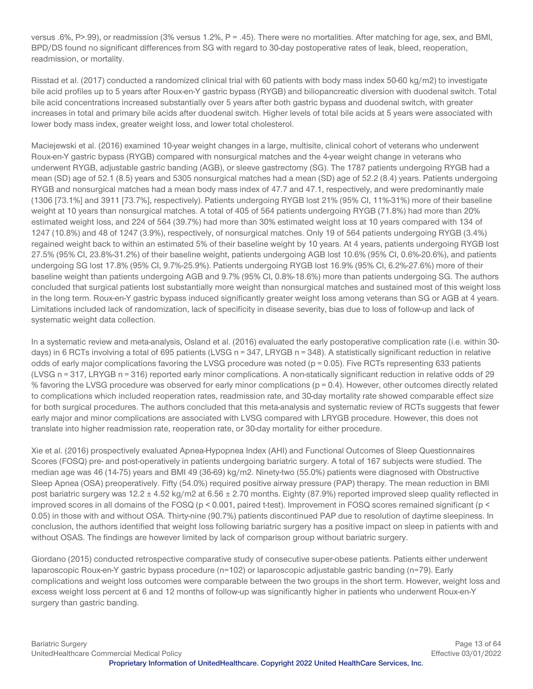versus .6%, P>.99), or readmission (3% versus 1.2%, P = .45). There were no mortalities. After matching for age, sex, and BMI, BPD/DS found no significant differences from SG with regard to 30-day postoperative rates of leak, bleed, reoperation, readmission, or mortality.

Risstad et al. (2017) conducted a randomized clinical trial with 60 patients with body mass index 50-60 kg/m2) to investigate bile acid profiles up to 5 years after Roux-en-Y gastric bypass (RYGB) and biliopancreatic diversion with duodenal switch. Total bile acid concentrations increased substantially over 5 years after both gastric bypass and duodenal switch, with greater increases in total and primary bile acids after duodenal switch. Higher levels of total bile acids at 5 years were associated with lower body mass index, greater weight loss, and lower total cholesterol.

Maciejewski et al. (2016) examined 10-year weight changes in a large, multisite, clinical cohort of veterans who underwent Roux-en-Y gastric bypass (RYGB) compared with nonsurgical matches and the 4-year weight change in veterans who underwent RYGB, adjustable gastric banding (AGB), or sleeve gastrectomy (SG). The 1787 patients undergoing RYGB had a mean (SD) age of 52.1 (8.5) years and 5305 nonsurgical matches had a mean (SD) age of 52.2 (8.4) years. Patients undergoing RYGB and nonsurgical matches had a mean body mass index of 47.7 and 47.1, respectively, and were predominantly male (1306 [73.1%] and 3911 [73.7%], respectively). Patients undergoing RYGB lost 21% (95% CI, 11%-31%) more of their baseline weight at 10 years than nonsurgical matches. A total of 405 of 564 patients undergoing RYGB (71.8%) had more than 20% estimated weight loss, and 224 of 564 (39.7%) had more than 30% estimated weight loss at 10 years compared with 134 of 1247 (10.8%) and 48 of 1247 (3.9%), respectively, of nonsurgical matches. Only 19 of 564 patients undergoing RYGB (3.4%) regained weight back to within an estimated 5% of their baseline weight by 10 years. At 4 years, patients undergoing RYGB lost 27.5% (95% CI, 23.8%-31.2%) of their baseline weight, patients undergoing AGB lost 10.6% (95% CI, 0.6%-20.6%), and patients undergoing SG lost 17.8% (95% CI, 9.7%-25.9%). Patients undergoing RYGB lost 16.9% (95% CI, 6.2%-27.6%) more of their baseline weight than patients undergoing AGB and 9.7% (95% CI, 0.8%-18.6%) more than patients undergoing SG. The authors concluded that surgical patients lost substantially more weight than nonsurgical matches and sustained most of this weight loss in the long term. Roux-en-Y gastric bypass induced significantly greater weight loss among veterans than SG or AGB at 4 years. Limitations included lack of randomization, lack of specificity in disease severity, bias due to loss of follow-up and lack of systematic weight data collection.

In a systematic review and meta-analysis, Osland et al. (2016) evaluated the early postoperative complication rate (i.e. within 30days) in 6 RCTs involving a total of 695 patients (LVSG n = 347, LRYGB n = 348). A statistically significant reduction in relative odds of early major complications favoring the LVSG procedure was noted ( $p = 0.05$ ). Five RCTs representing 633 patients (LVSG n = 317, LRYGB n = 316) reported early minor complications. A non-statically significant reduction in relative odds of 29 % favoring the LVSG procedure was observed for early minor complications (p = 0.4). However, other outcomes directly related to complications which included reoperation rates, readmission rate, and 30-day mortality rate showed comparable effect size for both surgical procedures. The authors concluded that this meta-analysis and systematic review of RCTs suggests that fewer early major and minor complications are associated with LVSG compared with LRYGB procedure. However, this does not translate into higher readmission rate, reoperation rate, or 30-day mortality for either procedure.

Xie et al. (2016) prospectively evaluated Apnea-Hypopnea Index (AHI) and Functional Outcomes of Sleep Questionnaires Scores (FOSQ) pre- and post-operatively in patients undergoing bariatric surgery. A total of 167 subjects were studied. The median age was 46 (14-75) years and BMI 49 (36-69) kg/m2. Ninety-two (55.0%) patients were diagnosed with Obstructive Sleep Apnea (OSA) preoperatively. Fifty (54.0%) required positive airway pressure (PAP) therapy. The mean reduction in BMI post bariatric surgery was 12.2 ± 4.52 kg/m2 at 6.56 ± 2.70 months. Eighty (87.9%) reported improved sleep quality reflected in improved scores in all domains of the FOSQ (p < 0.001, paired t-test). Improvement in FOSQ scores remained significant (p < 0.05) in those with and without OSA. Thirty-nine (90.7%) patients discontinued PAP due to resolution of daytime sleepiness. In conclusion, the authors identified that weight loss following bariatric surgery has a positive impact on sleep in patients with and without OSAS. The findings are however limited by lack of comparison group without bariatric surgery.

Giordano (2015) conducted retrospective comparative study of consecutive super-obese patients. Patients either underwent laparoscopic Roux-en-Y gastric bypass procedure (n=102) or laparoscopic adjustable gastric banding (n=79). Early complications and weight loss outcomes were comparable between the two groups in the short term. However, weight loss and excess weight loss percent at 6 and 12 months of follow-up was significantly higher in patients who underwent Roux-en-Y surgery than gastric banding.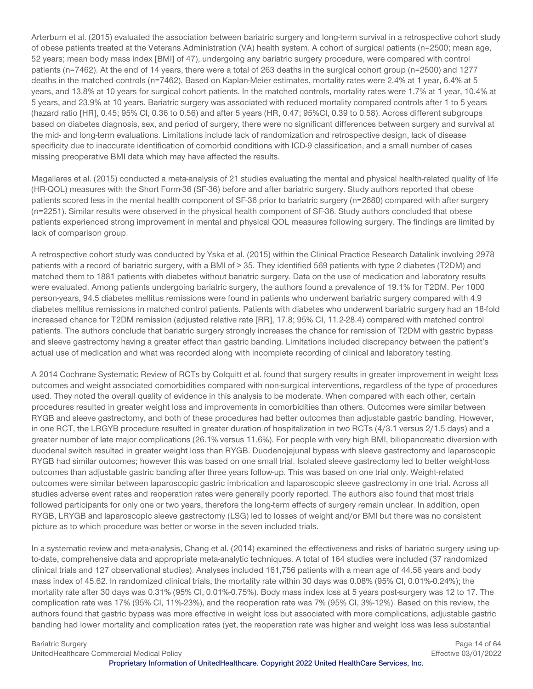Arterburn et al. (2015) evaluated the association between bariatric surgery and long-term survival in a retrospective cohort study of obese patients treated at the Veterans Administration (VA) health system. A cohort of surgical patients (n=2500; mean age, 52 years; mean body mass index [BMI] of 47), undergoing any bariatric surgery procedure, were compared with control patients (n=7462). At the end of 14 years, there were a total of 263 deaths in the surgical cohort group (n=2500) and 1277 deaths in the matched controls (n=7462). Based on Kaplan-Meier estimates, mortality rates were 2.4% at 1 year, 6.4% at 5 years, and 13.8% at 10 years for surgical cohort patients. In the matched controls, mortality rates were 1.7% at 1 year, 10.4% at 5 years, and 23.9% at 10 years. Bariatric surgery was associated with reduced mortality compared controls after 1 to 5 years (hazard ratio [HR], 0.45; 95% CI, 0.36 to 0.56) and after 5 years (HR, 0.47; 95%CI, 0.39 to 0.58). Across different subgroups based on diabetes diagnosis, sex, and period of surgery, there were no significant differences between surgery and survival at the mid- and long-term evaluations. Limitations include lack of randomization and retrospective design, lack of disease specificity due to inaccurate identification of comorbid conditions with ICD-9 classification, and a small number of cases missing preoperative BMI data which may have affected the results.

Magallares et al. (2015) conducted a meta-analysis of 21 studies evaluating the mental and physical health-related quality of life (HR-QOL) measures with the Short Form-36 (SF-36) before and after bariatric surgery. Study authors reported that obese patients scored less in the mental health component of SF-36 prior to bariatric surgery (n=2680) compared with after surgery (n=2251). Similar results were observed in the physical health component of SF-36. Study authors concluded that obese patients experienced strong improvement in mental and physical QOL measures following surgery. The findings are limited by lack of comparison group.

A retrospective cohort study was conducted by Yska et al. (2015) within the Clinical Practice Research Datalink involving 2978 patients with a record of bariatric surgery, with a BMI of > 35. They identified 569 patients with type 2 diabetes (T2DM) and matched them to 1881 patients with diabetes without bariatric surgery. Data on the use of medication and laboratory results were evaluated. Among patients undergoing bariatric surgery, the authors found a prevalence of 19.1% for T2DM. Per 1000 person-years, 94.5 diabetes mellitus remissions were found in patients who underwent bariatric surgery compared with 4.9 diabetes mellitus remissions in matched control patients. Patients with diabetes who underwent bariatric surgery had an 18-fold increased chance for T2DM remission (adjusted relative rate [RR], 17.8; 95% CI, 11.2-28.4) compared with matched control patients. The authors conclude that bariatric surgery strongly increases the chance for remission of T2DM with gastric bypass and sleeve gastrectomy having a greater effect than gastric banding. Limitations included discrepancy between the patient's actual use of medication and what was recorded along with incomplete recording of clinical and laboratory testing.

A 2014 Cochrane Systematic Review of RCTs by Colquitt et al. found that surgery results in greater improvement in weight loss outcomes and weight associated comorbidities compared with non-surgical interventions, regardless of the type of procedures used. They noted the overall quality of evidence in this analysis to be moderate. When compared with each other, certain procedures resulted in greater weight loss and improvements in comorbidities than others. Outcomes were similar between RYGB and sleeve gastrectomy, and both of these procedures had better outcomes than adjustable gastric banding. However, in one RCT, the LRGYB procedure resulted in greater duration of hospitalization in two RCTs (4/3.1 versus 2/1.5 days) and a greater number of late major complications (26.1% versus 11.6%). For people with very high BMI, biliopancreatic diversion with duodenal switch resulted in greater weight loss than RYGB. Duodenojejunal bypass with sleeve gastrectomy and laparoscopic RYGB had similar outcomes; however this was based on one small trial. Isolated sleeve gastrectomy led to better weight-loss outcomes than adjustable gastric banding after three years follow-up. This was based on one trial only. Weight-related outcomes were similar between laparoscopic gastric imbrication and laparoscopic sleeve gastrectomy in one trial. Across all studies adverse event rates and reoperation rates were generally poorly reported. The authors also found that most trials followed participants for only one or two years, therefore the long-term effects of surgery remain unclear. In addition, open RYGB, LRYGB and laparoscopic sleeve gastrectomy (LSG) led to losses of weight and/or BMI but there was no consistent picture as to which procedure was better or worse in the seven included trials.

In a systematic review and meta-analysis, Chang et al. (2014) examined the effectiveness and risks of bariatric surgery using upto-date, comprehensive data and appropriate meta-analytic techniques. A total of 164 studies were included (37 randomized clinical trials and 127 observational studies). Analyses included 161,756 patients with a mean age of 44.56 years and body mass index of 45.62. In randomized clinical trials, the mortality rate within 30 days was 0.08% (95% CI, 0.01%-0.24%); the mortality rate after 30 days was 0.31% (95% CI, 0.01%-0.75%). Body mass index loss at 5 years post-surgery was 12 to 17. The complication rate was 17% (95% CI, 11%-23%), and the reoperation rate was 7% (95% CI, 3%-12%). Based on this review, the authors found that gastric bypass was more effective in weight loss but associated with more complications, adjustable gastric banding had lower mortality and complication rates (yet, the reoperation rate was higher and weight loss was less substantial

Bariatric Surgery Page 14 of 64 UnitedHealthcare Commercial Medical Policy Effective 03/01/2022 **Proprietary Information of UnitedHealthcare. Copyright 2022 United HealthCare Services, Inc.**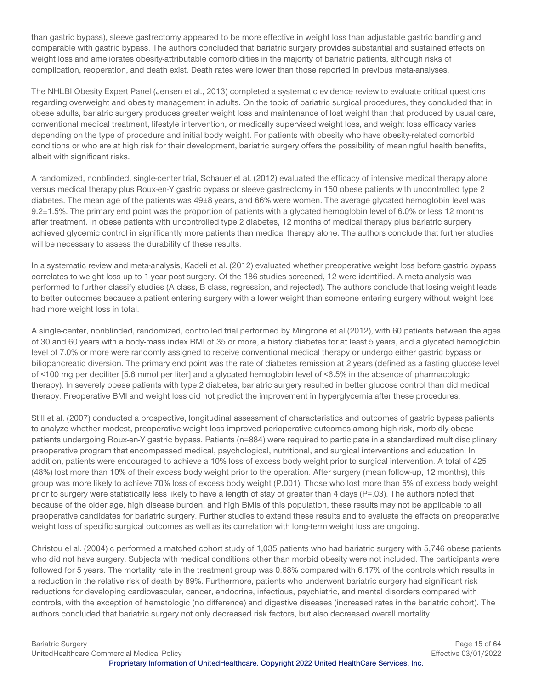than gastric bypass), sleeve gastrectomy appeared to be more effective in weight loss than adjustable gastric banding and comparable with gastric bypass. The authors concluded that bariatric surgery provides substantial and sustained effects on weight loss and ameliorates obesity-attributable comorbidities in the majority of bariatric patients, although risks of complication, reoperation, and death exist. Death rates were lower than those reported in previous meta-analyses.

The NHLBI Obesity Expert Panel (Jensen et al., 2013) completed a systematic evidence review to evaluate critical questions regarding overweight and obesity management in adults. On the topic of bariatric surgical procedures, they concluded that in obese adults, bariatric surgery produces greater weight loss and maintenance of lost weight than that produced by usual care, conventional medical treatment, lifestyle intervention, or medically supervised weight loss, and weight loss efficacy varies depending on the type of procedure and initial body weight. For patients with obesity who have obesity-related comorbid conditions or who are at high risk for their development, bariatric surgery offers the possibility of meaningful health benefits, albeit with significant risks.

A randomized, nonblinded, single-center trial, Schauer et al. (2012) evaluated the efficacy of intensive medical therapy alone versus medical therapy plus Roux-en-Y gastric bypass or sleeve gastrectomy in 150 obese patients with uncontrolled type 2 diabetes. The mean age of the patients was 49±8 years, and 66% were women. The average glycated hemoglobin level was 9.2±1.5%. The primary end point was the proportion of patients with a glycated hemoglobin level of 6.0% or less 12 months after treatment. In obese patients with uncontrolled type 2 diabetes, 12 months of medical therapy plus bariatric surgery achieved glycemic control in significantly more patients than medical therapy alone. The authors conclude that further studies will be necessary to assess the durability of these results.

In a systematic review and meta-analysis, Kadeli et al. (2012) evaluated whether preoperative weight loss before gastric bypass correlates to weight loss up to 1-year post-surgery. Of the 186 studies screened, 12 were identified. A meta-analysis was performed to further classify studies (A class, B class, regression, and rejected). The authors conclude that losing weight leads to better outcomes because a patient entering surgery with a lower weight than someone entering surgery without weight loss had more weight loss in total.

A single-center, nonblinded, randomized, controlled trial performed by Mingrone et al (2012), with 60 patients between the ages of 30 and 60 years with a body-mass index BMI of 35 or more, a history diabetes for at least 5 years, and a glycated hemoglobin level of 7.0% or more were randomly assigned to receive conventional medical therapy or undergo either gastric bypass or biliopancreatic diversion. The primary end point was the rate of diabetes remission at 2 years (defined as a fasting glucose level of <100 mg per deciliter [5.6 mmol per liter] and a glycated hemoglobin level of <6.5% in the absence of pharmacologic therapy). In severely obese patients with type 2 diabetes, bariatric surgery resulted in better glucose control than did medical therapy. Preoperative BMI and weight loss did not predict the improvement in hyperglycemia after these procedures.

Still et al. (2007) conducted a prospective, longitudinal assessment of characteristics and outcomes of gastric bypass patients to analyze whether modest, preoperative weight loss improved perioperative outcomes among high-risk, morbidly obese patients undergoing Roux-en-Y gastric bypass. Patients (n=884) were required to participate in a standardized multidisciplinary preoperative program that encompassed medical, psychological, nutritional, and surgical interventions and education. In addition, patients were encouraged to achieve a 10% loss of excess body weight prior to surgical intervention. A total of 425 (48%) lost more than 10% of their excess body weight prior to the operation. After surgery (mean follow-up, 12 months), this group was more likely to achieve 70% loss of excess body weight (P.001). Those who lost more than 5% of excess body weight prior to surgery were statistically less likely to have a length of stay of greater than 4 days (P=.03). The authors noted that because of the older age, high disease burden, and high BMIs of this population, these results may not be applicable to all preoperative candidates for bariatric surgery. Further studies to extend these results and to evaluate the effects on preoperative weight loss of specific surgical outcomes as well as its correlation with long-term weight loss are ongoing.

Christou el al. (2004) c performed a matched cohort study of 1,035 patients who had bariatric surgery with 5,746 obese patients who did not have surgery. Subjects with medical conditions other than morbid obesity were not included. The participants were followed for 5 years. The mortality rate in the treatment group was 0.68% compared with 6.17% of the controls which results in a reduction in the relative risk of death by 89%. Furthermore, patients who underwent bariatric surgery had significant risk reductions for developing cardiovascular, cancer, endocrine, infectious, psychiatric, and mental disorders compared with controls, with the exception of hematologic (no difference) and digestive diseases (increased rates in the bariatric cohort). The authors concluded that bariatric surgery not only decreased risk factors, but also decreased overall mortality.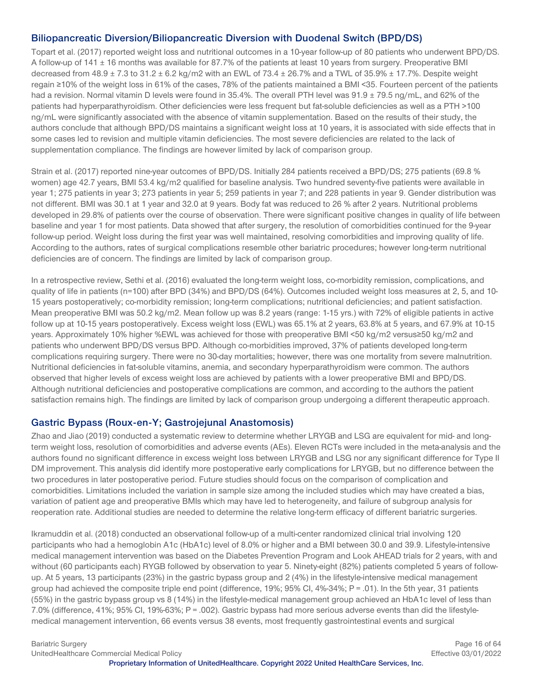### **Biliopancreatic Diversion/Biliopancreatic Diversion with Duodenal Switch (BPD/DS)**

Topart et al. (2017) reported weight loss and nutritional outcomes in a 10-year follow-up of 80 patients who underwent BPD/DS. A follow-up of 141 ± 16 months was available for 87.7% of the patients at least 10 years from surgery. Preoperative BMI decreased from  $48.9 \pm 7.3$  to  $31.2 \pm 6.2$  kg/m2 with an EWL of 73.4  $\pm 26.7$ % and a TWL of 35.9%  $\pm 17.7$ %. Despite weight regain ≥10% of the weight loss in 61% of the cases, 78% of the patients maintained a BMI <35. Fourteen percent of the patients had a revision. Normal vitamin D levels were found in 35.4%. The overall PTH level was 91.9 ± 79.5 ng/mL, and 62% of the patients had hyperparathyroidism. Other deficiencies were less frequent but fat-soluble deficiencies as well as a PTH >100 ng/mL were significantly associated with the absence of vitamin supplementation. Based on the results of their study, the authors conclude that although BPD/DS maintains a significant weight loss at 10 years, it is associated with side effects that in some cases led to revision and multiple vitamin deficiencies. The most severe deficiencies are related to the lack of supplementation compliance. The findings are however limited by lack of comparison group.

Strain et al. (2017) reported nine-year outcomes of BPD/DS. Initially 284 patients received a BPD/DS; 275 patients (69.8 % women) age 42.7 years, BMI 53.4 kg/m2 qualified for baseline analysis. Two hundred seventy-five patients were available in year 1; 275 patients in year 3; 273 patients in year 5; 259 patients in year 7; and 228 patients in year 9. Gender distribution was not different. BMI was 30.1 at 1 year and 32.0 at 9 years. Body fat was reduced to 26 % after 2 years. Nutritional problems developed in 29.8% of patients over the course of observation. There were significant positive changes in quality of life between baseline and year 1 for most patients. Data showed that after surgery, the resolution of comorbidities continued for the 9-year follow-up period. Weight loss during the first year was well maintained, resolving comorbidities and improving quality of life. According to the authors, rates of surgical complications resemble other bariatric procedures; however long-term nutritional deficiencies are of concern. The findings are limited by lack of comparison group.

In a retrospective review, Sethi et al. (2016) evaluated the long-term weight loss, co-morbidity remission, complications, and quality of life in patients (n=100) after BPD (34%) and BPD/DS (64%). Outcomes included weight loss measures at 2, 5, and 10- 15 years postoperatively; co-morbidity remission; long-term complications; nutritional deficiencies; and patient satisfaction. Mean preoperative BMI was 50.2 kg/m2. Mean follow up was 8.2 years (range: 1-15 yrs.) with 72% of eligible patients in active follow up at 10-15 years postoperatively. Excess weight loss (EWL) was 65.1% at 2 years, 63.8% at 5 years, and 67.9% at 10-15 years. Approximately 10% higher %EWL was achieved for those with preoperative BMI <50 kg/m2 versus≥50 kg/m2 and patients who underwent BPD/DS versus BPD. Although co-morbidities improved, 37% of patients developed long-term complications requiring surgery. There were no 30-day mortalities; however, there was one mortality from severe malnutrition. Nutritional deficiencies in fat-soluble vitamins, anemia, and secondary hyperparathyroidism were common. The authors observed that higher levels of excess weight loss are achieved by patients with a lower preoperative BMI and BPD/DS. Although nutritional deficiencies and postoperative complications are common, and according to the authors the patient satisfaction remains high. The findings are limited by lack of comparison group undergoing a different therapeutic approach.

#### **Gastric Bypass (Roux-en-Y; Gastrojejunal Anastomosis)**

Zhao and Jiao (2019) conducted a systematic review to determine whether LRYGB and LSG are equivalent for mid- and longterm weight loss, resolution of comorbidities and adverse events (AEs). Eleven RCTs were included in the meta-analysis and the authors found no significant difference in excess weight loss between LRYGB and LSG nor any significant difference for Type II DM improvement. This analysis did identify more postoperative early complications for LRYGB, but no difference between the two procedures in later postoperative period. Future studies should focus on the comparison of complication and comorbidities. Limitations included the variation in sample size among the included studies which may have created a bias, variation of patient age and preoperative BMIs which may have led to heterogeneity, and failure of subgroup analysis for reoperation rate. Additional studies are needed to determine the relative long-term efficacy of different bariatric surgeries.

Ikramuddin et al. (2018) conducted an observational follow-up of a multi-center randomized clinical trial involving 120 participants who had a hemoglobin A1c (HbA1c) level of 8.0% or higher and a BMI between 30.0 and 39.9. Lifestyle-intensive medical management intervention was based on the Diabetes Prevention Program and Look AHEAD trials for 2 years, with and without (60 participants each) RYGB followed by observation to year 5. Ninety-eight (82%) patients completed 5 years of followup. At 5 years, 13 participants (23%) in the gastric bypass group and 2 (4%) in the lifestyle-intensive medical management group had achieved the composite triple end point (difference,  $19\%$ ;  $95\%$  CI,  $4\%$ -34%;  $P = .01$ ). In the 5th year, 31 patients (55%) in the gastric bypass group vs 8 (14%) in the lifestyle-medical management group achieved an HbA1c level of less than 7.0% (difference, 41%; 95% CI, 19%-63%; P = .002). Gastric bypass had more serious adverse events than did the lifestylemedical management intervention, 66 events versus 38 events, most frequently gastrointestinal events and surgical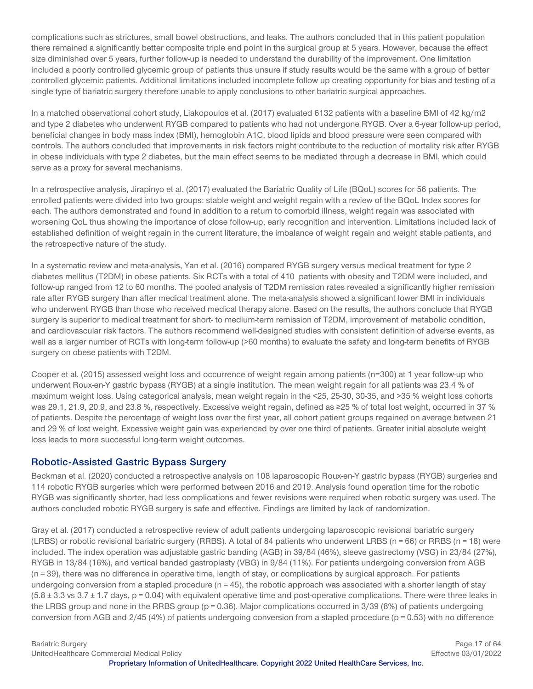complications such as strictures, small bowel obstructions, and leaks. The authors concluded that in this patient population there remained a significantly better composite triple end point in the surgical group at 5 years. However, because the effect size diminished over 5 years, further follow-up is needed to understand the durability of the improvement. One limitation included a poorly controlled glycemic group of patients thus unsure if study results would be the same with a group of better controlled glycemic patients. Additional limitations included incomplete follow up creating opportunity for bias and testing of a single type of bariatric surgery therefore unable to apply conclusions to other bariatric surgical approaches.

In a matched observational cohort study, Liakopoulos et al. (2017) evaluated 6132 patients with a baseline BMI of 42 kg/m2 and type 2 diabetes who underwent RYGB compared to patients who had not undergone RYGB. Over a 6-year follow-up period, beneficial changes in body mass index (BMI), hemoglobin A1C, blood lipids and blood pressure were seen compared with controls. The authors concluded that improvements in risk factors might contribute to the reduction of mortality risk after RYGB in obese individuals with type 2 diabetes, but the main effect seems to be mediated through a decrease in BMI, which could serve as a proxy for several mechanisms.

In a retrospective analysis, Jirapinyo et al. (2017) evaluated the Bariatric Quality of Life (BQoL) scores for 56 patients. The enrolled patients were divided into two groups: stable weight and weight regain with a review of the BQoL Index scores for each. The authors demonstrated and found in addition to a return to comorbid illness, weight regain was associated with worsening QoL thus showing the importance of close follow-up, early recognition and intervention. Limitations included lack of established definition of weight regain in the current literature, the imbalance of weight regain and weight stable patients, and the retrospective nature of the study.

In a systematic review and meta-analysis, Yan et al. (2016) compared RYGB surgery versus medical treatment for type 2 diabetes mellitus (T2DM) in obese patients. Six RCTs with a total of 410 patients with obesity and T2DM were included, and follow-up ranged from 12 to 60 months. The pooled analysis of T2DM remission rates revealed a significantly higher remission rate after RYGB surgery than after medical treatment alone. The meta-analysis showed a significant lower BMI in individuals who underwent RYGB than those who received medical therapy alone. Based on the results, the authors conclude that RYGB surgery is superior to medical treatment for short- to medium-term remission of T2DM, improvement of metabolic condition, and cardiovascular risk factors. The authors recommend well-designed studies with consistent definition of adverse events, as well as a larger number of RCTs with long-term follow-up (>60 months) to evaluate the safety and long-term benefits of RYGB surgery on obese patients with T2DM.

Cooper et al. (2015) assessed weight loss and occurrence of weight regain among patients (n=300) at 1 year follow-up who underwent Roux-en-Y gastric bypass (RYGB) at a single institution. The mean weight regain for all patients was 23.4 % of maximum weight loss. Using categorical analysis, mean weight regain in the <25, 25-30, 30-35, and >35 % weight loss cohorts was 29.1, 21.9, 20.9, and 23.8 %, respectively. Excessive weight regain, defined as ≥25 % of total lost weight, occurred in 37 % of patients. Despite the percentage of weight loss over the first year, all cohort patient groups regained on average between 21 and 29 % of lost weight. Excessive weight gain was experienced by over one third of patients. Greater initial absolute weight loss leads to more successful long-term weight outcomes.

#### **Robotic-Assisted Gastric Bypass Surgery**

Beckman et al. (2020) conducted a retrospective analysis on 108 laparoscopic Roux-en-Y gastric bypass (RYGB) surgeries and 114 robotic RYGB surgeries which were performed between 2016 and 2019. Analysis found operation time for the robotic RYGB was significantly shorter, had less complications and fewer revisions were required when robotic surgery was used. The authors concluded robotic RYGB surgery is safe and effective. Findings are limited by lack of randomization.

Gray et al. (2017) conducted a retrospective review of adult patients undergoing laparoscopic revisional bariatric surgery (LRBS) or robotic revisional bariatric surgery (RRBS). A total of 84 patients who underwent LRBS (n = 66) or RRBS (n = 18) were included. The index operation was adjustable gastric banding (AGB) in 39/84 (46%), sleeve gastrectomy (VSG) in 23/84 (27%), RYGB in 13/84 (16%), and vertical banded gastroplasty (VBG) in 9/84 (11%). For patients undergoing conversion from AGB (n = 39), there was no difference in operative time, length of stay, or complications by surgical approach. For patients undergoing conversion from a stapled procedure ( $n = 45$ ), the robotic approach was associated with a shorter length of stay  $(5.8 \pm 3.3 \text{ vs } 3.7 \pm 1.7 \text{ days}, p = 0.04)$  with equivalent operative time and post-operative complications. There were three leaks in the LRBS group and none in the RRBS group ( $p = 0.36$ ). Major complications occurred in  $3/39$  (8%) of patients undergoing conversion from AGB and 2/45 (4%) of patients undergoing conversion from a stapled procedure (p = 0.53) with no difference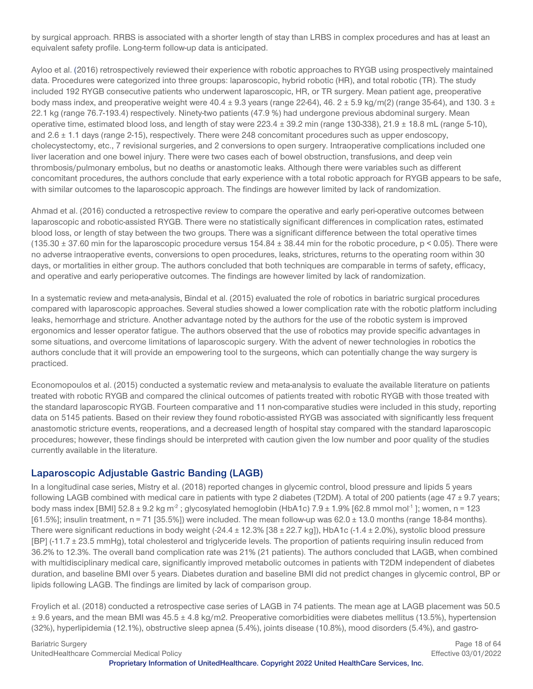by surgical approach. RRBS is associated with a shorter length of stay than LRBS in complex procedures and has at least an equivalent safety profile. Long-term follow-up data is anticipated.

[Ayloo e](http://www.ncbi.nlm.nih.gov/pubmed/?term=Ayloo%20S%5BAuthor%5D&cauthor=true&cauthor_uid=26809754)t al. [\(2](http://www.ncbi.nlm.nih.gov/pubmed/?term=Choudhury%20N%5BAuthor%5D&cauthor=true&cauthor_uid=26809754)016) retrospectively reviewed their experience with robotic approaches to RYGB using prospectively maintained data. Procedures were categorized into three groups: laparoscopic, hybrid robotic (HR), and total robotic (TR). The study included 192 RYGB consecutive patients who underwent laparoscopic, HR, or TR surgery. Mean patient age, preoperative body mass index, and preoperative weight were  $40.4 \pm 9.3$  years (range 22-64), 46. 2  $\pm$  5.9 kg/m(2) (range 35-64), and 130. 3  $\pm$ 22.1 kg (range 76.7-193.4) respectively. Ninety-two patients (47.9 %) had undergone previous abdominal surgery. Mean operative time, estimated blood loss, and length of stay were  $223.4 \pm 39.2$  min (range  $130-338$ ),  $21.9 \pm 18.8$  mL (range 5-10), and 2.6 ± 1.1 days (range 2-15), respectively. There were 248 concomitant procedures such as upper endoscopy, cholecystectomy, etc., 7 revisional surgeries, and 2 conversions to open surgery. Intraoperative complications included one liver laceration and one bowel injury. There were two cases each of bowel obstruction, transfusions, and deep vein thrombosis/pulmonary embolus, but no deaths or anastomotic leaks. Although there were variables such as different concomitant procedures, the authors conclude that early experience with a total robotic approach for RYGB appears to be safe, with similar outcomes to the laparoscopic approach. The findings are however limited by lack of randomization.

Ahmad et al. (2016) conducted a retrospective review to compare the operative and early peri-operative outcomes between laparoscopic and robotic-assisted RYGB. There were no statistically significant differences in complication rates, estimated blood loss, or length of stay between the two groups. There was a significant difference between the total operative times  $(135.30 \pm 37.60$  min for the laparoscopic procedure versus  $154.84 \pm 38.44$  min for the robotic procedure, p < 0.05). There were no adverse intraoperative events, conversions to open procedures, leaks, strictures, returns to the operating room within 30 days, or mortalities in either group. The authors concluded that both techniques are comparable in terms of safety, efficacy, and operative and early perioperative outcomes. The findings are however limited by lack of randomization.

In a systematic review and meta-analysis, Bindal et al. (2015) evaluated the role of robotics in bariatric surgical procedures compared with laparoscopic approaches. Several studies showed a lower complication rate with the robotic platform including leaks, hemorrhage and stricture. Another advantage noted by the authors for the use of the robotic system is improved ergonomics and lesser operator fatigue. The authors observed that the use of robotics may provide specific advantages in some situations, and overcome limitations of laparoscopic surgery. With the advent of newer technologies in robotics the authors conclude that it will provide an empowering tool to the surgeons, which can potentially change the way surgery is practiced.

Economopoulos et al. (2015) conducted a systematic review and meta-analysis to evaluate the available literature on patients treated with robotic RYGB and compared the clinical outcomes of patients treated with robotic RYGB with those treated with the standard laparoscopic RYGB. Fourteen comparative and 11 non-comparative studies were included in this study, reporting data on 5145 patients. Based on their review they found robotic-assisted RYGB was associated with significantly less frequent anastomotic stricture events, reoperations, and a decreased length of hospital stay compared with the standard laparoscopic procedures; however, these findings should be interpreted with caution given the low number and poor quality of the studies currently available in the literature.

# **Laparoscopic Adjustable Gastric Banding (LAGB)**

In a longitudinal case series, Mistry et al. (2018) reported changes in glycemic control, blood pressure and lipids 5 years following LAGB combined with medical care in patients with type 2 diabetes (T2DM). A total of 200 patients (age 47 ± 9.7 years; body mass index [BMI] 52.8  $\pm$  9.2 kg m<sup>-2</sup>; glycosylated hemoglobin (HbA1c) 7.9  $\pm$  1.9% [62.8 mmol mol<sup>-1</sup>]; women, n = 123  $[61.5\%]$ ; insulin treatment, n = 71 [35.5%]) were included. The mean follow-up was 62.0  $\pm$  13.0 months (range 18-84 months). There were significant reductions in body weight  $(-24.4 \pm 12.3\%$  [38  $\pm$  22.7 kg]), HbA1c  $(-1.4 \pm 2.0\%)$ , systolic blood pressure [BP] (-11.7 ± 23.5 mmHg), total cholesterol and triglyceride levels. The proportion of patients requiring insulin reduced from 36.2% to 12.3%. The overall band complication rate was 21% (21 patients). The authors concluded that LAGB, when combined with multidisciplinary medical care, significantly improved metabolic outcomes in patients with T2DM independent of diabetes duration, and baseline BMI over 5 years. Diabetes duration and baseline BMI did not predict changes in glycemic control, BP or lipids following LAGB. The findings are limited by lack of comparison group.

Froylich et al. (2018) conducted a retrospective case series of LAGB in 74 patients. The mean age at LAGB placement was 50.5 ± 9.6 years, and the mean BMI was 45.5 ± 4.8 kg/m2. Preoperative comorbidities were diabetes mellitus (13.5%), hypertension (32%), hyperlipidemia (12.1%), obstructive sleep apnea (5.4%), joints disease (10.8%), mood disorders (5.4%), and gastro-

Bariatric Surgery **Page 18 of 64 Page 18 of 64** UnitedHealthcare Commercial Medical Policy Effective 03/01/2022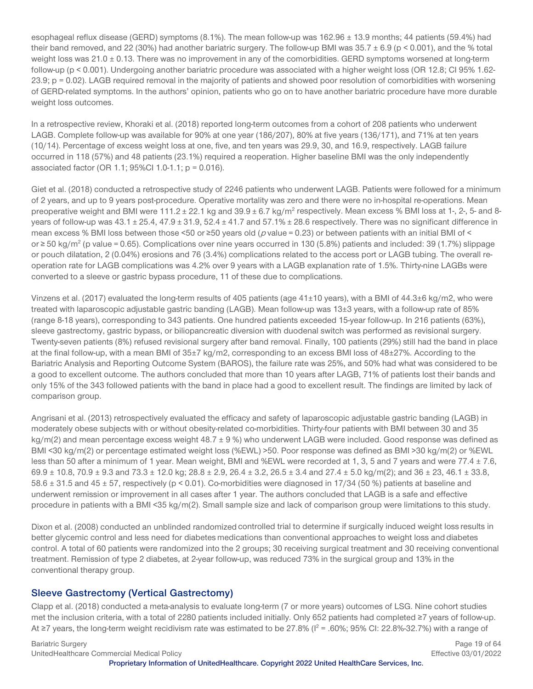esophageal reflux disease (GERD) symptoms (8.1%). The mean follow-up was 162.96 ± 13.9 months; 44 patients (59.4%) had their band removed, and 22 (30%) had another bariatric surgery. The follow-up BMI was  $35.7 \pm 6.9$  (p < 0.001), and the % total weight loss was 21.0 ± 0.13. There was no improvement in any of the comorbidities. GERD symptoms worsened at long-term follow-up (p < 0.001). Undergoing another bariatric procedure was associated with a higher weight loss (OR 12.8; CI 95% 1.62- 23.9; p = 0.02). LAGB required removal in the majority of patients and showed poor resolution of comorbidities with worsening of GERD-related symptoms. In the authors' opinion, patients who go on to have another bariatric procedure have more durable weight loss outcomes.

In a retrospective review, Khoraki et al. (2018) reported long-term outcomes from a cohort of 208 patients who underwent LAGB. Complete follow-up was available for 90% at one year (186/207), 80% at five years (136/171), and 71% at ten years (10/14). Percentage of excess weight loss at one, five, and ten years was 29.9, 30, and 16.9, respectively. LAGB failure occurred in 118 (57%) and 48 patients (23.1%) required a reoperation. Higher baseline BMI was the only independently associated factor (OR 1.1; 95%Cl 1.0-1.1;  $p = 0.016$ ).

Giet et al. (2018) conducted a retrospective study of 2246 patients who underwent LAGB. Patients were followed for a minimum of 2 years, and up to 9 years post-procedure. Operative mortality was zero and there were no in-hospital re-operations. Mean preoperative weight and BMI were  $111.2 \pm 22.1$  kg and  $39.9 \pm 6.7$  kg/m<sup>2</sup> respectively. Mean excess % BMI loss at 1-, 2-, 5- and 8years of follow-up was  $43.1 \pm 25.4$ ,  $47.9 \pm 31.9$ ,  $52.4 \pm 41.7$  and  $57.1\% \pm 28.6$  respectively. There was no significant difference in mean excess % BMI loss between those <50 or ≥50 years old ( $p$  value = 0.23) or between patients with an initial BMI of < or ≥ 50 kg/m2 (p value = 0.65). Complications over nine years occurred in 130 (5.8%) patients and included: 39 (1.7%) slippage or pouch dilatation, 2 (0.04%) erosions and 76 (3.4%) complications related to the access port or LAGB tubing. The overall reoperation rate for LAGB complications was 4.2% over 9 years with a LAGB explanation rate of 1.5%. Thirty-nine LAGBs were converted to a sleeve or gastric bypass procedure, 11 of these due to complications.

Vinzens et al. (2017) evaluated the long-term results of 405 patients (age 41±10 years), with a BMI of 44.3±6 kg/m2, who were treated with laparoscopic adjustable gastric banding (LAGB). Mean follow-up was 13±3 years, with a follow-up rate of 85% (range 8-18 years), corresponding to 343 patients. One hundred patients exceeded 15-year follow-up. In 216 patients (63%), sleeve gastrectomy, gastric bypass, or biliopancreatic diversion with duodenal switch was performed as revisional surgery. Twenty-seven patients (8%) refused revisional surgery after band removal. Finally, 100 patients (29%) still had the band in place at the final follow-up, with a mean BMI of 35±7 kg/m2, corresponding to an excess BMI loss of 48±27%. According to the Bariatric Analysis and Reporting Outcome System (BAROS), the failure rate was 25%, and 50% had what was considered to be a good to excellent outcome. The authors concluded that more than 10 years after LAGB, 71% of patients lost their bands and only 15% of the 343 followed patients with the band in place had a good to excellent result. The findings are limited by lack of comparison group.

Angrisani et al. (2013) retrospectively evaluated the efficacy and safety of laparoscopic adjustable gastric banding (LAGB) in moderately obese subjects with or without obesity-related co-morbidities. Thirty-four patients with BMI between 30 and 35 kg/m(2) and mean percentage excess weight 48.7 ± 9%) who underwent LAGB were included. Good response was defined as BMI <30 kg/m(2) or percentage estimated weight loss (%EWL) >50. Poor response was defined as BMI >30 kg/m(2) or %EWL less than 50 after a minimum of 1 year. Mean weight, BMI and %EWL were recorded at 1, 3, 5 and 7 years and were 77.4 ± 7.6,  $69.9 \pm 10.8$ ,  $70.9 \pm 9.3$  and  $73.3 \pm 12.0$  kg;  $28.8 \pm 2.9$ ,  $26.4 \pm 3.2$ ,  $26.5 \pm 3.4$  and  $27.4 \pm 5.0$  kg/m(2); and  $36 \pm 23$ ,  $46.1 \pm 33.8$ , 58.6  $\pm$  31.5 and 45  $\pm$  57, respectively (p < 0.01). Co-morbidities were diagnosed in 17/34 (50 %) patients at baseline and underwent remission or improvement in all cases after 1 year. The authors concluded that LAGB is a safe and effective procedure in patients with a BMI <35 kg/m(2). Small sample size and lack of comparison group were limitations to this study.

Dixon et al. (2008) conducted an unblinded randomized controlled trial to determine if surgically induced weight loss results in better glycemic control and less need for diabetes medications than conventional approaches to weight loss and diabetes control. A total of 60 patients were randomized into the 2 groups; 30 receiving surgical treatment and 30 receiving conventional treatment. Remission of type 2 diabetes, at 2-year follow-up, was reduced 73% in the surgical group and 13% in the conventional therapy group.

#### **Sleeve Gastrectomy (Vertical Gastrectomy)**

Clapp et al. (2018) conducted a meta-analysis to evaluate long-term (7 or more years) outcomes of LSG. Nine cohort studies met the inclusion criteria, with a total of 2280 patients included initially. Only 652 patients had completed ≥7 years of follow-up. At ≥7 years, the long-term weight recidivism rate was estimated to be 27.8% ( $I^2$  = .60%; 95% CI: 22.8%-32.7%) with a range of

Bariatric Surgery **Page 19 of 64 Page 19 of 64** UnitedHealthcare Commercial Medical Policy Effective 03/01/2022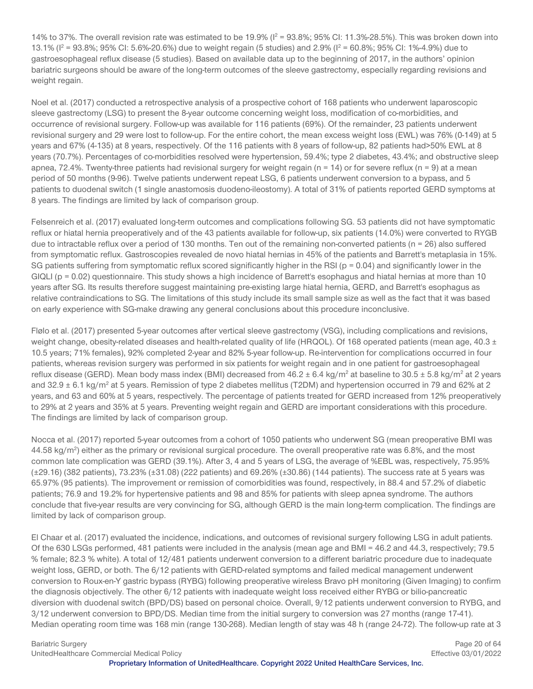14% to 37%. The overall revision rate was estimated to be 19.9% ( $I^2$  = 93.8%; 95% CI: 11.3%-28.5%). This was broken down into 13.1% ( $I^2 = 93.8\%$ ; 95% CI: 5.6%-20.6%) due to weight regain (5 studies) and 2.9% ( $I^2 = 60.8\%$ ; 95% CI: 1%-4.9%) due to gastroesophageal reflux disease (5 studies). Based on available data up to the beginning of 2017, in the authors' opinion bariatric surgeons should be aware of the long-term outcomes of the sleeve gastrectomy, especially regarding revisions and weight regain.

Noel et al. (2017) conducted a retrospective analysis of a prospective cohort of 168 patients who underwent laparoscopic sleeve gastrectomy (LSG) to present the 8-year outcome concerning weight loss, modification of co-morbidities, and occurrence of revisional surgery. Follow-up was available for 116 patients (69%). Of the remainder, 23 patients underwent revisional surgery and 29 were lost to follow-up. For the entire cohort, the mean excess weight loss (EWL) was 76% (0-149) at 5 years and 67% (4-135) at 8 years, respectively. Of the 116 patients with 8 years of follow-up, 82 patients had>50% EWL at 8 years (70.7%). Percentages of co-morbidities resolved were hypertension, 59.4%; type 2 diabetes, 43.4%; and obstructive sleep apnea, 72.4%. Twenty-three patients had revisional surgery for weight regain ( $n = 14$ ) or for severe reflux ( $n = 9$ ) at a mean period of 50 months (9-96). Twelve patients underwent repeat LSG, 6 patients underwent conversion to a bypass, and 5 patients to duodenal switch (1 single anastomosis duodeno-ileostomy). A total of 31% of patients reported GERD symptoms at 8 years. The findings are limited by lack of comparison group.

Felsenreich et al. (2017) evaluated long-term outcomes and complications following SG. 53 patients did not have symptomatic reflux or hiatal hernia preoperatively and of the 43 patients available for follow-up, six patients (14.0%) were converted to RYGB due to intractable reflux over a period of 130 months. Ten out of the remaining non-converted patients ( $n = 26$ ) also suffered from symptomatic reflux. Gastroscopies revealed de novo hiatal hernias in 45% of the patients and Barrett's metaplasia in 15%. SG patients suffering from symptomatic reflux scored significantly higher in the RSI ( $p = 0.04$ ) and significantly lower in the  $GIQLI$  (p = 0.02) questionnaire. This study shows a high incidence of Barrett's esophagus and hiatal hernias at more than 10 years after SG. Its results therefore suggest maintaining pre-existing large hiatal hernia, GERD, and Barrett's esophagus as relative contraindications to SG. The limitations of this study include its small sample size as well as the fact that it was based on early experience with SG-make drawing any general conclusions about this procedure inconclusive.

Flølo et al. (2017) presented 5-year outcomes after vertical sleeve gastrectomy (VSG), including complications and revisions, weight change, obesity-related diseases and health-related quality of life (HRQOL). Of 168 operated patients (mean age, 40.3  $\pm$ 10.5 years; 71% females), 92% completed 2-year and 82% 5-year follow-up. Re-intervention for complications occurred in four patients, whereas revision surgery was performed in six patients for weight regain and in one patient for gastroesophageal reflux disease (GERD). Mean body mass index (BMI) decreased from  $46.2 \pm 6.4$  kg/m<sup>2</sup> at baseline to  $30.5 \pm 5.8$  kg/m<sup>2</sup> at 2 years and  $32.9 \pm 6.1$  kg/m<sup>2</sup> at 5 years. Remission of type 2 diabetes mellitus (T2DM) and hypertension occurred in 79 and 62% at 2 years, and 63 and 60% at 5 years, respectively. The percentage of patients treated for GERD increased from 12% preoperatively to 29% at 2 years and 35% at 5 years. Preventing weight regain and GERD are important considerations with this procedure. The findings are limited by lack of comparison group.

Nocca et al. (2017) reported 5-year outcomes from a cohort of 1050 patients who underwent SG (mean preoperative BMI was 44.58 kg/m<sup>2</sup>) either as the primary or revisional surgical procedure. The overall preoperative rate was 6.8%, and the most common late complication was GERD (39.1%). After 3, 4 and 5 years of LSG, the average of %EBL was, respectively, 75.95% (±29.16) (382 patients), 73.23% (±31.08) (222 patients) and 69.26% (±30.86) (144 patients). The success rate at 5 years was 65.97% (95 patients). The improvement or remission of comorbidities was found, respectively, in 88.4 and 57.2% of diabetic patients; 76.9 and 19.2% for hypertensive patients and 98 and 85% for patients with sleep apnea syndrome. The authors conclude that five-year results are very convincing for SG, although GERD is the main long-term complication. The findings are limited by lack of comparison group.

El Chaar et al. (2017) evaluated the incidence, indications, and outcomes of revisional surgery following LSG in adult patients. Of the 630 LSGs performed, 481 patients were included in the analysis (mean age and BMI = 46.2 and 44.3, respectively; 79.5 % female; 82.3 % white). A total of 12/481 patients underwent conversion to a different bariatric procedure due to inadequate weight loss, GERD, or both. The 6/12 patients with GERD-related symptoms and failed medical management underwent conversion to Roux-en-Y gastric bypass (RYBG) following preoperative wireless Bravo pH monitoring (Given Imaging) to confirm the diagnosis objectively. The other 6/12 patients with inadequate weight loss received either RYBG or bilio-pancreatic diversion with duodenal switch (BPD/DS) based on personal choice. Overall, 9/12 patients underwent conversion to RYBG, and 3/12 underwent conversion to BPD/DS. Median time from the initial surgery to conversion was 27 months (range 17-41). Median operating room time was 168 min (range 130-268). Median length of stay was 48 h (range 24-72). The follow-up rate at 3

Bariatric Surgery **Page 20 of 64 Page 20 of 64** UnitedHealthcare Commercial Medical Policy Effective 03/01/2022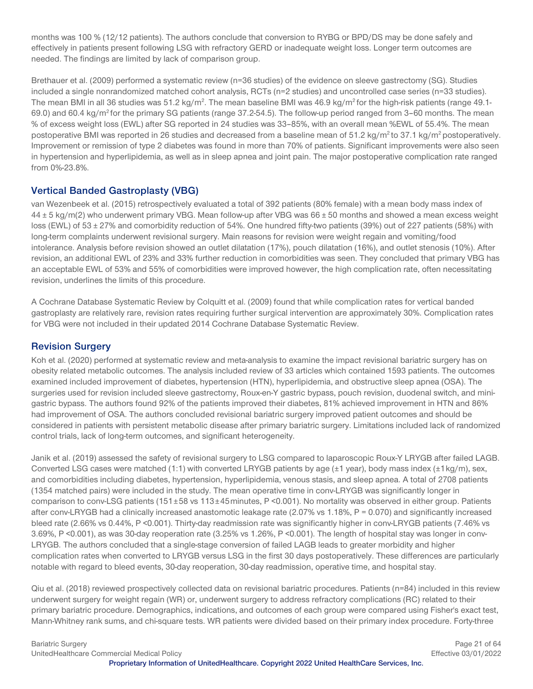months was 100 % (12/12 patients). The authors conclude that conversion to RYBG or BPD/DS may be done safely and effectively in patients present following LSG with refractory GERD or inadequate weight loss. Longer term outcomes are needed. The findings are limited by lack of comparison group.

Brethauer et al. (2009) performed a systematic review (n=36 studies) of the evidence on sleeve gastrectomy (SG). Studies included a single nonrandomized matched cohort analysis, RCTs (n=2 studies) and uncontrolled case series (n=33 studies). The mean BMI in all 36 studies was 51.2 kg/m<sup>2</sup>. The mean baseline BMI was 46.9 kg/m<sup>2</sup> for the high-risk patients (range 49.1-69.0) and 60.4 kg/m2 for the primary SG patients (range 37.2-54.5). The follow-up period ranged from 3–60 months. The mean % of excess weight loss (EWL) after SG reported in 24 studies was 33–85%, with an overall mean %EWL of 55.4%. The mean postoperative BMI was reported in 26 studies and decreased from a baseline mean of  $51.2 \text{ kg/m}^2$  to  $37.1 \text{ kg/m}^2$  postoperatively. Improvement or remission of type 2 diabetes was found in more than 70% of patients. Significant improvements were also seen in hypertension and hyperlipidemia, as well as in sleep apnea and joint pain. The major postoperative complication rate ranged from 0%-23.8%.

#### **Vertical Banded Gastroplasty (VBG)**

van Wezenbeek et al. (2015) retrospectively evaluated a total of 392 patients (80% female) with a mean body mass index of  $44 \pm 5$  kg/m(2) who underwent primary VBG. Mean follow-up after VBG was  $66 \pm 50$  months and showed a mean excess weight loss (EWL) of 53 ± 27% and comorbidity reduction of 54%. One hundred fifty-two patients (39%) out of 227 patients (58%) with long-term complaints underwent revisional surgery. Main reasons for revision were weight regain and vomiting/food intolerance. Analysis before revision showed an outlet dilatation (17%), pouch dilatation (16%), and outlet stenosis (10%). After revision, an additional EWL of 23% and 33% further reduction in comorbidities was seen. They concluded that primary VBG has an acceptable EWL of 53% and 55% of comorbidities were improved however, the high complication rate, often necessitating revision, underlines the limits of this procedure.

A Cochrane Database Systematic Review by Colquitt et al. (2009) found that while complication rates for vertical banded gastroplasty are relatively rare, revision rates requiring further surgical intervention are approximately 30%. Complication rates for VBG were not included in their updated 2014 Cochrane Database Systematic Review.

# **Revision Surgery**

Koh et al. (2020) performed at systematic review and meta-analysis to examine the impact revisional bariatric surgery has on obesity related metabolic outcomes. The analysis included review of 33 articles which contained 1593 patients. The outcomes examined included improvement of diabetes, hypertension (HTN), hyperlipidemia, and obstructive sleep apnea (OSA). The surgeries used for revision included sleeve gastrectomy, Roux-en-Y gastric bypass, pouch revision, duodenal switch, and minigastric bypass. The authors found 92% of the patients improved their diabetes, 81% achieved improvement in HTN and 86% had improvement of OSA. The authors concluded revisional bariatric surgery improved patient outcomes and should be considered in patients with persistent metabolic disease after primary bariatric surgery. Limitations included lack of randomized control trials, lack of long-term outcomes, and significant heterogeneity.

Janik et al. (2019) assessed the safety of revisional surgery to LSG compared to laparoscopic Roux-Y LRYGB after failed LAGB. Converted LSG cases were matched (1:1) with converted LRYGB patients by age (±1 year), body mass index (±1kg/m), sex, and comorbidities including diabetes, hypertension, hyperlipidemia, venous stasis, and sleep apnea. A total of 2708 patients (1354 matched pairs) were included in the study. The mean operative time in conv-LRYGB was significantly longer in comparison to conv-LSG patients (151±58 vs 113±45minutes, P <0.001). No mortality was observed in either group. Patients after conv-LRYGB had a clinically increased anastomotic leakage rate (2.07% vs 1.18%, P = 0.070) and significantly increased bleed rate (2.66% vs 0.44%, P <0.001). Thirty-day readmission rate was significantly higher in conv-LRYGB patients (7.46% vs 3.69%, P <0.001), as was 30-day reoperation rate (3.25% vs 1.26%, P <0.001). The length of hospital stay was longer in conv-LRYGB. The authors concluded that a single-stage conversion of failed LAGB leads to greater morbidity and higher complication rates when converted to LRYGB versus LSG in the first 30 days postoperatively. These differences are particularly notable with regard to bleed events, 30-day reoperation, 30-day readmission, operative time, and hospital stay.

Qiu et al. (2018) reviewed prospectively collected data on revisional bariatric procedures. Patients (n=84) included in this review underwent surgery for weight regain (WR) or, underwent surgery to address refractory complications (RC) related to their primary bariatric procedure. Demographics, indications, and outcomes of each group were compared using Fisher's exact test, Mann-Whitney rank sums, and chi-square tests. WR patients were divided based on their primary index procedure. Forty-three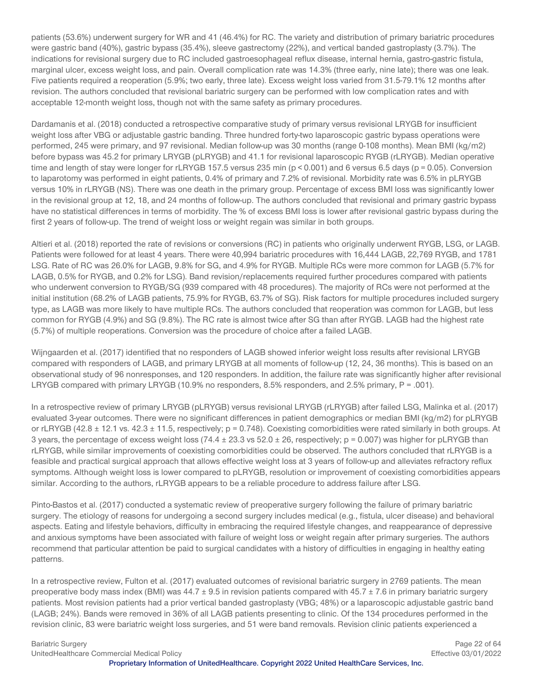patients (53.6%) underwent surgery for WR and 41 (46.4%) for RC. The variety and distribution of primary bariatric procedures were gastric band (40%), gastric bypass (35.4%), sleeve gastrectomy (22%), and vertical banded gastroplasty (3.7%). The indications for revisional surgery due to RC included gastroesophageal reflux disease, internal hernia, gastro-gastric fistula, marginal ulcer, excess weight loss, and pain. Overall complication rate was 14.3% (three early, nine late); there was one leak. Five patients required a reoperation (5.9%; two early, three late). Excess weight loss varied from 31.5-79.1% 12 months after revision. The authors concluded that revisional bariatric surgery can be performed with low complication rates and with acceptable 12-month weight loss, though not with the same safety as primary procedures.

Dardamanis et al. (2018) conducted a retrospective comparative study of primary versus revisional LRYGB for insufficient weight loss after VBG or adjustable gastric banding. Three hundred forty-two laparoscopic gastric bypass operations were performed, 245 were primary, and 97 revisional. Median follow-up was 30 months (range 0-108 months). Mean BMI (kg/m2) before bypass was 45.2 for primary LRYGB (pLRYGB) and 41.1 for revisional laparoscopic RYGB (rLRYGB). Median operative time and length of stay were longer for rLRYGB 157.5 versus 235 min ( $p < 0.001$ ) and 6 versus 6.5 days ( $p = 0.05$ ). Conversion to laparotomy was performed in eight patients, 0.4% of primary and 7.2% of revisional. Morbidity rate was 6.5% in pLRYGB versus 10% in rLRYGB (NS). There was one death in the primary group. Percentage of excess BMI loss was significantly lower in the revisional group at 12, 18, and 24 months of follow-up. The authors concluded that revisional and primary gastric bypass have no statistical differences in terms of morbidity. The % of excess BMI loss is lower after revisional gastric bypass during the first 2 years of follow-up. The trend of weight loss or weight regain was similar in both groups.

Altieri et al. (2018) reported the rate of revisions or conversions (RC) in patients who originally underwent RYGB, LSG, or LAGB. Patients were followed for at least 4 years. There were 40,994 bariatric procedures with 16,444 LAGB, 22,769 RYGB, and 1781 LSG. Rate of RC was 26.0% for LAGB, 9.8% for SG, and 4.9% for RYGB. Multiple RCs were more common for LAGB (5.7% for LAGB, 0.5% for RYGB, and 0.2% for LSG). Band revision/replacements required further procedures compared with patients who underwent conversion to RYGB/SG (939 compared with 48 procedures). The majority of RCs were not performed at the initial institution (68.2% of LAGB patients, 75.9% for RYGB, 63.7% of SG). Risk factors for multiple procedures included surgery type, as LAGB was more likely to have multiple RCs. The authors concluded that reoperation was common for LAGB, but less common for RYGB (4.9%) and SG (9.8%). The RC rate is almost twice after SG than after RYGB. LAGB had the highest rate (5.7%) of multiple reoperations. Conversion was the procedure of choice after a failed LAGB.

Wijngaarden et al. (2017) identified that no responders of LAGB showed inferior weight loss results after revisional LRYGB compared with responders of LAGB, and primary LRYGB at all moments of follow-up (12, 24, 36 months). This is based on an observational study of 96 nonresponses, and 120 responders. In addition, the failure rate was significantly higher after revisional LRYGB compared with primary LRYGB (10.9% no responders, 8.5% responders, and 2.5% primary, P = .001).

In a retrospective review of primary LRYGB (pLRYGB) versus revisional LRYGB (rLRYGB) after failed LSG, Malinka et al. (2017) evaluated 3-year outcomes. There were no significant differences in patient demographics or median BMI (kg/m2) for pLRYGB or rLRYGB (42.8  $\pm$  12.1 vs. 42.3  $\pm$  11.5, respectively; p = 0.748). Coexisting comorbidities were rated similarly in both groups. At 3 years, the percentage of excess weight loss (74.4  $\pm$  23.3 vs 52.0  $\pm$  26, respectively; p = 0.007) was higher for pLRYGB than rLRYGB, while similar improvements of coexisting comorbidities could be observed. The authors concluded that rLRYGB is a feasible and practical surgical approach that allows effective weight loss at 3 years of follow-up and alleviates refractory reflux symptoms. Although weight loss is lower compared to pLRYGB, resolution or improvement of coexisting comorbidities appears similar. According to the authors, rLRYGB appears to be a reliable procedure to address failure after LSG.

Pinto-Bastos et al. (2017) conducted a systematic review of preoperative surgery following the failure of primary bariatric surgery. The etiology of reasons for undergoing a second surgery includes medical (e.g., fistula, ulcer disease) and behavioral aspects. Eating and lifestyle behaviors, difficulty in embracing the required lifestyle changes, and reappearance of depressive and anxious symptoms have been associated with failure of weight loss or weight regain after primary surgeries. The authors recommend that particular attention be paid to surgical candidates with a history of difficulties in engaging in healthy eating patterns.

In a retrospective review, Fulton et al. (2017) evaluated outcomes of revisional bariatric surgery in 2769 patients. The mean preoperative body mass index (BMI) was  $44.7 \pm 9.5$  in revision patients compared with  $45.7 \pm 7.6$  in primary bariatric surgery patients. Most revision patients had a prior vertical banded gastroplasty (VBG; 48%) or a laparoscopic adjustable gastric band (LAGB; 24%). Bands were removed in 36% of all LAGB patients presenting to clinic. Of the 134 procedures performed in the revision clinic, 83 were bariatric weight loss surgeries, and 51 were band removals. Revision clinic patients experienced a

Bariatric Surgery **Page 22 of 64** UnitedHealthcare Commercial Medical Policy Effective 03/01/2022 **Proprietary Information of UnitedHealthcare. Copyright 2022 United HealthCare Services, Inc.**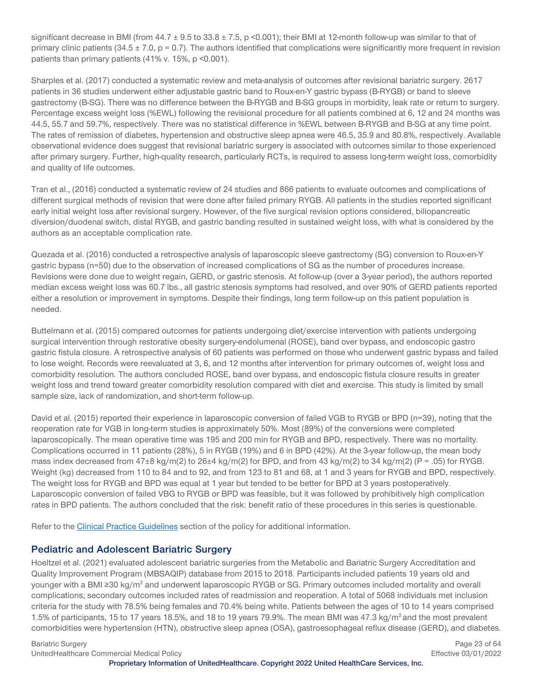significant decrease in BMI (from  $44.7 \pm 9.5$  to  $33.8 \pm 7.5$ , p <0.001); their BMI at 12-month follow-up was similar to that of primary clinic patients  $(34.5 \pm 7.0, p = 0.7)$ . The authors identified that complications were significantly more frequent in revision patients than primary patients (41% v. 15%, p <0.001).

Sharples et al. (2017) conducted a systematic review and meta-analysis of outcomes after revisional bariatric surgery. 2617 patients in 36 studies underwent either adjustable gastric band to Roux-en-Y gastric bypass (B-RYGB) or band to sleeve gastrectomy (B-SG). There was no difference between the B-RYGB and B-SG groups in morbidity, leak rate or return to surgery. Percentage excess weight loss (%EWL) following the revisional procedure for all patients combined at 6, 12 and 24 months was 44.5, 55.7 and 59.7%, respectively. There was no statistical difference in %EWL between B-RYGB and B-SG at any time point. The rates of remission of diabetes, hypertension and obstructive sleep apnea were 46.5, 35.9 and 80.8%, respectively. Available observational evidence does suggest that revisional bariatric surgery is associated with outcomes similar to those experienced after primary surgery. Further, high-quality research, particularly RCTs, is required to assess long-term weight loss, comorbidity and quality of life outcomes.

Tran et al., (2016) conducted a systematic review of 24 studies and 866 patients to evaluate outcomes and complications of different surgical methods of revision that were done after failed primary RYGB. All patients in the studies reported significant early initial weight loss after revisional surgery. However, of the five surgical revision options considered, biliopancreatic diversion/duodenal switch, distal RYGB, and gastric banding resulted in sustained weight loss, with what is considered by the authors as an acceptable complication rate.

Quezada et al. (2016) conducted a retrospective analysis of laparoscopic sleeve gastrectomy (SG) conversion to Roux-en-Y gastric bypass (n=50) due to the observation of increased complications of SG as the number of procedures increase. Revisions were done due to weight regain, GERD, or gastric stenosis. At follow-up (over a 3-year period), the authors reported median excess weight loss was 60.7 lbs., all gastric stenosis symptoms had resolved, and over 90% of GERD patients reported either a resolution or improvement in symptoms. Despite their findings, long term follow-up on this patient population is needed.

Buttelmann et al. (2015) compared outcomes for patients undergoing diet/exercise intervention with patients undergoing surgical intervention through restorative obesity surgery-endolumenal (ROSE), band over bypass, and endoscopic gastro gastric fistula closure. A retrospective analysis of 60 patients was performed on those who underwent gastric bypass and failed to lose weight. Records were reevaluated at 3, 6, and 12 months after intervention for primary outcomes of, weight loss and comorbidity resolution. The authors concluded ROSE, band over bypass, and endoscopic fistula closure results in greater weight loss and trend toward greater comorbidity resolution compared with diet and exercise. This study is limited by small sample size, lack of randomization, and short-term follow-up.

David et al. (2015) reported their experience in laparoscopic conversion of failed VGB to RYGB or BPD (n=39), noting that the reoperation rate for VGB in long-term studies is approximately 50%. Most (89%) of the conversions were completed laparoscopically. The mean operative time was 195 and 200 min for RYGB and BPD, respectively. There was no mortality. Complications occurred in 11 patients (28%), 5 in RYGB (19%) and 6 in BPD (42%). At the 3-year follow-up, the mean body mass index decreased from  $47\pm8$  kg/m(2) to  $26\pm4$  kg/m(2) for BPD, and from  $43$  kg/m(2) to  $34$  kg/m(2) (P = .05) for RYGB. Weight (kg) decreased from 110 to 84 and to 92, and from 123 to 81 and 68, at 1 and 3 years for RYGB and BPD, respectively. The weight loss for RYGB and BPD was equal at 1 year but tended to be better for BPD at 3 years postoperatively. Laparoscopic conversion of failed VBG to RYGB or BPD was feasible, but it was followed by prohibitively high complication rates in BPD patients. The authors concluded that the risk: benefit ratio of these procedures in this series is questionable.

Refer to the [Clinical Practice Guidelines](#page-41-0) section of the policy for additional information.

#### **Pediatric and Adolescent Bariatric Surgery**

Hoeltzel et al. (2021) evaluated adolescent bariatric surgeries from the Metabolic and Bariatric Surgery Accreditation and Quality Improvement Program (MBSAQIP) database from 2015 to 2018. Participants included patients 19 years old and younger with a BMI ≥30 kg/m<sup>2</sup> and underwent laparoscopic RYGB or SG. Primary outcomes included mortality and overall complications; secondary outcomes included rates of readmission and reoperation. A total of 5068 individuals met inclusion criteria for the study with 78.5% being females and 70.4% being white. Patients between the ages of 10 to 14 years comprised 1.5% of participants, 15 to 17 years 18.5%, and 18 to 19 years 79.9%. The mean BMI was 47.3 kg/m<sup>2</sup> and the most prevalent comorbidities were hypertension (HTN), obstructive sleep apnea (OSA), gastroesophageal reflux disease (GERD), and diabetes.

Bariatric Surgery **Page 23 of 64** Page 23 of 64 UnitedHealthcare Commercial Medical Policy Effective 03/01/2022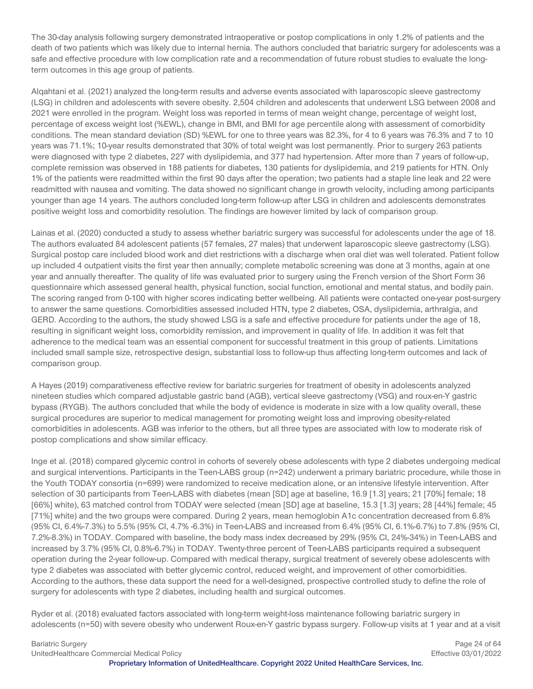The 30-day analysis following surgery demonstrated intraoperative or postop complications in only 1.2% of patients and the death of two patients which was likely due to internal hernia. The authors concluded that bariatric surgery for adolescents was a safe and effective procedure with low complication rate and a recommendation of future robust studies to evaluate the longterm outcomes in this age group of patients.

Alqahtani et al. (2021) analyzed the long-term results and adverse events associated with laparoscopic sleeve gastrectomy (LSG) in children and adolescents with severe obesity. 2,504 children and adolescents that underwent LSG between 2008 and 2021 were enrolled in the program. Weight loss was reported in terms of mean weight change, percentage of weight lost, percentage of excess weight lost (%EWL), change in BMI, and BMI for age percentile along with assessment of comorbidity conditions. The mean standard deviation (SD) %EWL for one to three years was 82.3%, for 4 to 6 years was 76.3% and 7 to 10 years was 71.1%; 10-year results demonstrated that 30% of total weight was lost permanently. Prior to surgery 263 patients were diagnosed with type 2 diabetes, 227 with dyslipidemia, and 377 had hypertension. After more than 7 years of follow-up, complete remission was observed in 188 patients for diabetes, 130 patients for dyslipidemia, and 219 patients for HTN. Only 1% of the patients were readmitted within the first 90 days after the operation; two patients had a staple line leak and 22 were readmitted with nausea and vomiting. The data showed no significant change in growth velocity, including among participants younger than age 14 years. The authors concluded long-term follow-up after LSG in children and adolescents demonstrates positive weight loss and comorbidity resolution. The findings are however limited by lack of comparison group.

Lainas et al. (2020) conducted a study to assess whether bariatric surgery was successful for adolescents under the age of 18. The authors evaluated 84 adolescent patients (57 females, 27 males) that underwent laparoscopic sleeve gastrectomy (LSG). Surgical postop care included blood work and diet restrictions with a discharge when oral diet was well tolerated. Patient follow up included 4 outpatient visits the first year then annually; complete metabolic screening was done at 3 months, again at one year and annually thereafter. The quality of life was evaluated prior to surgery using the French version of the Short Form 36 questionnaire which assessed general health, physical function, social function, emotional and mental status, and bodily pain. The scoring ranged from 0-100 with higher scores indicating better wellbeing. All patients were contacted one-year post-surgery to answer the same questions. Comorbidities assessed included HTN, type 2 diabetes, OSA, dyslipidemia, arthralgia, and GERD. According to the authors, the study showed LSG is a safe and effective procedure for patients under the age of 18, resulting in significant weight loss, comorbidity remission, and improvement in quality of life. In addition it was felt that adherence to the medical team was an essential component for successful treatment in this group of patients. Limitations included small sample size, retrospective design, substantial loss to follow-up thus affecting long-term outcomes and lack of comparison group.

A Hayes (2019) comparativeness effective review for bariatric surgeries for treatment of obesity in adolescents analyzed nineteen studies which compared adjustable gastric band (AGB), vertical sleeve gastrectomy (VSG) and roux-en-Y gastric bypass (RYGB). The authors concluded that while the body of evidence is moderate in size with a low quality overall, these surgical procedures are superior to medical management for promoting weight loss and improving obesity-related comorbidities in adolescents. AGB was inferior to the others, but all three types are associated with low to moderate risk of postop complications and show similar efficacy.

Inge et al. (2018) compared glycemic control in cohorts of severely obese adolescents with type 2 diabetes undergoing medical and surgical interventions. Participants in the Teen-LABS group (n=242) underwent a primary bariatric procedure, while those in the Youth TODAY consortia (n=699) were randomized to receive medication alone, or an intensive lifestyle intervention. After selection of 30 participants from Teen-LABS with diabetes (mean [SD] age at baseline, 16.9 [1.3] years; 21 [70%] female; 18 [66%] white), 63 matched control from TODAY were selected (mean [SD] age at baseline, 15.3 [1.3] years; 28 [44%] female; 45 [71%] white) and the two groups were compared. During 2 years, mean hemoglobin A1c concentration decreased from 6.8% (95% CI, 6.4%-7.3%) to 5.5% (95% CI, 4.7% -6.3%) in Teen-LABS and increased from 6.4% (95% CI, 6.1%-6.7%) to 7.8% (95% CI, 7.2%-8.3%) in TODAY. Compared with baseline, the body mass index decreased by 29% (95% CI, 24%-34%) in Teen-LABS and increased by 3.7% (95% CI, 0.8%-6.7%) in TODAY. Twenty-three percent of Teen-LABS participants required a subsequent operation during the 2-year follow-up. Compared with medical therapy, surgical treatment of severely obese adolescents with type 2 diabetes was associated with better glycemic control, reduced weight, and improvement of other comorbidities. According to the authors, these data support the need for a well-designed, prospective controlled study to define the role of surgery for adolescents with type 2 diabetes, including health and surgical outcomes.

Ryder et al. (2018) evaluated factors associated with long-term weight-loss maintenance following bariatric surgery in adolescents (n=50) with severe obesity who underwent Roux-en-Y gastric bypass surgery. Follow-up visits at 1 year and at a visit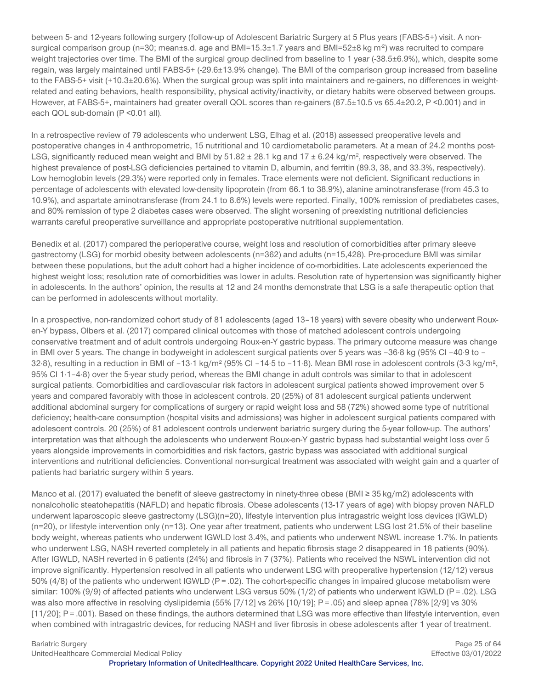between 5- and 12-years following surgery (follow-up of Adolescent Bariatric Surgery at 5 Plus years (FABS-5+) visit. A nonsurgical comparison group (n=30; mean±s.d. age and BMI=15.3±1.7 years and BMI=52±8 kg m<sup>-2</sup>) was recruited to compare weight trajectories over time. The BMI of the surgical group declined from baseline to 1 year (-38.5±6.9%), which, despite some regain, was largely maintained until FABS-5+ (-29.6±13.9% change). The BMI of the comparison group increased from baseline to the FABS-5+ visit (+10.3±20.6%). When the surgical group was split into maintainers and re-gainers, no differences in weightrelated and eating behaviors, health responsibility, physical activity/inactivity, or dietary habits were observed between groups. However, at FABS-5+, maintainers had greater overall QOL scores than re-gainers (87.5±10.5 vs 65.4±20.2, P <0.001) and in each QOL sub-domain (P < 0.01 all).

In a retrospective review of 79 adolescents who underwent LSG, Elhag et al. (2018) assessed preoperative levels and postoperative changes in 4 anthropometric, 15 nutritional and 10 cardiometabolic parameters. At a mean of 24.2 months post-LSG, significantly reduced mean weight and BMI by  $51.82 \pm 28.1$  kg and  $17 \pm 6.24$  kg/m<sup>2</sup>, respectively were observed. The highest prevalence of post-LSG deficiencies pertained to vitamin D, albumin, and ferritin (89.3, 38, and 33.3%, respectively). Low hemoglobin levels (29.3%) were reported only in females. Trace elements were not deficient. Significant reductions in percentage of adolescents with elevated low-density lipoprotein (from 66.1 to 38.9%), alanine aminotransferase (from 45.3 to 10.9%), and aspartate aminotransferase (from 24.1 to 8.6%) levels were reported. Finally, 100% remission of prediabetes cases, and 80% remission of type 2 diabetes cases were observed. The slight worsening of preexisting nutritional deficiencies warrants careful preoperative surveillance and appropriate postoperative nutritional supplementation.

Benedix et al. (2017) compared the perioperative course, weight loss and resolution of comorbidities after primary sleeve gastrectomy (LSG) for morbid obesity between adolescents (n=362) and adults (n=15,428). Pre-procedure BMI was similar between these populations, but the adult cohort had a higher incidence of co-morbidities. Late adolescents experienced the highest weight loss; resolution rate of comorbidities was lower in adults. Resolution rate of hypertension was significantly higher in adolescents. In the authors' opinion, the results at 12 and 24 months demonstrate that LSG is a safe therapeutic option that can be performed in adolescents without mortality.

In a prospective, non-randomized cohort study of 81 adolescents (aged 13–18 years) with severe obesity who underwent Rouxen-Y bypass, Olbers et al. (2017) compared clinical outcomes with those of matched adolescent controls undergoing conservative treatment and of adult controls undergoing Roux-en-Y gastric bypass. The primary outcome measure was change in BMI over 5 years. The change in bodyweight in adolescent surgical patients over 5 years was –36·8 kg (95% CI –40·9 to – 32·8), resulting in a reduction in BMI of –13·1 kg/m² (95% CI –14·5 to –11·8). Mean BMI rose in adolescent controls (3·3 kg/m², 95% CI 1·1–4·8) over the 5-year study period, whereas the BMI change in adult controls was similar to that in adolescent surgical patients. Comorbidities and cardiovascular risk factors in adolescent surgical patients showed improvement over 5 years and compared favorably with those in adolescent controls. 20 (25%) of 81 adolescent surgical patients underwent additional abdominal surgery for complications of surgery or rapid weight loss and 58 (72%) showed some type of nutritional deficiency; health-care consumption (hospital visits and admissions) was higher in adolescent surgical patients compared with adolescent controls. 20 (25%) of 81 adolescent controls underwent bariatric surgery during the 5-year follow-up. The authors' interpretation was that although the adolescents who underwent Roux-en-Y gastric bypass had substantial weight loss over 5 years alongside improvements in comorbidities and risk factors, gastric bypass was associated with additional surgical interventions and nutritional deficiencies. Conventional non-surgical treatment was associated with weight gain and a quarter of patients had bariatric surgery within 5 years.

Manco et al. (2017) evaluated the benefit of sleeve gastrectomy in ninety-three obese (BMI ≥ 35 kg/m2) adolescents with nonalcoholic steatohepatitis (NAFLD) and hepatic fibrosis. Obese adolescents (13-17 years of age) with biopsy proven NAFLD underwent laparoscopic sleeve gastrectomy (LSG)(n=20), lifestyle intervention plus intragastric weight loss devices (IGWLD) (n=20), or lifestyle intervention only (n=13). One year after treatment, patients who underwent LSG lost 21.5% of their baseline body weight, whereas patients who underwent IGWLD lost 3.4%, and patients who underwent NSWL increase 1.7%. In patients who underwent LSG, NASH reverted completely in all patients and hepatic fibrosis stage 2 disappeared in 18 patients (90%). After IGWLD, NASH reverted in 6 patients (24%) and fibrosis in 7 (37%). Patients who received the NSWL intervention did not improve significantly. Hypertension resolved in all patients who underwent LSG with preoperative hypertension (12/12) versus 50% (4/8) of the patients who underwent IGWLD ( $P = .02$ ). The cohort-specific changes in impaired glucose metabolism were similar: 100% (9/9) of affected patients who underwent LSG versus 50% (1/2) of patients who underwent IGWLD (P = .02). LSG was also more affective in resolving dyslipidemia (55% [7/12] vs 26% [10/19]; P = .05) and sleep apnea (78% [2/9] vs 30% [11/20]; P = .001). Based on these findings, the authors determined that LSG was more effective than lifestyle intervention, even when combined with intragastric devices, for reducing NASH and liver fibrosis in obese adolescents after 1 year of treatment.

Bariatric Surgery **Page 25 of 64 Page 25 of 64** 

UnitedHealthcare Commercial Medical Policy Effective 03/01/2022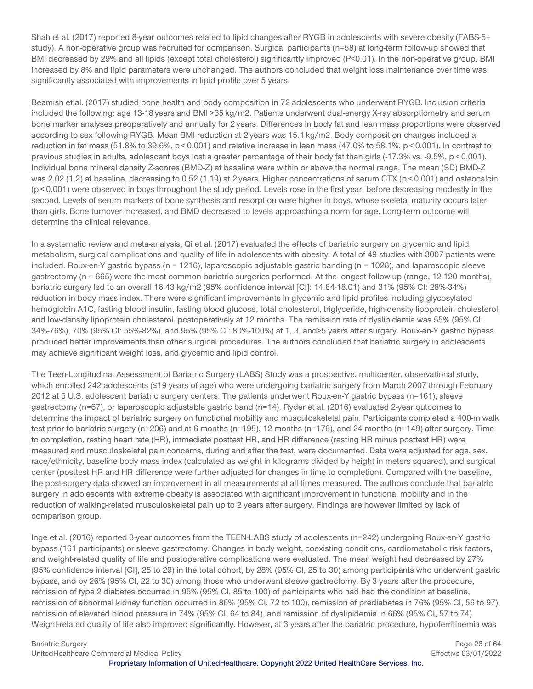Shah et al. (2017) reported 8-year outcomes related to lipid changes after RYGB in adolescents with severe obesity (FABS-5+ study). A non-operative group was recruited for comparison. Surgical participants (n=58) at long-term follow-up showed that BMI decreased by 29% and all lipids (except total cholesterol) significantly improved (P<0.01). In the non-operative group, BMI increased by 8% and lipid parameters were unchanged. The authors concluded that weight loss maintenance over time was significantly associated with improvements in lipid profile over 5 years.

Beamish et al. (2017) studied bone health and body composition in 72 adolescents who underwent RYGB. Inclusion criteria included the following: age 13-18 years and BMI >35 kg/m2. Patients underwent dual-energy X-ray absorptiometry and serum bone marker analyses preoperatively and annually for 2 years. Differences in body fat and lean mass proportions were observed according to sex following RYGB. Mean BMI reduction at 2 years was 15.1 kg/m2. Body composition changes included a reduction in fat mass (51.8% to 39.6%, p < 0.001) and relative increase in lean mass (47.0% to 58.1%, p < 0.001). In contrast to previous studies in adults, adolescent boys lost a greater percentage of their body fat than girls (-17.3% vs. -9.5%, p < 0.001). Individual bone mineral density Z-scores (BMD-Z) at baseline were within or above the normal range. The mean (SD) BMD-Z was 2.02 (1.2) at baseline, decreasing to 0.52 (1.19) at 2 years. Higher concentrations of serum CTX (p < 0.001) and osteocalcin (p < 0.001) were observed in boys throughout the study period. Levels rose in the first year, before decreasing modestly in the second. Levels of serum markers of bone synthesis and resorption were higher in boys, whose skeletal maturity occurs later than girls. Bone turnover increased, and BMD decreased to levels approaching a norm for age. Long-term outcome will determine the clinical relevance.

In a systematic review and meta-analysis, Qi et al. (2017) evaluated the effects of bariatric surgery on glycemic and lipid metabolism, surgical complications and quality of life in adolescents with obesity. A total of 49 studies with 3007 patients were included. Roux-en-Y gastric bypass (n = 1216), laparoscopic adjustable gastric banding (n = 1028), and laparoscopic sleeve gastrectomy (n = 665) were the most common bariatric surgeries performed. At the longest follow-up (range, 12-120 months), bariatric surgery led to an overall 16.43 kg/m2 (95% confidence interval [CI]: 14.84-18.01) and 31% (95% CI: 28%-34%) reduction in body mass index. There were significant improvements in glycemic and lipid profiles including glycosylated hemoglobin A1C, fasting blood insulin, fasting blood glucose, total cholesterol, triglyceride, high-density lipoprotein cholesterol, and low-density lipoprotein cholesterol, postoperatively at 12 months. The remission rate of dyslipidemia was 55% (95% CI: 34%-76%), 70% (95% CI: 55%-82%), and 95% (95% CI: 80%-100%) at 1, 3, and>5 years after surgery. Roux-en-Y gastric bypass produced better improvements than other surgical procedures. The authors concluded that bariatric surgery in adolescents may achieve significant weight loss, and glycemic and lipid control.

The Teen-Longitudinal Assessment of Bariatric Surgery (LABS) Study was a prospective, multicenter, observational study, which enrolled 242 adolescents (≤19 years of age) who were undergoing bariatric surgery from March 2007 through February 2012 at 5 U.S. adolescent bariatric surgery centers. The patients underwent Roux-en-Y gastric bypass (n=161), sleeve gastrectomy (n=67), or laparoscopic adjustable gastric band (n=14). Ryder et al. (2016) evaluated 2-year outcomes to determine the impact of bariatric surgery on functional mobility and musculoskeletal pain. Participants completed a 400-m walk test prior to bariatric surgery (n=206) and at 6 months (n=195), 12 months (n=176), and 24 months (n=149) after surgery. Time to completion, resting heart rate (HR), immediate posttest HR, and HR difference (resting HR minus posttest HR) were measured and musculoskeletal pain concerns, during and after the test, were documented. Data were adjusted for age, sex, race/ethnicity, baseline body mass index (calculated as weight in kilograms divided by height in meters squared), and surgical center (posttest HR and HR difference were further adjusted for changes in time to completion). Compared with the baseline, the post-surgery data showed an improvement in all measurements at all times measured. The authors conclude that bariatric surgery in adolescents with extreme obesity is associated with significant improvement in functional mobility and in the reduction of walking-related musculoskeletal pain up to 2 years after surgery. Findings are however limited by lack of comparison group.

Inge et al. (2016) reported 3-year outcomes from the TEEN-LABS study of adolescents (n=242) undergoing Roux-en-Y gastric bypass (161 participants) or sleeve gastrectomy. Changes in body weight, coexisting conditions, cardiometabolic risk factors, and weight-related quality of life and postoperative complications were evaluated. The mean weight had decreased by 27% (95% confidence interval [CI], 25 to 29) in the total cohort, by 28% (95% CI, 25 to 30) among participants who underwent gastric bypass, and by 26% (95% CI, 22 to 30) among those who underwent sleeve gastrectomy. By 3 years after the procedure, remission of type 2 diabetes occurred in 95% (95% CI, 85 to 100) of participants who had had the condition at baseline, remission of abnormal kidney function occurred in 86% (95% CI, 72 to 100), remission of prediabetes in 76% (95% CI, 56 to 97), remission of elevated blood pressure in 74% (95% CI, 64 to 84), and remission of dyslipidemia in 66% (95% CI, 57 to 74). Weight-related quality of life also improved significantly. However, at 3 years after the bariatric procedure, hypoferritinemia was

UnitedHealthcare Commercial Medical Policy Effective 03/01/2022

Bariatric Surgery **Page 26 of 64 Page 26 of 64**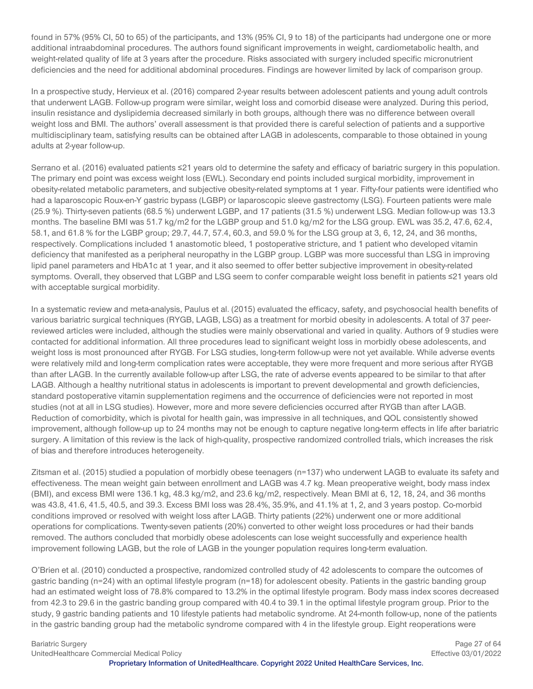found in 57% (95% CI, 50 to 65) of the participants, and 13% (95% CI, 9 to 18) of the participants had undergone one or more additional intraabdominal procedures. The authors found significant improvements in weight, cardiometabolic health, and weight-related quality of life at 3 years after the procedure. Risks associated with surgery included specific micronutrient deficiencies and the need for additional abdominal procedures. Findings are however limited by lack of comparison group.

In a prospective study, Hervieux et al. (2016) compared 2-year results between adolescent patients and young adult controls that underwent LAGB. Follow-up program were similar, weight loss and comorbid disease were analyzed. During this period, insulin resistance and dyslipidemia decreased similarly in both groups, although there was no difference between overall weight loss and BMI. The authors' overall assessment is that provided there is careful selection of patients and a supportive multidisciplinary team, satisfying results can be obtained after LAGB in adolescents, comparable to those obtained in young adults at 2-year follow-up.

Serrano et al. (2016) evaluated patients ≤21 years old to determine the safety and efficacy of bariatric surgery in this population. The primary end point was excess weight loss (EWL). Secondary end points included surgical morbidity, improvement in obesity-related metabolic parameters, and subjective obesity-related symptoms at 1 year. Fifty-four patients were identified who had a laparoscopic Roux-en-Y gastric bypass (LGBP) or laparoscopic sleeve gastrectomy (LSG). Fourteen patients were male (25.9 %). Thirty-seven patients (68.5 %) underwent LGBP, and 17 patients (31.5 %) underwent LSG. Median follow-up was 13.3 months. The baseline BMI was 51.7 kg/m2 for the LGBP group and 51.0 kg/m2 for the LSG group. EWL was 35.2, 47.6, 62.4, 58.1, and 61.8 % for the LGBP group; 29.7, 44.7, 57.4, 60.3, and 59.0 % for the LSG group at 3, 6, 12, 24, and 36 months, respectively. Complications included 1 anastomotic bleed, 1 postoperative stricture, and 1 patient who developed vitamin deficiency that manifested as a peripheral neuropathy in the LGBP group. LGBP was more successful than LSG in improving lipid panel parameters and HbA1c at 1 year, and it also seemed to offer better subjective improvement in obesity-related symptoms. Overall, they observed that LGBP and LSG seem to confer comparable weight loss benefit in patients ≤21 years old with acceptable surgical morbidity.

In a systematic review and meta-analysis, Paulus et al. (2015) evaluated the efficacy, safety, and psychosocial health benefits of various bariatric surgical techniques (RYGB, LAGB, LSG) as a treatment for morbid obesity in adolescents. A total of 37 peerreviewed articles were included, although the studies were mainly observational and varied in quality. Authors of 9 studies were contacted for additional information. All three procedures lead to significant weight loss in morbidly obese adolescents, and weight loss is most pronounced after RYGB. For LSG studies, long-term follow-up were not yet available. While adverse events were relatively mild and long-term complication rates were acceptable, they were more frequent and more serious after RYGB than after LAGB. In the currently available follow-up after LSG, the rate of adverse events appeared to be similar to that after LAGB. Although a healthy nutritional status in adolescents is important to prevent developmental and growth deficiencies, standard postoperative vitamin supplementation regimens and the occurrence of deficiencies were not reported in most studies (not at all in LSG studies). However, more and more severe deficiencies occurred after RYGB than after LAGB. Reduction of comorbidity, which is pivotal for health gain, was impressive in all techniques, and QOL consistently showed improvement, although follow-up up to 24 months may not be enough to capture negative long-term effects in life after bariatric surgery. A limitation of this review is the lack of high-quality, prospective randomized controlled trials, which increases the risk of bias and therefore introduces heterogeneity.

Zitsman et al. (2015) studied a population of morbidly obese teenagers (n=137) who underwent LAGB to evaluate its safety and effectiveness. The mean weight gain between enrollment and LAGB was 4.7 kg. Mean preoperative weight, body mass index (BMI), and excess BMI were 136.1 kg, 48.3 kg/m2, and 23.6 kg/m2, respectively. Mean BMI at 6, 12, 18, 24, and 36 months was 43.8, 41.6, 41.5, 40.5, and 39.3. Excess BMI loss was 28.4%, 35.9%, and 41.1% at 1, 2, and 3 years postop. Co-morbid conditions improved or resolved with weight loss after LAGB. Thirty patients (22%) underwent one or more additional operations for complications. Twenty-seven patients (20%) converted to other weight loss procedures or had their bands removed. The authors concluded that morbidly obese adolescents can lose weight successfully and experience health improvement following LAGB, but the role of LAGB in the younger population requires long-term evaluation.

O'Brien et al. (2010) conducted a prospective, randomized controlled study of 42 adolescents to compare the outcomes of gastric banding (n=24) with an optimal lifestyle program (n=18) for adolescent obesity. Patients in the gastric banding group had an estimated weight loss of 78.8% compared to 13.2% in the optimal lifestyle program. Body mass index scores decreased from 42.3 to 29.6 in the gastric banding group compared with 40.4 to 39.1 in the optimal lifestyle program group. Prior to the study, 9 gastric banding patients and 10 lifestyle patients had metabolic syndrome. At 24-month follow-up, none of the patients in the gastric banding group had the metabolic syndrome compared with 4 in the lifestyle group. Eight reoperations were

Bariatric Surgery **Page 27 of 64** UnitedHealthcare Commercial Medical Policy Effective 03/01/2022

**Proprietary Information of UnitedHealthcare. Copyright 2022 United HealthCare Services, Inc.**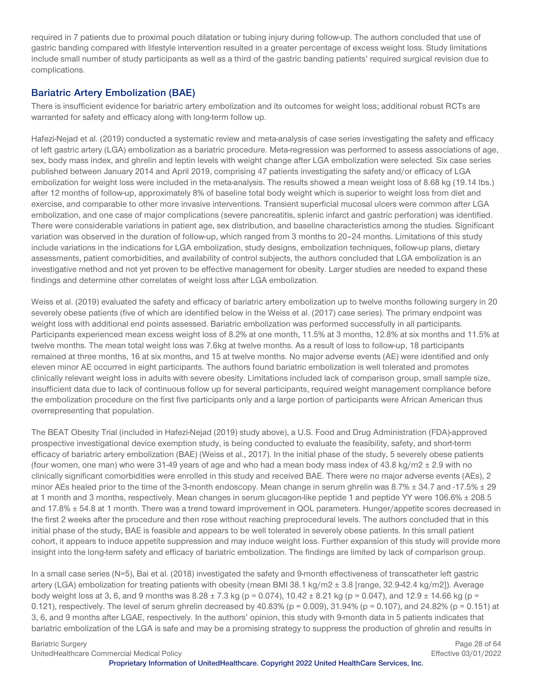required in 7 patients due to proximal pouch dilatation or tubing injury during follow-up. The authors concluded that use of gastric banding compared with lifestyle intervention resulted in a greater percentage of excess weight loss. Study limitations include small number of study participants as well as a third of the gastric banding patients' required surgical revision due to complications.

#### **Bariatric Artery Embolization (BAE)**

There is insufficient evidence for bariatric artery embolization and its outcomes for weight loss; additional robust RCTs are warranted for safety and efficacy along with long-term follow up.

Hafezi-Nejad et al. (2019) conducted a systematic review and meta-analysis of case series investigating the safety and efficacy of left gastric artery (LGA) embolization as a bariatric procedure. Meta-regression was performed to assess associations of age, sex, body mass index, and ghrelin and leptin levels with weight change after LGA embolization were selected. Six case series published between January 2014 and April 2019, comprising 47 patients investigating the safety and/or efficacy of LGA embolization for weight loss were included in the meta-analysis. The results showed a mean weight loss of 8.68 kg (19.14 lbs.) after 12 months of follow-up, approximately 8% of baseline total body weight which is superior to weight loss from diet and exercise, and comparable to other more invasive interventions. Transient superficial mucosal ulcers were common after LGA embolization, and one case of major complications (severe pancreatitis, splenic infarct and gastric perforation) was identified. There were considerable variations in patient age, sex distribution, and baseline characteristics among the studies. Significant variation was observed in the duration of follow-up, which ranged from 3 months to 20–24 months. Limitations of this study include variations in the indications for LGA embolization, study designs, embolization techniques, follow-up plans, dietary assessments, patient comorbidities, and availability of control subjects, the authors concluded that LGA embolization is an investigative method and not yet proven to be effective management for obesity. Larger studies are needed to expand these findings and determine other correlates of weight loss after LGA embolization.

Weiss et al. (2019) evaluated the safety and efficacy of bariatric artery embolization up to twelve months following surgery in 20 severely obese patients (five of which are identified below in the Weiss et al. (2017) case series). The primary endpoint was weight loss with additional end points assessed. Bariatric embolization was performed successfully in all participants. Participants experienced mean excess weight loss of 8.2% at one month, 11.5% at 3 months, 12.8% at six months and 11.5% at twelve months. The mean total weight loss was 7.6kg at twelve months. As a result of loss to follow-up, 18 participants remained at three months, 16 at six months, and 15 at twelve months. No major adverse events (AE) were identified and only eleven minor AE occurred in eight participants. The authors found bariatric embolization is well tolerated and promotes clinically relevant weight loss in adults with severe obesity. Limitations included lack of comparison group, small sample size, insufficient data due to lack of continuous follow up for several participants, required weight management compliance before the embolization procedure on the first five participants only and a large portion of participants were African American thus overrepresenting that population.

The BEAT Obesity Trial (included in Hafezi-Nejad (2019) study above), a U.S. Food and Drug Administration (FDA)-approved prospective investigational device exemption study, is being conducted to evaluate the feasibility, safety, and short-term efficacy of bariatric artery embolization (BAE) (Weiss et al., 2017). In the initial phase of the study, 5 severely obese patients (four women, one man) who were 31-49 years of age and who had a mean body mass index of 43.8 kg/m2  $\pm$  2.9 with no clinically significant comorbidities were enrolled in this study and received BAE. There were no major adverse events (AEs), 2 minor AEs healed prior to the time of the 3-month endoscopy. Mean change in serum ghrelin was  $8.7\% \pm 34.7$  and -17.5%  $\pm 29$ at 1 month and 3 months, respectively. Mean changes in serum glucagon-like peptide 1 and peptide YY were 106.6% ± 208.5 and 17.8%  $\pm$  54.8 at 1 month. There was a trend toward improvement in QOL parameters. Hunger/appetite scores decreased in the first 2 weeks after the procedure and then rose without reaching preprocedural levels. The authors concluded that in this initial phase of the study, BAE is feasible and appears to be well tolerated in severely obese patients. In this small patient cohort, it appears to induce appetite suppression and may induce weight loss. Further expansion of this study will provide more insight into the long-term safety and efficacy of bariatric embolization. The findings are limited by lack of comparison group.

In a small case series (N=5), Bai et al. (2018) investigated the safety and 9-month effectiveness of transcatheter left gastric artery (LGA) embolization for treating patients with obesity (mean BMI 38.1 kg/m2 ± 3.8 [range, 32.9-42.4 kg/m2]). Average body weight loss at 3, 6, and 9 months was  $8.28 \pm 7.3$  kg (p = 0.074), 10.42  $\pm$  8.21 kg (p = 0.047), and 12.9  $\pm$  14.66 kg (p = 0.121), respectively. The level of serum ghrelin decreased by  $40.83\%$  (p = 0.009), 31.94% (p = 0.107), and 24.82% (p = 0.151) at 3, 6, and 9 months after LGAE, respectively. In the authors' opinion, this study with 9-month data in 5 patients indicates that bariatric embolization of the LGA is safe and may be a promising strategy to suppress the production of ghrelin and results in

Bariatric Surgery **Page 28 of 64 Page 28 of 64** UnitedHealthcare Commercial Medical Policy Effective 03/01/2022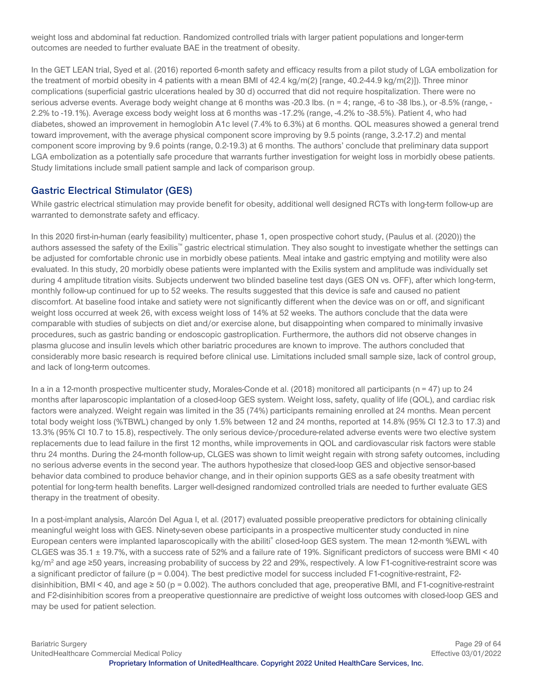weight loss and abdominal fat reduction. Randomized controlled trials with larger patient populations and longer-term outcomes are needed to further evaluate BAE in the treatment of obesity.

In the GET LEAN trial, Syed et al. (2016) reported 6-month safety and efficacy results from a pilot study of LGA embolization for the treatment of morbid obesity in 4 patients with a mean BMI of 42.4 kg/m(2) [range, 40.2-44.9 kg/m(2)]). Three minor complications (superficial gastric ulcerations healed by 30 d) occurred that did not require hospitalization. There were no serious adverse events. Average body weight change at 6 months was -20.3 lbs. (n = 4; range, -6 to -38 lbs.), or -8.5% (range, - 2.2% to -19.1%). Average excess body weight loss at 6 months was -17.2% (range, -4.2% to -38.5%). Patient 4, who had diabetes, showed an improvement in hemoglobin A1c level (7.4% to 6.3%) at 6 months. QOL measures showed a general trend toward improvement, with the average physical component score improving by 9.5 points (range, 3.2-17.2) and mental component score improving by 9.6 points (range, 0.2-19.3) at 6 months. The authors' conclude that preliminary data support LGA embolization as a potentially safe procedure that warrants further investigation for weight loss in morbidly obese patients. Study limitations include small patient sample and lack of comparison group.

#### **Gastric Electrical Stimulator (GES)**

While gastric electrical stimulation may provide benefit for obesity, additional well designed RCTs with long-term follow-up are warranted to demonstrate safety and efficacy.

In this 2020 first-in-human (early feasibility) multicenter, phase 1, open prospective cohort study, (Paulus et al. (2020)) the authors assessed the safety of the Exilis™ gastric electrical stimulation. They also sought to investigate whether the settings can be adjusted for comfortable chronic use in morbidly obese patients. Meal intake and gastric emptying and motility were also evaluated. In this study, 20 morbidly obese patients were implanted with the Exilis system and amplitude was individually set during 4 amplitude titration visits. Subjects underwent two blinded baseline test days (GES ON vs. OFF), after which long-term, monthly follow-up continued for up to 52 weeks. The results suggested that this device is safe and caused no patient discomfort. At baseline food intake and satiety were not significantly different when the device was on or off, and significant weight loss occurred at week 26, with excess weight loss of 14% at 52 weeks. The authors conclude that the data were comparable with studies of subjects on diet and/or exercise alone, but disappointing when compared to minimally invasive procedures, such as gastric banding or endoscopic gastroplication. Furthermore, the authors did not observe changes in plasma glucose and insulin levels which other bariatric procedures are known to improve. The authors concluded that considerably more basic research is required before clinical use. Limitations included small sample size, lack of control group, and lack of long-term outcomes.

In a in a 12-month prospective multicenter study, Morales-Conde et al. (2018) monitored all participants ( $n = 47$ ) up to 24 months after laparoscopic implantation of a closed-loop GES system. Weight loss, safety, quality of life (QOL), and cardiac risk factors were analyzed. Weight regain was limited in the 35 (74%) participants remaining enrolled at 24 months. Mean percent total body weight loss (%TBWL) changed by only 1.5% between 12 and 24 months, reported at 14.8% (95% CI 12.3 to 17.3) and 13.3% (95% CI 10.7 to 15.8), respectively. The only serious device-/procedure-related adverse events were two elective system replacements due to lead failure in the first 12 months, while improvements in QOL and cardiovascular risk factors were stable thru 24 months. During the 24-month follow-up, CLGES was shown to limit weight regain with strong safety outcomes, including no serious adverse events in the second year. The authors hypothesize that closed-loop GES and objective sensor-based behavior data combined to produce behavior change, and in their opinion supports GES as a safe obesity treatment with potential for long-term health benefits. Larger well-designed randomized controlled trials are needed to further evaluate GES therapy in the treatment of obesity.

In a post-implant analysis, Alarcón Del Agua I, et al. (2017) evaluated possible preoperative predictors for obtaining clinically meaningful weight loss with GES. Ninety-seven obese participants in a prospective multicenter study conducted in nine European centers were implanted laparoscopically with the abiliti® closed-loop GES system. The mean 12-month %EWL with CLGES was  $35.1 \pm 19.7$ %, with a success rate of 52% and a failure rate of 19%. Significant predictors of success were BMI < 40 kg/m<sup>2</sup> and age ≥50 years, increasing probability of success by 22 and 29%, respectively. A low F1-cognitive-restraint score was a significant predictor of failure ( $p = 0.004$ ). The best predictive model for success included F1-cognitive-restraint, F2disinhibition, BMI < 40, and age  $\geq$  50 (p = 0.002). The authors concluded that age, preoperative BMI, and F1-cognitive-restraint and F2-disinhibition scores from a preoperative questionnaire are predictive of weight loss outcomes with closed-loop GES and may be used for patient selection.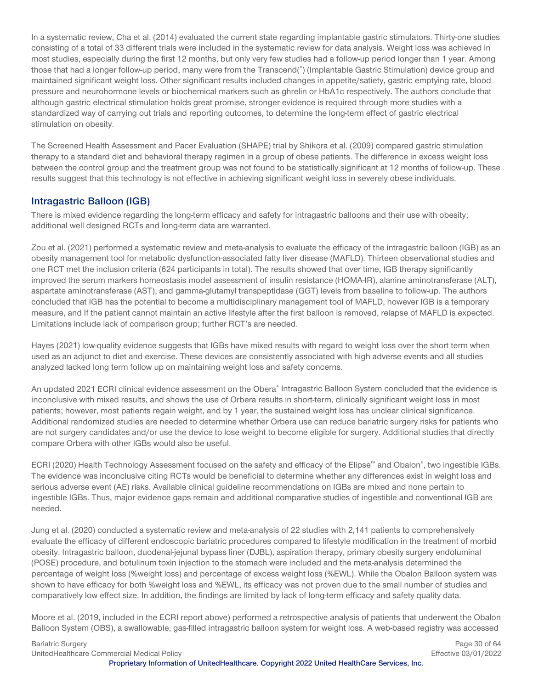In a systematic review, Cha et al. (2014) evaluated the current state regarding implantable gastric stimulators. Thirty-one studies consisting of a total of 33 different trials were included in the systematic review for data analysis. Weight loss was achieved in most studies, especially during the first 12 months, but only very few studies had a follow-up period longer than 1 year. Among those that had a longer follow-up period, many were from the Transcend(<sup>®</sup>) (Implantable Gastric Stimulation) device group and maintained significant weight loss. Other significant results included changes in appetite/satiety, gastric emptying rate, blood pressure and neurohormone levels or biochemical markers such as ghrelin or HbA1c respectively. The authors conclude that although gastric electrical stimulation holds great promise, stronger evidence is required through more studies with a standardized way of carrying out trials and reporting outcomes, to determine the long-term effect of gastric electrical stimulation on obesity.

The Screened Health Assessment and Pacer Evaluation (SHAPE) trial by Shikora et al. (2009) compared gastric stimulation therapy to a standard diet and behavioral therapy regimen in a group of obese patients. The difference in excess weight loss between the control group and the treatment group was not found to be statistically significant at 12 months of follow-up. These results suggest that this technology is not effective in achieving significant weight loss in severely obese individuals.

#### **Intragastric Balloon (IGB)**

There is mixed evidence regarding the long-term efficacy and safety for intragastric balloons and their use with obesity; additional well designed RCTs and long-term data are warranted.

Zou et al. (2021) performed a systematic review and meta-analysis to evaluate the efficacy of the intragastric balloon (IGB) as an obesity management tool for metabolic dysfunction-associated fatty liver disease (MAFLD). Thirteen observational studies and one RCT met the inclusion criteria (624 participants in total). The results showed that over time, IGB therapy significantly improved the serum markers homeostasis model assessment of insulin resistance (HOMA-IR), alanine aminotransferase (ALT), aspartate aminotransferase (AST), and gamma-glutamyl transpeptidase (GGT) levels from baseline to follow-up. The authors concluded that IGB has the potential to become a multidisciplinary management tool of MAFLD, however IGB is a temporary measure, and If the patient cannot maintain an active lifestyle after the first balloon is removed, relapse of MAFLD is expected. Limitations include lack of comparison group; further RCT's are needed.

Hayes (2021) low-quality evidence suggests that IGBs have mixed results with regard to weight loss over the short term when used as an adjunct to diet and exercise. These devices are consistently associated with high adverse events and all studies analyzed lacked long term follow up on maintaining weight loss and safety concerns.

An updated 2021 ECRI clinical evidence assessment on the Obera® Intragastric Balloon System concluded that the evidence is inconclusive with mixed results, and shows the use of Orbera results in short-term, clinically significant weight loss in most patients; however, most patients regain weight, and by 1 year, the sustained weight loss has unclear clinical significance. Additional randomized studies are needed to determine whether Orbera use can reduce bariatric surgery risks for patients who are not surgery candidates and/or use the device to lose weight to become eligible for surgery. Additional studies that directly compare Orbera with other IGBs would also be useful.

ECRI (2020) Health Technology Assessment focused on the safety and efficacy of the Elipse™ and Obalon®, two ingestible IGBs. The evidence was inconclusive citing RCTs would be beneficial to determine whether any differences exist in weight loss and serious adverse event (AE) risks. Available clinical guideline recommendations on IGBs are mixed and none pertain to ingestible IGBs. Thus, major evidence gaps remain and additional comparative studies of ingestible and conventional IGB are needed.

Jung et al. (2020) conducted a systematic review and meta-analysis of 22 studies with 2,141 patients to comprehensively evaluate the efficacy of different endoscopic bariatric procedures compared to lifestyle modification in the treatment of morbid obesity. Intragastric balloon, duodenal-jejunal bypass liner (DJBL), aspiration therapy, primary obesity surgery endoluminal (POSE) procedure, and botulinum toxin injection to the stomach were included and the meta-analysis determined the percentage of weight loss (%weight loss) and percentage of excess weight loss (%EWL). While the Obalon Balloon system was shown to have efficacy for both %weight loss and %EWL, its efficacy was not proven due to the small number of studies and comparatively low effect size. In addition, the findings are limited by lack of long-term efficacy and safety quality data.

Moore et al. (2019, included in the ECRI report above) performed a retrospective analysis of patients that underwent the Obalon Balloon System (OBS), a swallowable, gas-filled intragastric balloon system for weight loss. A web-based registry was accessed

Bariatric Surgery **Page 30 of 64** Page 30 of 64 UnitedHealthcare Commercial Medical Policy Effective 03/01/2022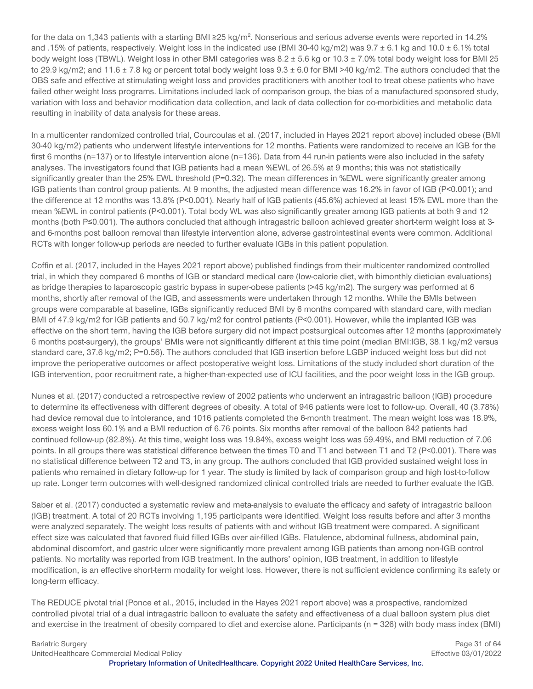for the data on 1,343 patients with a starting BMI ≥25 kg/m<sup>2</sup>. Nonserious and serious adverse events were reported in 14.2% and .15% of patients, respectively. Weight loss in the indicated use (BMI 30-40 kg/m2) was  $9.7 \pm 6.1$  kg and  $10.0 \pm 6.1$ % total body weight loss (TBWL). Weight loss in other BMI categories was 8.2 ± 5.6 kg or 10.3 ± 7.0% total body weight loss for BMI 25 to 29.9 kg/m2; and 11.6  $\pm$  7.8 kg or percent total body weight loss  $9.3 \pm 6.0$  for BMI >40 kg/m2. The authors concluded that the OBS safe and effective at stimulating weight loss and provides practitioners with another tool to treat obese patients who have failed other weight loss programs. Limitations included lack of comparison group, the bias of a manufactured sponsored study, variation with loss and behavior modification data collection, and lack of data collection for co-morbidities and metabolic data resulting in inability of data analysis for these areas.

In a multicenter randomized controlled trial, Courcoulas et al. (2017, included in Hayes 2021 report above) included obese (BMI 30-40 kg/m2) patients who underwent lifestyle interventions for 12 months. Patients were randomized to receive an IGB for the first 6 months (n=137) or to lifestyle intervention alone (n=136). Data from 44 run-in patients were also included in the safety analyses. The investigators found that IGB patients had a mean %EWL of 26.5% at 9 months; this was not statistically significantly greater than the 25% EWL threshold (P=0.32). The mean differences in %EWL were significantly greater among IGB patients than control group patients. At 9 months, the adjusted mean difference was 16.2% in favor of IGB (P<0.001); and the difference at 12 months was 13.8% (P<0.001). Nearly half of IGB patients (45.6%) achieved at least 15% EWL more than the mean %EWL in control patients (P<0.001). Total body WL was also significantly greater among IGB patients at both 9 and 12 months (both P≤0.001). The authors concluded that although intragastric balloon achieved greater short-term weight loss at 3 and 6-months post balloon removal than lifestyle intervention alone, adverse gastrointestinal events were common. Additional RCTs with longer follow-up periods are needed to further evaluate IGBs in this patient population.

Coffin et al. (2017, included in the Hayes 2021 report above) published findings from their multicenter randomized controlled trial, in which they compared 6 months of IGB or standard medical care (low-calorie diet, with bimonthly dietician evaluations) as bridge therapies to laparoscopic gastric bypass in super-obese patients (>45 kg/m2). The surgery was performed at 6 months, shortly after removal of the IGB, and assessments were undertaken through 12 months. While the BMIs between groups were comparable at baseline, IGBs significantly reduced BMI by 6 months compared with standard care, with median BMI of 47.9 kg/m2 for IGB patients and 50.7 kg/m2 for control patients (P<0.001). However, while the implanted IGB was effective on the short term, having the IGB before surgery did not impact postsurgical outcomes after 12 months (approximately 6 months post-surgery), the groups' BMIs were not significantly different at this time point (median BMI:IGB, 38.1 kg/m2 versus standard care, 37.6 kg/m2; P=0.56). The authors concluded that IGB insertion before LGBP induced weight loss but did not improve the perioperative outcomes or affect postoperative weight loss. Limitations of the study included short duration of the IGB intervention, poor recruitment rate, a higher-than-expected use of ICU facilities, and the poor weight loss in the IGB group.

Nunes et al. (2017) conducted a retrospective review of 2002 patients who underwent an intragastric balloon (IGB) procedure to determine its effectiveness with different degrees of obesity. A total of 946 patients were lost to follow-up. Overall, 40 (3.78%) had device removal due to intolerance, and 1016 patients completed the 6-month treatment. The mean weight loss was 18.9%, excess weight loss 60.1% and a BMI reduction of 6.76 points. Six months after removal of the balloon 842 patients had continued follow-up (82.8%). At this time, weight loss was 19.84%, excess weight loss was 59.49%, and BMI reduction of 7.06 points. In all groups there was statistical difference between the times T0 and T1 and between T1 and T2 (P<0.001). There was no statistical difference between T2 and T3, in any group. The authors concluded that IGB provided sustained weight loss in patients who remained in dietary follow-up for 1 year. The study is limited by lack of comparison group and high lost-to-follow up rate. Longer term outcomes with well-designed randomized clinical controlled trials are needed to further evaluate the IGB.

Saber et al. (2017) conducted a systematic review and meta-analysis to evaluate the efficacy and safety of intragastric balloon (IGB) treatment. A total of 20 RCTs involving 1,195 participants were identified. Weight loss results before and after 3 months were analyzed separately. The weight loss results of patients with and without IGB treatment were compared. A significant effect size was calculated that favored fluid filled IGBs over air-filled IGBs. Flatulence, abdominal fullness, abdominal pain, abdominal discomfort, and gastric ulcer were significantly more prevalent among IGB patients than among non-IGB control patients. No mortality was reported from IGB treatment. In the authors' opinion, IGB treatment, in addition to lifestyle modification, is an effective short-term modality for weight loss. However, there is not sufficient evidence confirming its safety or long-term efficacy.

The REDUCE pivotal trial (Ponce et al., 2015, included in the Hayes 2021 report above) was a prospective, randomized controlled pivotal trial of a dual intragastric balloon to evaluate the safety and effectiveness of a dual balloon system plus diet and exercise in the treatment of obesity compared to diet and exercise alone. Participants (n = 326) with body mass index (BMI)

UnitedHealthcare Commercial Medical Policy Effective 03/01/2022

Bariatric Surgery **Page 31 of 64 Page 31 of 64**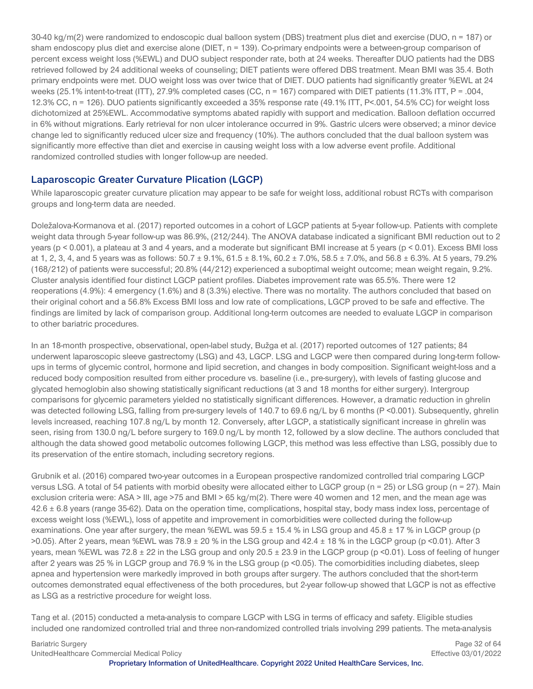30-40 kg/m(2) were randomized to endoscopic dual balloon system (DBS) treatment plus diet and exercise (DUO, n = 187) or sham endoscopy plus diet and exercise alone (DIET, n = 139). Co-primary endpoints were a between-group comparison of percent excess weight loss (%EWL) and DUO subject responder rate, both at 24 weeks. Thereafter DUO patients had the DBS retrieved followed by 24 additional weeks of counseling; DIET patients were offered DBS treatment. Mean BMI was 35.4. Both primary endpoints were met. DUO weight loss was over twice that of DIET. DUO patients had significantly greater %EWL at 24 weeks (25.1% intent-to-treat (ITT), 27.9% completed cases (CC, n = 167) compared with DIET patients (11.3% ITT, P = .004, 12.3% CC, n = 126). DUO patients significantly exceeded a 35% response rate (49.1% ITT, P<.001, 54.5% CC) for weight loss dichotomized at 25%EWL. Accommodative symptoms abated rapidly with support and medication. Balloon deflation occurred in 6% without migrations. Early retrieval for non ulcer intolerance occurred in 9%. Gastric ulcers were observed; a minor device change led to significantly reduced ulcer size and frequency (10%). The authors concluded that the dual balloon system was significantly more effective than diet and exercise in causing weight loss with a low adverse event profile. Additional randomized controlled studies with longer follow-up are needed.

# **Laparoscopic Greater Curvature Plication (LGCP)**

While laparoscopic greater curvature plication may appear to be safe for weight loss, additional robust RCTs with comparison groups and long-term data are needed.

Doležalova-Kormanova et al. (2017) reported outcomes in a cohort of LGCP patients at 5-year follow-up. Patients with complete weight data through 5-year follow-up was 86.9%, (212/244). The ANOVA database indicated a significant BMI reduction out to 2 years (p < 0.001), a plateau at 3 and 4 years, and a moderate but significant BMI increase at 5 years (p < 0.01). Excess BMI loss at 1, 2, 3, 4, and 5 years was as follows:  $50.7 \pm 9.1\%$ ,  $61.5 \pm 8.1\%$ ,  $60.2 \pm 7.0\%$ ,  $58.5 \pm 7.0\%$ , and  $56.8 \pm 6.3\%$ . At 5 years, 79.2% (168/212) of patients were successful; 20.8% (44/212) experienced a suboptimal weight outcome; mean weight regain, 9.2%. Cluster analysis identified four distinct LGCP patient profiles. Diabetes improvement rate was 65.5%. There were 12 reoperations (4.9%): 4 emergency (1.6%) and 8 (3.3%) elective. There was no mortality. The authors concluded that based on their original cohort and a 56.8% Excess BMI loss and low rate of complications, LGCP proved to be safe and effective. The findings are limited by lack of comparison group. Additional long-term outcomes are needed to evaluate LGCP in comparison to other bariatric procedures.

In an 18-month prospective, observational, open-label study, Bužga et al. (2017) reported outcomes of 127 patients; 84 underwent laparoscopic sleeve gastrectomy (LSG) and 43, LGCP. LSG and LGCP were then compared during long-term followups in terms of glycemic control, hormone and lipid secretion, and changes in body composition. Significant weight-loss and a reduced body composition resulted from either procedure vs. baseline (i.e., pre-surgery), with levels of fasting glucose and glycated hemoglobin also showing statistically significant reductions (at 3 and 18 months for either surgery). Intergroup comparisons for glycemic parameters yielded no statistically significant differences. However, a dramatic reduction in ghrelin was detected following LSG, falling from pre-surgery levels of 140.7 to 69.6 ng/L by 6 months (P <0.001). Subsequently, ghrelin levels increased, reaching 107.8 ng/L by month 12. Conversely, after LGCP, a statistically significant increase in ghrelin was seen, rising from 130.0 ng/L before surgery to 169.0 ng/L by month 12, followed by a slow decline. The authors concluded that although the data showed good metabolic outcomes following LGCP, this method was less effective than LSG, possibly due to its preservation of the entire stomach, including secretory regions.

Grubnik et al. (2016) compared two-year outcomes in a European prospective randomized controlled trial comparing LGCP versus LSG. A total of 54 patients with morbid obesity were allocated either to LGCP group (n = 25) or LSG group (n = 27). Main exclusion criteria were: ASA > III, age >75 and BMI > 65 kg/m(2). There were 40 women and 12 men, and the mean age was  $42.6 \pm 6.8$  years (range 35-62). Data on the operation time, complications, hospital stay, body mass index loss, percentage of excess weight loss (%EWL), loss of appetite and improvement in comorbidities were collected during the follow-up examinations. One year after surgery, the mean %EWL was  $59.5 \pm 15.4$  % in LSG group and  $45.8 \pm 17$  % in LGCP group (p  $>0.05$ ). After 2 years, mean %EWL was  $78.9 \pm 20$  % in the LSG group and  $42.4 \pm 18$  % in the LGCP group (p <0.01). After 3 years, mean %EWL was  $72.8 \pm 22$  in the LSG group and only  $20.5 \pm 23.9$  in the LGCP group (p <0.01). Loss of feeling of hunger after 2 years was 25 % in LGCP group and 76.9 % in the LSG group (p <0.05). The comorbidities including diabetes, sleep apnea and hypertension were markedly improved in both groups after surgery. The authors concluded that the short-term outcomes demonstrated equal effectiveness of the both procedures, but 2-year follow-up showed that LGCP is not as effective as LSG as a restrictive procedure for weight loss.

Tang et al. (2015) conducted a meta-analysis to compare LGCP with LSG in terms of efficacy and safety. Eligible studies included one randomized controlled trial and three non-randomized controlled trials involving 299 patients. The meta-analysis

Bariatric Surgery Page 32 of 64 UnitedHealthcare Commercial Medical Policy Effective 03/01/2022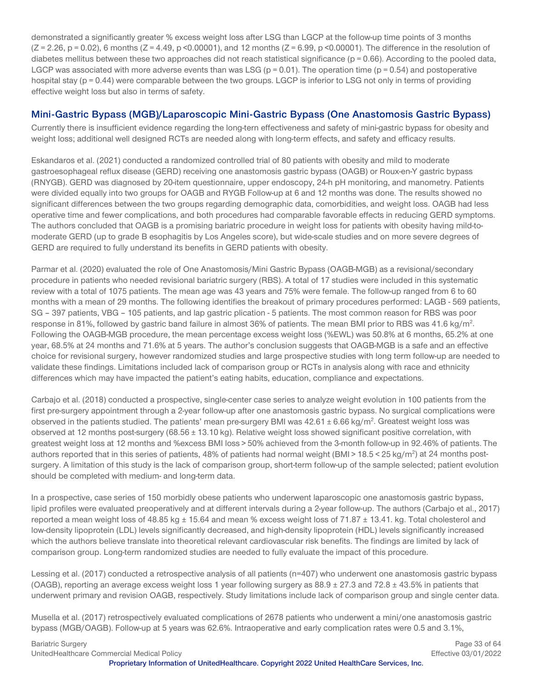demonstrated a significantly greater % excess weight loss after LSG than LGCP at the follow-up time points of 3 months  $(Z = 2.26, p = 0.02)$ , 6 months  $(Z = 4.49, p \le 0.00001)$ , and 12 months  $(Z = 6.99, p \le 0.00001)$ . The difference in the resolution of diabetes mellitus between these two approaches did not reach statistical significance ( $p = 0.66$ ). According to the pooled data, LGCP was associated with more adverse events than was LSG ( $p = 0.01$ ). The operation time ( $p = 0.54$ ) and postoperative hospital stay (p = 0.44) were comparable between the two groups. LGCP is inferior to LSG not only in terms of providing effective weight loss but also in terms of safety.

#### **Mini-Gastric Bypass (MGB)/Laparoscopic Mini-Gastric Bypass (One Anastomosis Gastric Bypass)**

Currently there is insufficient evidence regarding the long-tern effectiveness and safety of mini-gastric bypass for obesity and weight loss; additional well designed RCTs are needed along with long-term effects, and safety and efficacy results.

Eskandaros et al. (2021) conducted a randomized controlled trial of 80 patients with obesity and mild to moderate gastroesophageal reflux disease (GERD) receiving one anastomosis gastric bypass (OAGB) or Roux-en-Y gastric bypass (RNYGB). GERD was diagnosed by 20-item questionnaire, upper endoscopy, 24-h pH monitoring, and manometry. Patients were divided equally into two groups for OAGB and RYGB Follow-up at 6 and 12 months was done. The results showed no significant differences between the two groups regarding demographic data, comorbidities, and weight loss. OAGB had less operative time and fewer complications, and both procedures had comparable favorable effects in reducing GERD symptoms. The authors concluded that OAGB is a promising bariatric procedure in weight loss for patients with obesity having mild-tomoderate GERD (up to grade B esophagitis by Los Angeles score), but wide-scale studies and on more severe degrees of GERD are required to fully understand its benefits in GERD patients with obesity.

Parmar et al. (2020) evaluated the role of One Anastomosis/Mini Gastric Bypass (OAGB-MGB) as a revisional/secondary procedure in patients who needed revisional bariatric surgery (RBS). A total of 17 studies were included in this systematic review with a total of 1075 patients. The mean age was 43 years and 75% were female. The follow-up ranged from 6 to 60 months with a mean of 29 months. The following identifies the breakout of primary procedures performed: LAGB - 569 patients, SG – 397 patients, VBG – 105 patients, and lap gastric plication - 5 patients. The most common reason for RBS was poor response in 81%, followed by gastric band failure in almost 36% of patients. The mean BMI prior to RBS was 41.6 kg/m<sup>2</sup>. Following the OAGB-MGB procedure, the mean percentage excess weight loss (%EWL) was 50.8% at 6 months, 65.2% at one year, 68.5% at 24 months and 71.6% at 5 years. The author's conclusion suggests that OAGB-MGB is a safe and an effective choice for revisional surgery, however randomized studies and large prospective studies with long term follow-up are needed to validate these findings. Limitations included lack of comparison group or RCTs in analysis along with race and ethnicity differences which may have impacted the patient's eating habits, education, compliance and expectations.

Carbajo et al. (2018) conducted a prospective, single-center case series to analyze weight evolution in 100 patients from the first pre-surgery appointment through a 2-year follow-up after one anastomosis gastric bypass. No surgical complications were observed in the patients studied. The patients' mean pre-surgery BMI was  $42.61 \pm 6.66$  kg/m<sup>2</sup>. Greatest weight loss was observed at 12 months post-surgery (68.56 ± 13.10 kg). Relative weight loss showed significant positive correlation, with greatest weight loss at 12 months and %excess BMI loss > 50% achieved from the 3-month follow-up in 92.46% of patients. The authors reported that in this series of patients, 48% of patients had normal weight (BMI>18.5<25 kg/m<sup>2</sup>) at 24 months postsurgery. A limitation of this study is the lack of comparison group, short-term follow-up of the sample selected; patient evolution should be completed with medium- and long-term data.

In a prospective, case series of 150 morbidly obese patients who underwent laparoscopic one anastomosis gastric bypass, lipid profiles were evaluated preoperatively and at different intervals during a 2-year follow-up. The authors (Carbajo et al., 2017) reported a mean weight loss of 48.85 kg  $\pm$  15.64 and mean % excess weight loss of 71.87  $\pm$  13.41. kg. Total cholesterol and low-density lipoprotein (LDL) levels significantly decreased, and high-density lipoprotein (HDL) levels significantly increased which the authors believe translate into theoretical relevant cardiovascular risk benefits. The findings are limited by lack of comparison group. Long-term randomized studies are needed to fully evaluate the impact of this procedure.

Lessing et al. (2017) conducted a retrospective analysis of all patients (n=407) who underwent one anastomosis gastric bypass (OAGB), reporting an average excess weight loss 1 year following surgery as  $88.9 \pm 27.3$  and  $72.8 \pm 43.5\%$  in patients that underwent primary and revision OAGB, respectively. Study limitations include lack of comparison group and single center data.

Musella et al. (2017) retrospectively evaluated complications of 2678 patients who underwent a mini/one anastomosis gastric bypass (MGB/OAGB). Follow-up at 5 years was 62.6%. Intraoperative and early complication rates were 0.5 and 3.1%,

Bariatric Surgery **Page 33 of 64** Page 33 of 64 UnitedHealthcare Commercial Medical Policy Effective 03/01/2022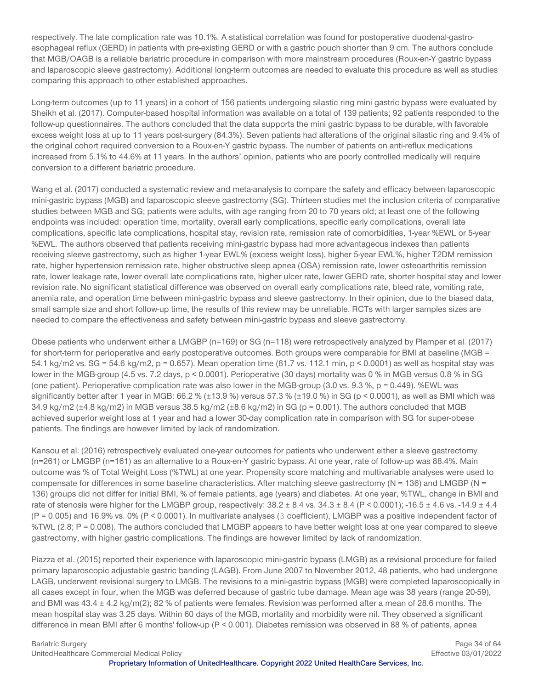respectively. The late complication rate was 10.1%. A statistical correlation was found for postoperative duodenal-gastroesophageal reflux (GERD) in patients with pre-existing GERD or with a gastric pouch shorter than 9 cm. The authors conclude that MGB/OAGB is a reliable bariatric procedure in comparison with more mainstream procedures (Roux-en-Y gastric bypass and laparoscopic sleeve gastrectomy). Additional long-term outcomes are needed to evaluate this procedure as well as studies comparing this approach to other established approaches.

Long-term outcomes (up to 11 years) in a cohort of 156 patients undergoing silastic ring mini gastric bypass were evaluated by Sheikh et al. (2017). Computer-based hospital information was available on a total of 139 patients; 92 patients responded to the follow-up questionnaires. The authors concluded that the data supports the mini gastric bypass to be durable, with favorable excess weight loss at up to 11 years post-surgery (84.3%). Seven patients had alterations of the original silastic ring and 9.4% of the original cohort required conversion to a Roux-en-Y gastric bypass. The number of patients on anti-reflux medications increased from 5.1% to 44.6% at 11 years. In the authors' opinion, patients who are poorly controlled medically will require conversion to a different bariatric procedure.

Wang et al. (2017) conducted a systematic review and meta-analysis to compare the safety and efficacy between laparoscopic mini-gastric bypass (MGB) and laparoscopic sleeve gastrectomy (SG). Thirteen studies met the inclusion criteria of comparative studies between MGB and SG; patients were adults, with age ranging from 20 to 70 years old; at least one of the following endpoints was included: operation time, mortality, overall early complications, specific early complications, overall late complications, specific late complications, hospital stay, revision rate, remission rate of comorbidities, 1-year %EWL or 5-year %EWL. The authors observed that patients receiving mini-gastric bypass had more advantageous indexes than patients receiving sleeve gastrectomy, such as higher 1-year EWL% (excess weight loss), higher 5-year EWL%, higher T2DM remission rate, higher hypertension remission rate, higher obstructive sleep apnea (OSA) remission rate, lower osteoarthritis remission rate, lower leakage rate, lower overall late complications rate, higher ulcer rate, lower GERD rate, shorter hospital stay and lower revision rate. No significant statistical difference was observed on overall early complications rate, bleed rate, vomiting rate, anemia rate, and operation time between mini-gastric bypass and sleeve gastrectomy. In their opinion, due to the biased data, small sample size and short follow-up time, the results of this review may be unreliable. RCTs with larger samples sizes are needed to compare the effectiveness and safety between mini-gastric bypass and sleeve gastrectomy.

Obese patients who underwent either a LMGBP (n=169) or SG (n=118) were retrospectively analyzed by Plamper et al. (2017) for short-term for perioperative and early postoperative outcomes. Both groups were comparable for BMI at baseline (MGB = 54.1 kg/m2 vs. SG = 54.6 kg/m2, p = 0.657). Mean operation time (81.7 vs. 112.1 min, p < 0.0001) as well as hospital stay was lower in the MGB-group (4.5 vs. 7.2 days, p < 0.0001). Perioperative (30 days) mortality was 0 % in MGB versus 0.8 % in SG (one patient). Perioperative complication rate was also lower in the MGB-group (3.0 vs. 9.3 %,  $p = 0.449$ ). %EWL was significantly better after 1 year in MGB: 66.2 % (±13.9 %) versus 57.3 % (±19.0 %) in SG ( $p < 0.0001$ ), as well as BMI which was 34.9 kg/m2 (±4.8 kg/m2) in MGB versus 38.5 kg/m2 (±8.6 kg/m2) in SG (p = 0.001). The authors concluded that MGB achieved superior weight loss at 1 year and had a lower 30-day complication rate in comparison with SG for super-obese patients. The findings are however limited by lack of randomization.

Kansou et al. (2016) retrospectively evaluated one-year outcomes for patients who underwent either a sleeve gastrectomy (n=261) or LMGBP (n=161) as an alternative to a Roux-en-Y gastric bypass. At one year, rate of follow-up was 88.4%. Main outcome was % of Total Weight Loss (%TWL) at one year. Propensity score matching and multivariable analyses were used to compensate for differences in some baseline characteristics. After matching sleeve gastrectomy (N = 136) and LMGBP (N = 136) groups did not differ for initial BMI, % of female patients, age (years) and diabetes. At one year, %TWL, change in BMI and rate of stenosis were higher for the LMGBP group, respectively:  $38.2 \pm 8.4$  vs.  $34.3 \pm 8.4$  (P < 0.0001); -16.5  $\pm$  4.6 vs. -14.9  $\pm$  4.4 (P = 0.005) and 16.9% vs. 0% (P < 0.0001). In multivariate analyses (β coefficient), LMGBP was a positive independent factor of %TWL (2.8; P = 0.008). The authors concluded that LMGBP appears to have better weight loss at one year compared to sleeve gastrectomy, with higher gastric complications. The findings are however limited by lack of randomization.

Piazza et al. (2015) reported their experience with laparoscopic mini-gastric bypass (LMGB) as a revisional procedure for failed primary laparoscopic adjustable gastric banding (LAGB). From June 2007 to November 2012, 48 patients, who had undergone LAGB, underwent revisional surgery to LMGB. The revisions to a mini-gastric bypass (MGB) were completed laparoscopically in all cases except in four, when the MGB was deferred because of gastric tube damage. Mean age was 38 years (range 20-59), and BMI was 43.4 ± 4.2 kg/m(2); 82 % of patients were females. Revision was performed after a mean of 28.6 months. The mean hospital stay was 3.25 days. Within 60 days of the MGB, mortality and morbidity were nil. They observed a significant difference in mean BMI after 6 months' follow-up (P < 0.001). Diabetes remission was observed in 88 % of patients, apnea

Bariatric Surgery **Page 34 of 64 Page 34 of 64** UnitedHealthcare Commercial Medical Policy Effective 03/01/2022

**Proprietary Information of UnitedHealthcare. Copyright 2022 United HealthCare Services, Inc.**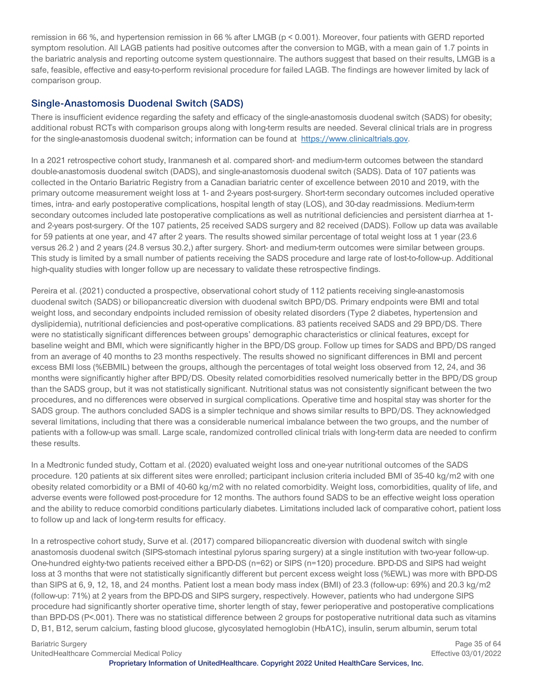remission in 66 %, and hypertension remission in 66 % after LMGB (p < 0.001). Moreover, four patients with GERD reported symptom resolution. All LAGB patients had positive outcomes after the conversion to MGB, with a mean gain of 1.7 points in the bariatric analysis and reporting outcome system questionnaire. The authors suggest that based on their results, LMGB is a safe, feasible, effective and easy-to-perform revisional procedure for failed LAGB. The findings are however limited by lack of comparison group.

#### **Single-Anastomosis Duodenal Switch (SADS)**

There is insufficient evidence regarding the safety and efficacy of the single-anastomosis duodenal switch (SADS) for obesity; additional robust RCTs with comparison groups along with long-term results are needed. Several clinical trials are in progress for the single-anastomosis duodenal switch; information can be found at [https://www.clinicaltrials.gov.](https://www.clinicaltrials.gov/ct2/results?cond=&term=endobarrier&cntry=&state=&city=&dist=%20)

In a 2021 retrospective cohort study, Iranmanesh et al. compared short- and medium-term outcomes between the standard double-anastomosis duodenal switch (DADS), and single-anastomosis duodenal switch (SADS). Data of 107 patients was collected in the Ontario Bariatric Registry from a Canadian bariatric center of excellence between 2010 and 2019, with the primary outcome measurement weight loss at 1- and 2-years post-surgery. Short-term secondary outcomes included operative times, intra- and early postoperative complications, hospital length of stay (LOS), and 30-day readmissions. Medium-term secondary outcomes included late postoperative complications as well as nutritional deficiencies and persistent diarrhea at 1 and 2-years post-surgery. Of the 107 patients, 25 received SADS surgery and 82 received (DADS). Follow up data was available for 59 patients at one year, and 47 after 2 years. The results showed similar percentage of total weight loss at 1 year (23.6 versus 26.2 ) and 2 years (24.8 versus 30.2,) after surgery. Short- and medium-term outcomes were similar between groups. This study is limited by a small number of patients receiving the SADS procedure and large rate of lost-to-follow-up. Additional high-quality studies with longer follow up are necessary to validate these retrospective findings.

Pereira et al. (2021) conducted a prospective, observational cohort study of 112 patients receiving single-anastomosis duodenal switch (SADS) or biliopancreatic diversion with duodenal switch BPD/DS. Primary endpoints were BMI and total weight loss, and secondary endpoints included remission of obesity related disorders (Type 2 diabetes, hypertension and dyslipidemia), nutritional deficiencies and post-operative complications. 83 patients received SADS and 29 BPD/DS. There were no statistically significant differences between groups' demographic characteristics or clinical features, except for baseline weight and BMI, which were significantly higher in the BPD/DS group. Follow up times for SADS and BPD/DS ranged from an average of 40 months to 23 months respectively. The results showed no significant differences in BMI and percent excess BMI loss (%EBMIL) between the groups, although the percentages of total weight loss observed from 12, 24, and 36 months were significantly higher after BPD/DS. Obesity related comorbidities resolved numerically better in the BPD/DS group than the SADS group, but it was not statistically significant. Nutritional status was not consistently significant between the two procedures, and no differences were observed in surgical complications. Operative time and hospital stay was shorter for the SADS group. The authors concluded SADS is a simpler technique and shows similar results to BPD/DS. They acknowledged several limitations, including that there was a considerable numerical imbalance between the two groups, and the number of patients with a follow-up was small. Large scale, randomized controlled clinical trials with long-term data are needed to confirm these results.

In a Medtronic funded study, Cottam et al. (2020) evaluated weight loss and one-year nutritional outcomes of the SADS procedure. 120 patients at six different sites were enrolled; participant inclusion criteria included BMI of 35-40 kg/m2 with one obesity related comorbidity or a BMI of 40-60 kg/m2 with no related comorbidity. Weight loss, comorbidities, quality of life, and adverse events were followed post-procedure for 12 months. The authors found SADS to be an effective weight loss operation and the ability to reduce comorbid conditions particularly diabetes. Limitations included lack of comparative cohort, patient loss to follow up and lack of long-term results for efficacy.

In a retrospective cohort study, Surve et al. (2017) compared biliopancreatic diversion with duodenal switch with single anastomosis duodenal switch (SIPS-stomach intestinal pylorus sparing surgery) at a single institution with two-year follow-up. One-hundred eighty-two patients received either a BPD-DS (n=62) or SIPS (n=120) procedure. BPD-DS and SIPS had weight loss at 3 months that were not statistically significantly different but percent excess weight loss (%EWL) was more with BPD-DS than SIPS at 6, 9, 12, 18, and 24 months. Patient lost a mean body mass index (BMI) of 23.3 (follow-up: 69%) and 20.3 kg/m2 (follow-up: 71%) at 2 years from the BPD-DS and SIPS surgery, respectively. However, patients who had undergone SIPS procedure had significantly shorter operative time, shorter length of stay, fewer perioperative and postoperative complications than BPD-DS (P<.001). There was no statistical difference between 2 groups for postoperative nutritional data such as vitamins D, B1, B12, serum calcium, fasting blood glucose, glycosylated hemoglobin (HbA1C), insulin, serum albumin, serum total

Bariatric Surgery **Page 35 of 64 Page 35 of 64** 

UnitedHealthcare Commercial Medical Policy Effective 03/01/2022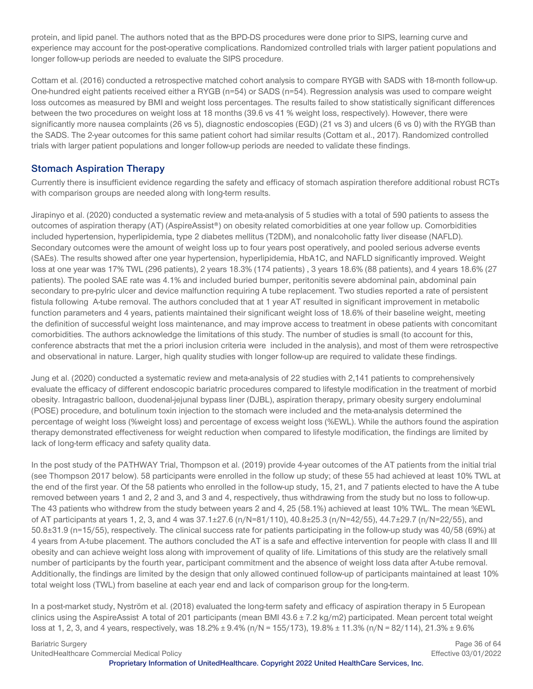protein, and lipid panel. The authors noted that as the BPD-DS procedures were done prior to SIPS, learning curve and experience may account for the post-operative complications. Randomized controlled trials with larger patient populations and longer follow-up periods are needed to evaluate the SIPS procedure.

Cottam et al. (2016) conducted a retrospective matched cohort analysis to compare RYGB with SADS with 18-month follow-up. One-hundred eight patients received either a RYGB (n=54) or SADS (n=54). Regression analysis was used to compare weight loss outcomes as measured by BMI and weight loss percentages. The results failed to show statistically significant differences between the two procedures on weight loss at 18 months (39.6 vs 41 % weight loss, respectively). However, there were significantly more nausea complaints (26 vs 5), diagnostic endoscopies (EGD) (21 vs 3) and ulcers (6 vs 0) with the RYGB than the SADS. The 2-year outcomes for this same patient cohort had similar results (Cottam et al., 2017). Randomized controlled trials with larger patient populations and longer follow-up periods are needed to validate these findings.

### **Stomach Aspiration Therapy**

Currently there is insufficient evidence regarding the safety and efficacy of stomach aspiration therefore additional robust RCTs with comparison groups are needed along with long-term results.

Jirapinyo et al. (2020) conducted a systematic review and meta-analysis of 5 studies with a total of 590 patients to assess the outcomes of aspiration therapy (AT) (AspireAssist®) on obesity related comorbidities at one year follow up. Comorbidities included hypertension, hyperlipidemia, type 2 diabetes mellitus (T2DM), and nonalcoholic fatty liver disease (NAFLD). Secondary outcomes were the amount of weight loss up to four years post operatively, and pooled serious adverse events (SAEs). The results showed after one year hypertension, hyperlipidemia, HbA1C, and NAFLD significantly improved. Weight loss at one year was 17% TWL (296 patients), 2 years 18.3% (174 patients) , 3 years 18.6% (88 patients), and 4 years 18.6% (27 patients). The pooled SAE rate was 4.1% and included buried bumper, peritonitis severe abdominal pain, abdominal pain secondary to pre-pylric ulcer and device malfunction requiring A tube replacement. Two studies reported a rate of persistent fistula following A-tube removal. The authors concluded that at 1 year AT resulted in significant improvement in metabolic function parameters and 4 years, patients maintained their significant weight loss of 18.6% of their baseline weight, meeting the definition of successful weight loss maintenance, and may improve access to treatment in obese patients with concomitant comorbidities. The authors acknowledge the limitations of this study. The number of studies is small (to account for this, conference abstracts that met the a priori inclusion criteria were included in the analysis), and most of them were retrospective and observational in nature. Larger, high quality studies with longer follow-up are required to validate these findings.

Jung et al. (2020) conducted a systematic review and meta-analysis of 22 studies with 2,141 patients to comprehensively evaluate the efficacy of different endoscopic bariatric procedures compared to lifestyle modification in the treatment of morbid obesity. Intragastric balloon, duodenal-jejunal bypass liner (DJBL), aspiration therapy, primary obesity surgery endoluminal (POSE) procedure, and botulinum toxin injection to the stomach were included and the meta-analysis determined the percentage of weight loss (%weight loss) and percentage of excess weight loss (%EWL). While the authors found the aspiration therapy demonstrated effectiveness for weight reduction when compared to lifestyle modification, the findings are limited by lack of long-term efficacy and safety quality data.

In the post study of the PATHWAY Trial, Thompson et al. (2019) provide 4-year outcomes of the AT patients from the initial trial (see Thompson 2017 below). 58 participants were enrolled in the follow up study; of these 55 had achieved at least 10% TWL at the end of the first year. Of the 58 patients who enrolled in the follow-up study, 15, 21, and 7 patients elected to have the A tube removed between years 1 and 2, 2 and 3, and 3 and 4, respectively, thus withdrawing from the study but no loss to follow-up. The 43 patients who withdrew from the study between years 2 and 4, 25 (58.1%) achieved at least 10% TWL. The mean %EWL of AT participants at years 1, 2, 3, and 4 was 37.1±27.6 (n/N=81/110), 40.8±25.3 (n/N=42/55), 44.7±29.7 (n/N=22/55), and 50.8±31.9 (n=15/55), respectively. The clinical success rate for patients participating in the follow-up study was 40/58 (69%) at 4 years from A-tube placement. The authors concluded the AT is a safe and effective intervention for people with class II and III obesity and can achieve weight loss along with improvement of quality of life. Limitations of this study are the relatively small number of participants by the fourth year, participant commitment and the absence of weight loss data after A-tube removal. Additionally, the findings are limited by the design that only allowed continued follow-up of participants maintained at least 10% total weight loss (TWL) from baseline at each year end and lack of comparison group for the long-term.

In a post-market study, Nyström et al. (2018) evaluated the long-term safety and efficacy of aspiration therapy in 5 European clinics using the AspireAssist. A total of 201 participants (mean BMI 43.6 ± 7.2 kg/m2) participated. Mean percent total weight loss at 1, 2, 3, and 4 years, respectively, was  $18.2\% \pm 9.4\%$  (n/N =  $155/173$ ),  $19.8\% \pm 11.3\%$  (n/N =  $82/114$ ),  $21.3\% \pm 9.6\%$ 

Bariatric Surgery **Page 36 of 64 Page 36 of 64** 

UnitedHealthcare Commercial Medical Policy Effective 03/01/2022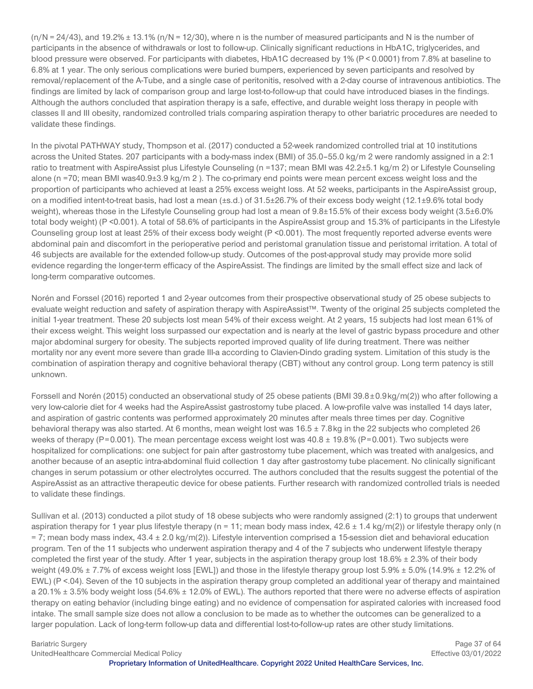$(n/N = 24/43)$ , and 19.2%  $\pm$  13.1% (n/N = 12/30), where n is the number of measured participants and N is the number of participants in the absence of withdrawals or lost to follow-up. Clinically significant reductions in HbA1C, triglycerides, and blood pressure were observed. For participants with diabetes, HbA1C decreased by 1% (P < 0.0001) from 7.8% at baseline to 6.8% at 1 year. The only serious complications were buried bumpers, experienced by seven participants and resolved by removal/replacement of the A-Tube, and a single case of peritonitis, resolved with a 2-day course of intravenous antibiotics. The findings are limited by lack of comparison group and large lost-to-follow-up that could have introduced biases in the findings. Although the authors concluded that aspiration therapy is a safe, effective, and durable weight loss therapy in people with classes II and III obesity, randomized controlled trials comparing aspiration therapy to other bariatric procedures are needed to validate these findings.

In the pivotal PATHWAY study, Thompson et al. (2017) conducted a 52-week randomized controlled trial at 10 institutions across the United States. 207 participants with a body-mass index (BMI) of 35.0–55.0 kg/m 2 were randomly assigned in a 2:1 ratio to treatment with AspireAssist plus Lifestyle Counseling (n =137; mean BMI was 42.2±5.1 kg/m 2) or Lifestyle Counseling alone (n =70; mean BMI was40.9±3.9 kg/m 2 ). The co-primary end points were mean percent excess weight loss and the proportion of participants who achieved at least a 25% excess weight loss. At 52 weeks, participants in the AspireAssist group, on a modified intent-to-treat basis, had lost a mean (±s.d.) of 31.5±26.7% of their excess body weight (12.1±9.6% total body weight), whereas those in the Lifestyle Counseling group had lost a mean of 9.8±15.5% of their excess body weight (3.5±6.0% total body weight) (P <0.001). A total of 58.6% of participants in the AspireAssist group and 15.3% of participants in the Lifestyle Counseling group lost at least 25% of their excess body weight (P <0.001). The most frequently reported adverse events were abdominal pain and discomfort in the perioperative period and peristomal granulation tissue and peristomal irritation. A total of 46 subjects are available for the extended follow-up study. Outcomes of the post-approval study may provide more solid evidence regarding the longer-term efficacy of the AspireAssist. The findings are limited by the small effect size and lack of long-term comparative outcomes.

Norén and Forssel (2016) reported 1 and 2-year outcomes from their prospective observational study of 25 obese subjects to evaluate weight reduction and safety of aspiration therapy with AspireAssist™. Twenty of the original 25 subjects completed the initial 1-year treatment. These 20 subjects lost mean 54% of their excess weight. At 2 years, 15 subjects had lost mean 61% of their excess weight. This weight loss surpassed our expectation and is nearly at the level of gastric bypass procedure and other major abdominal surgery for obesity. The subjects reported improved quality of life during treatment. There was neither mortality nor any event more severe than grade III-a according to Clavien-Dindo grading system. Limitation of this study is the combination of aspiration therapy and cognitive behavioral therapy (CBT) without any control group. Long term patency is still unknown.

Forssell and Norén (2015) conducted an observational study of 25 obese patients (BMI 39.8±0.9kg/m(2)) who after following a very low-calorie diet for 4 weeks had the AspireAssist gastrostomy tube placed. A low-profile valve was installed 14 days later, and aspiration of gastric contents was performed approximately 20 minutes after meals three times per day. Cognitive behavioral therapy was also started. At 6 months, mean weight lost was  $16.5 \pm 7.8$ kg in the 22 subjects who completed 26 weeks of therapy (P=0.001). The mean percentage excess weight lost was 40.8 ± 19.8% (P=0.001). Two subjects were hospitalized for complications: one subject for pain after gastrostomy tube placement, which was treated with analgesics, and another because of an aseptic intra-abdominal fluid collection 1 day after gastrostomy tube placement. No clinically significant changes in serum potassium or other electrolytes occurred. The authors concluded that the results suggest the potential of the AspireAssist as an attractive therapeutic device for obese patients. Further research with randomized controlled trials is needed to validate these findings.

Sullivan et al. (2013) conducted a pilot study of 18 obese subjects who were randomly assigned (2:1) to groups that underwent aspiration therapy for 1 year plus lifestyle therapy ( $n = 11$ ; mean body mass index,  $42.6 \pm 1.4$  kg/m(2)) or lifestyle therapy only (n = 7; mean body mass index, 43.4 ± 2.0 kg/m(2)). Lifestyle intervention comprised a 15-session diet and behavioral education program. Ten of the 11 subjects who underwent aspiration therapy and 4 of the 7 subjects who underwent lifestyle therapy completed the first year of the study. After 1 year, subjects in the aspiration therapy group lost  $18.6\% \pm 2.3\%$  of their body weight (49.0%  $\pm$  7.7% of excess weight loss [EWL]) and those in the lifestyle therapy group lost 5.9%  $\pm$  5.0% (14.9%  $\pm$  12.2% of EWL) (P <.04). Seven of the 10 subjects in the aspiration therapy group completed an additional year of therapy and maintained a 20.1% ± 3.5% body weight loss (54.6% ± 12.0% of EWL). The authors reported that there were no adverse effects of aspiration therapy on eating behavior (including binge eating) and no evidence of compensation for aspirated calories with increased food intake. The small sample size does not allow a conclusion to be made as to whether the outcomes can be generalized to a larger population. Lack of long-term follow-up data and differential lost-to-follow-up rates are other study limitations.

Bariatric Surgery **Page 37 of 64 Page 37 of 64** UnitedHealthcare Commercial Medical Policy Effective 03/01/2022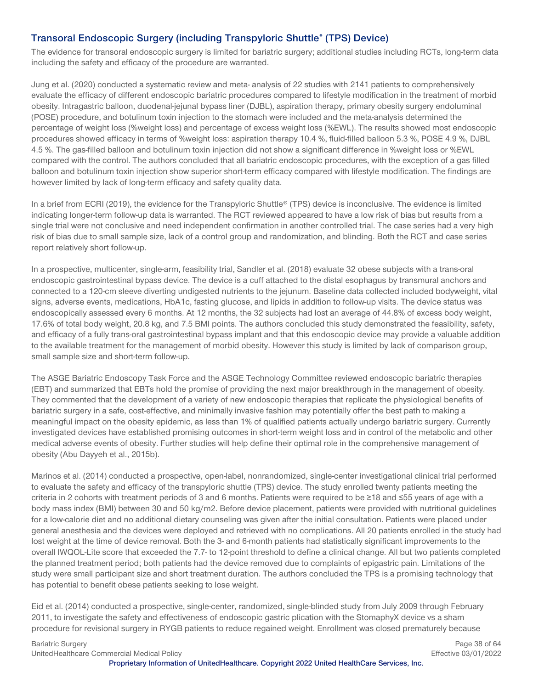# **Transoral Endoscopic Surgery (including Transpyloric Shuttle® (TPS) Device)**

The evidence for transoral endoscopic surgery is limited for bariatric surgery; additional studies including RCTs, long-term data including the safety and efficacy of the procedure are warranted.

Jung et al. (2020) conducted a systematic review and meta- analysis of 22 studies with 2141 patients to comprehensively evaluate the efficacy of different endoscopic bariatric procedures compared to lifestyle modification in the treatment of morbid obesity. Intragastric balloon, duodenal-jejunal bypass liner (DJBL), aspiration therapy, primary obesity surgery endoluminal (POSE) procedure, and botulinum toxin injection to the stomach were included and the meta-analysis determined the percentage of weight loss (%weight loss) and percentage of excess weight loss (%EWL). The results showed most endoscopic procedures showed efficacy in terms of %weight loss: aspiration therapy 10.4 %, fluid-filled balloon 5.3 %, POSE 4.9 %, DJBL 4.5 %. The gas-filled balloon and botulinum toxin injection did not show a significant difference in %weight loss or %EWL compared with the control. The authors concluded that all bariatric endoscopic procedures, with the exception of a gas filled balloon and botulinum toxin injection show superior short-term efficacy compared with lifestyle modification. The findings are however limited by lack of long-term efficacy and safety quality data.

In a brief from ECRI (2019), the evidence for the Transpyloric Shuttle<sup>®</sup> (TPS) device is inconclusive. The evidence is limited indicating longer-term follow-up data is warranted. The RCT reviewed appeared to have a low risk of bias but results from a single trial were not conclusive and need independent confirmation in another controlled trial. The case series had a very high risk of bias due to small sample size, lack of a control group and randomization, and blinding. Both the RCT and case series report relatively short follow-up.

In a prospective, multicenter, single-arm, feasibility trial, Sandler et al. (2018) evaluate 32 obese subjects with a trans-oral endoscopic gastrointestinal bypass device. The device is a cuff attached to the distal esophagus by transmural anchors and connected to a 120-cm sleeve diverting undigested nutrients to the jejunum. Baseline data collected included bodyweight, vital signs, adverse events, medications, HbA1c, fasting glucose, and lipids in addition to follow-up visits. The device status was endoscopically assessed every 6 months. At 12 months, the 32 subjects had lost an average of 44.8% of excess body weight, 17.6% of total body weight, 20.8 kg, and 7.5 BMI points. The authors concluded this study demonstrated the feasibility, safety, and efficacy of a fully trans-oral gastrointestinal bypass implant and that this endoscopic device may provide a valuable addition to the available treatment for the management of morbid obesity. However this study is limited by lack of comparison group, small sample size and short-term follow-up.

The ASGE Bariatric Endoscopy Task Force and the ASGE Technology Committee reviewed endoscopic bariatric therapies (EBT) and summarized that EBTs hold the promise of providing the next major breakthrough in the management of obesity. They commented that the development of a variety of new endoscopic therapies that replicate the physiological benefits of bariatric surgery in a safe, cost-effective, and minimally invasive fashion may potentially offer the best path to making a meaningful impact on the obesity epidemic, as less than 1% of qualified patients actually undergo bariatric surgery. Currently investigated devices have established promising outcomes in short-term weight loss and in control of the metabolic and other medical adverse events of obesity. Further studies will help define their optimal role in the comprehensive management of obesity (Abu Dayyeh et al., 2015b).

Marinos et al. (2014) conducted a prospective, open-label, nonrandomized, single-center investigational clinical trial performed to evaluate the safety and efficacy of the transpyloric shuttle (TPS) device. The study enrolled twenty patients meeting the criteria in 2 cohorts with treatment periods of 3 and 6 months. Patients were required to be ≥18 and ≤55 years of age with a body mass index (BMI) between 30 and 50 kg/m2. Before device placement, patients were provided with nutritional guidelines for a low-calorie diet and no additional dietary counseling was given after the initial consultation. Patients were placed under general anesthesia and the devices were deployed and retrieved with no complications. All 20 patients enrolled in the study had lost weight at the time of device removal. Both the 3- and 6-month patients had statistically significant improvements to the overall IWQOL-Lite score that exceeded the 7.7- to 12-point threshold to define a clinical change. All but two patients completed the planned treatment period; both patients had the device removed due to complaints of epigastric pain. Limitations of the study were small participant size and short treatment duration. The authors concluded the TPS is a promising technology that has potential to benefit obese patients seeking to lose weight.

Eid et al. (2014) conducted a prospective, single-center, randomized, single-blinded study from July 2009 through February 2011, to investigate the safety and effectiveness of endoscopic gastric plication with the StomaphyX device vs a sham procedure for revisional surgery in RYGB patients to reduce regained weight. Enrollment was closed prematurely because

Bariatric Surgery **Page 38 of 64 Page 38 of 64** 

UnitedHealthcare Commercial Medical Policy Effective 03/01/2022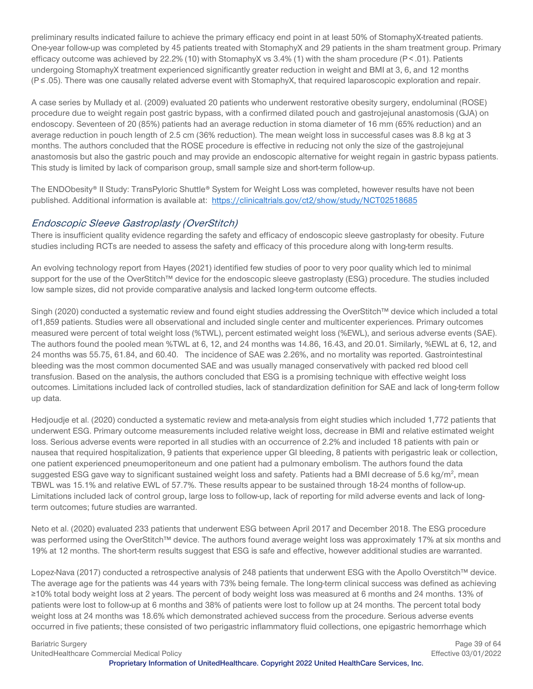preliminary results indicated failure to achieve the primary efficacy end point in at least 50% of StomaphyX-treated patients. One-year follow-up was completed by 45 patients treated with StomaphyX and 29 patients in the sham treatment group. Primary efficacy outcome was achieved by 22.2% (10) with StomaphyX vs 3.4% (1) with the sham procedure (P < .01). Patients undergoing StomaphyX treatment experienced significantly greater reduction in weight and BMI at 3, 6, and 12 months (P ≤ .05). There was one causally related adverse event with StomaphyX, that required laparoscopic exploration and repair.

A case series by Mullady et al. (2009) evaluated 20 patients who underwent restorative obesity surgery, endoluminal (ROSE) procedure due to weight regain post gastric bypass, with a confirmed dilated pouch and gastrojejunal anastomosis (GJA) on endoscopy. Seventeen of 20 (85%) patients had an average reduction in stoma diameter of 16 mm (65% reduction) and an average reduction in pouch length of 2.5 cm (36% reduction). The mean weight loss in successful cases was 8.8 kg at 3 months. The authors concluded that the ROSE procedure is effective in reducing not only the size of the gastrojejunal anastomosis but also the gastric pouch and may provide an endoscopic alternative for weight regain in gastric bypass patients. This study is limited by lack of comparison group, small sample size and short-term follow-up.

The ENDObesity® II Study: TransPyloric Shuttle® System for Weight Loss was completed, however results have not been published. Additional information is available at: <https://clinicaltrials.gov/ct2/show/study/NCT02518685>

#### Endoscopic Sleeve Gastroplasty (OverStitch)

There is insufficient quality evidence regarding the safety and efficacy of endoscopic sleeve gastroplasty for obesity. Future studies including RCTs are needed to assess the safety and efficacy of this procedure along with long-term results.

An evolving technology report from Hayes (2021) identified few studies of poor to very poor quality which led to minimal support for the use of the OverStitch™ device for the endoscopic sleeve gastroplasty (ESG) procedure. The studies included low sample sizes, did not provide comparative analysis and lacked long-term outcome effects.

Singh (2020) conducted a systematic review and found eight studies addressing the OverStitch™ device which included a total of1,859 patients. Studies were all observational and included single center and multicenter experiences. Primary outcomes measured were percent of total weight loss (%TWL), percent estimated weight loss (%EWL), and serious adverse events (SAE). The authors found the pooled mean %TWL at 6, 12, and 24 months was 14.86, 16.43, and 20.01. Similarly, %EWL at 6, 12, and 24 months was 55.75, 61.84, and 60.40. The incidence of SAE was 2.26%, and no mortality was reported. Gastrointestinal bleeding was the most common documented SAE and was usually managed conservatively with packed red blood cell transfusion. Based on the analysis, the authors concluded that ESG is a promising technique with effective weight loss outcomes. Limitations included lack of controlled studies, lack of standardization definition for SAE and lack of long-term follow up data.

Hedjoudje et al. (2020) conducted a systematic review and meta-analysis from eight studies which included 1,772 patients that underwent ESG. Primary outcome measurements included relative weight loss, decrease in BMI and relative estimated weight loss. Serious adverse events were reported in all studies with an occurrence of 2.2% and included 18 patients with pain or nausea that required hospitalization, 9 patients that experience upper GI bleeding, 8 patients with perigastric leak or collection, one patient experienced pneumoperitoneum and one patient had a pulmonary embolism. The authors found the data suggested ESG gave way to significant sustained weight loss and safety. Patients had a BMI decrease of 5.6 kg/m<sup>2</sup>, mean TBWL was 15.1% and relative EWL of 57.7%. These results appear to be sustained through 18-24 months of follow-up. Limitations included lack of control group, large loss to follow-up, lack of reporting for mild adverse events and lack of longterm outcomes; future studies are warranted.

Neto et al. (2020) evaluated 233 patients that underwent ESG between April 2017 and December 2018. The ESG procedure was performed using the OverStitch™ device. The authors found average weight loss was approximately 17% at six months and 19% at 12 months. The short-term results suggest that ESG is safe and effective, however additional studies are warranted.

Lopez-Nava (2017) conducted a retrospective analysis of 248 patients that underwent ESG with the Apollo Overstitch™ device. The average age for the patients was 44 years with 73% being female. The long-term clinical success was defined as achieving ≥10% total body weight loss at 2 years. The percent of body weight loss was measured at 6 months and 24 months. 13% of patients were lost to follow-up at 6 months and 38% of patients were lost to follow up at 24 months. The percent total body weight loss at 24 months was 18.6% which demonstrated achieved success from the procedure. Serious adverse events occurred in five patients; these consisted of two perigastric inflammatory fluid collections, one epigastric hemorrhage which

Bariatric Surgery **Page 39 of 64 Page 39 of 64** UnitedHealthcare Commercial Medical Policy Effective 03/01/2022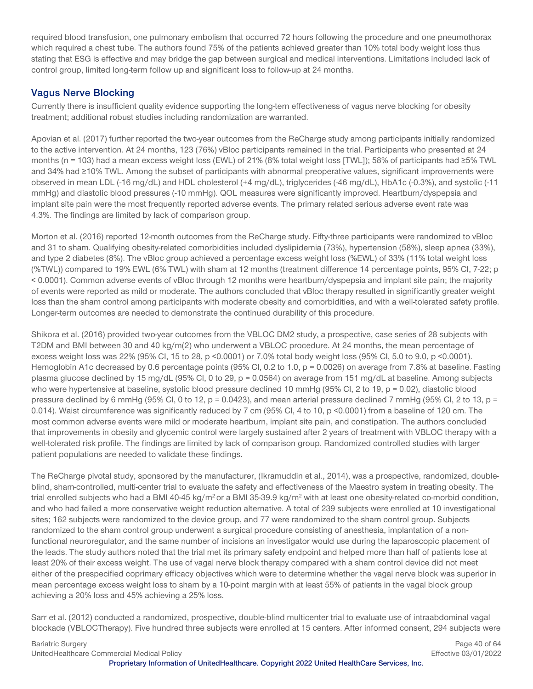required blood transfusion, one pulmonary embolism that occurred 72 hours following the procedure and one pneumothorax which required a chest tube. The authors found 75% of the patients achieved greater than 10% total body weight loss thus stating that ESG is effective and may bridge the gap between surgical and medical interventions. Limitations included lack of control group, limited long-term follow up and significant loss to follow-up at 24 months.

# **Vagus Nerve Blocking**

Currently there is insufficient quality evidence supporting the long-tern effectiveness of vagus nerve blocking for obesity treatment; additional robust studies including randomization are warranted.

Apovian et al. (2017) further reported the two-year outcomes from the ReCharge study among participants initially randomized to the active intervention. At 24 months, 123 (76%) vBloc participants remained in the trial. Participants who presented at 24 months (n = 103) had a mean excess weight loss (EWL) of 21% (8% total weight loss [TWL]); 58% of participants had ≥5% TWL and 34% had ≥10% TWL. Among the subset of participants with abnormal preoperative values, significant improvements were observed in mean LDL (-16 mg/dL) and HDL cholesterol (+4 mg/dL), triglycerides (-46 mg/dL), HbA1c (-0.3%), and systolic (-11 mmHg) and diastolic blood pressures (-10 mmHg). QOL measures were significantly improved. Heartburn/dyspepsia and implant site pain were the most frequently reported adverse events. The primary related serious adverse event rate was 4.3%. The findings are limited by lack of comparison group.

Morton et al. (2016) reported 12-month outcomes from the ReCharge study. Fifty-three participants were randomized to vBloc and 31 to sham. Qualifying obesity-related comorbidities included dyslipidemia (73%), hypertension (58%), sleep apnea (33%), and type 2 diabetes (8%). The vBloc group achieved a percentage excess weight loss (%EWL) of 33% (11% total weight loss (%TWL)) compared to 19% EWL (6% TWL) with sham at 12 months (treatment difference 14 percentage points, 95% CI, 7-22; p < 0.0001). Common adverse events of vBloc through 12 months were heartburn/dyspepsia and implant site pain; the majority of events were reported as mild or moderate. The authors concluded that vBloc therapy resulted in significantly greater weight loss than the sham control among participants with moderate obesity and comorbidities, and with a well-tolerated safety profile. Longer-term outcomes are needed to demonstrate the continued durability of this procedure.

Shikora et al. (2016) provided two-year outcomes from the VBLOC DM2 study, a prospective, case series of 28 subjects with T2DM and BMI between 30 and 40 kg/m(2) who underwent a VBLOC procedure. At 24 months, the mean percentage of excess weight loss was 22% (95% Cl, 15 to 28, p <0.0001) or 7.0% total body weight loss (95% Cl, 5.0 to 9.0, p <0.0001). Hemoglobin A1c decreased by 0.6 percentage points (95% CI, 0.2 to 1.0, p = 0.0026) on average from 7.8% at baseline. Fasting plasma glucose declined by 15 mg/dL (95% CI, 0 to 29, p = 0.0564) on average from 151 mg/dL at baseline. Among subjects who were hypertensive at baseline, systolic blood pressure declined 10 mmHg (95% CI, 2 to 19, p = 0.02), diastolic blood pressure declined by 6 mmHg (95% CI, 0 to 12,  $p = 0.0423$ ), and mean arterial pressure declined 7 mmHg (95% CI, 2 to 13,  $p =$ 0.014). Waist circumference was significantly reduced by 7 cm (95% CI, 4 to 10, p <0.0001) from a baseline of 120 cm. The most common adverse events were mild or moderate heartburn, implant site pain, and constipation. The authors concluded that improvements in obesity and glycemic control were largely sustained after 2 years of treatment with VBLOC therapy with a well-tolerated risk profile. The findings are limited by lack of comparison group. Randomized controlled studies with larger patient populations are needed to validate these findings.

The ReCharge pivotal study, sponsored by the manufacturer, (Ikramuddin et al., 2014), was a prospective, randomized, doubleblind, sham-controlled, multi-center trial to evaluate the safety and effectiveness of the Maestro system in treating obesity. The trial enrolled subjects who had a BMI 40-45 kg/m<sup>2</sup> or a BMI 35-39.9 kg/m<sup>2</sup> with at least one obesity-related co-morbid condition, and who had failed a more conservative weight reduction alternative. A total of 239 subjects were enrolled at 10 investigational sites; 162 subjects were randomized to the device group, and 77 were randomized to the sham control group. Subjects randomized to the sham control group underwent a surgical procedure consisting of anesthesia, implantation of a nonfunctional neuroregulator, and the same number of incisions an investigator would use during the laparoscopic placement of the leads. The study authors noted that the trial met its primary safety endpoint and helped more than half of patients lose at least 20% of their excess weight. The use of vagal nerve block therapy compared with a sham control device did not meet either of the prespecified coprimary efficacy objectives which were to determine whether the vagal nerve block was superior in mean percentage excess weight loss to sham by a 10-point margin with at least 55% of patients in the vagal block group achieving a 20% loss and 45% achieving a 25% loss.

Sarr et al. (2012) conducted a randomized, prospective, double-blind multicenter trial to evaluate use of intraabdominal vagal blockade (VBLOCTherapy). Five hundred three subjects were enrolled at 15 centers. After informed consent, 294 subjects were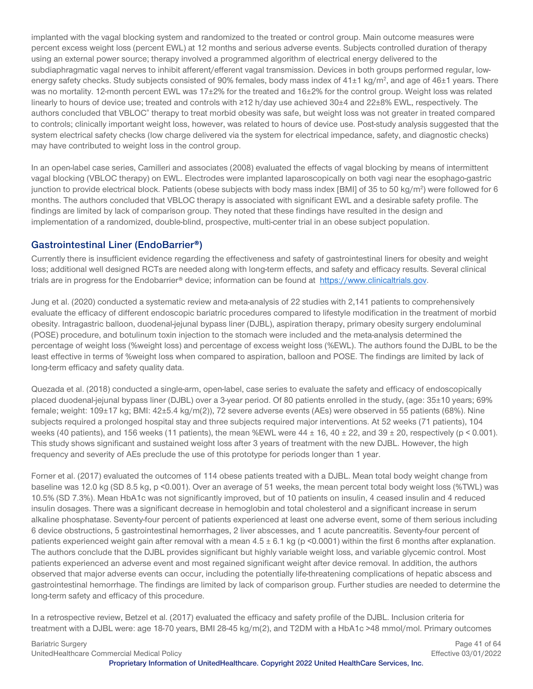implanted with the vagal blocking system and randomized to the treated or control group. Main outcome measures were percent excess weight loss (percent EWL) at 12 months and serious adverse events. Subjects controlled duration of therapy using an external power source; therapy involved a programmed algorithm of electrical energy delivered to the subdiaphragmatic vagal nerves to inhibit afferent/efferent vagal transmission. Devices in both groups performed regular, lowenergy safety checks. Study subjects consisted of 90% females, body mass index of 41±1 kg/m<sup>2</sup>, and age of 46±1 years. There was no mortality. 12-month percent EWL was 17±2% for the treated and 16±2% for the control group. Weight loss was related linearly to hours of device use; treated and controls with ≥12 h/day use achieved 30±4 and 22±8% EWL, respectively. The authors concluded that VBLOC® therapy to treat morbid obesity was safe, but weight loss was not greater in treated compared to controls; clinically important weight loss, however, was related to hours of device use. Post-study analysis suggested that the system electrical safety checks (low charge delivered via the system for electrical impedance, safety, and diagnostic checks) may have contributed to weight loss in the control group.

In an open-label case series, Camilleri and associates (2008) evaluated the effects of vagal blocking by means of intermittent vagal blocking (VBLOC therapy) on EWL. Electrodes were implanted laparoscopically on both vagi near the esophago-gastric junction to provide electrical block. Patients (obese subjects with body mass index [BMI] of 35 to 50 kg/m<sup>2</sup>) were followed for 6 months. The authors concluded that VBLOC therapy is associated with significant EWL and a desirable safety profile. The findings are limited by lack of comparison group. They noted that these findings have resulted in the design and implementation of a randomized, double-blind, prospective, multi-center trial in an obese subject population.

#### **Gastrointestinal Liner (EndoBarrier®)**

Currently there is insufficient evidence regarding the effectiveness and safety of gastrointestinal liners for obesity and weight loss; additional well designed RCTs are needed along with long-term effects, and safety and efficacy results. Several clinical trials are in progress for the Endobarrier® device; information can be found at [https://www.clinicaltrials.gov.](https://www.clinicaltrials.gov/ct2/results?cond=&term=endobarrier&cntry=&state=&city=&dist=%20)

Jung et al. (2020) conducted a systematic review and meta-analysis of 22 studies with 2,141 patients to comprehensively evaluate the efficacy of different endoscopic bariatric procedures compared to lifestyle modification in the treatment of morbid obesity. Intragastric balloon, duodenal-jejunal bypass liner (DJBL), aspiration therapy, primary obesity surgery endoluminal (POSE) procedure, and botulinum toxin injection to the stomach were included and the meta-analysis determined the percentage of weight loss (%weight loss) and percentage of excess weight loss (%EWL). The authors found the DJBL to be the least effective in terms of %weight loss when compared to aspiration, balloon and POSE. The findings are limited by lack of long-term efficacy and safety quality data.

Quezada et al. (2018) conducted a single-arm, open-label, case series to evaluate the safety and efficacy of endoscopically placed duodenal-jejunal bypass liner (DJBL) over a 3-year period. Of 80 patients enrolled in the study, (age: 35±10 years; 69% female; weight: 109±17 kg; BMI: 42±5.4 kg/m(2)), 72 severe adverse events (AEs) were observed in 55 patients (68%). Nine subjects required a prolonged hospital stay and three subjects required major interventions. At 52 weeks (71 patients), 104 weeks (40 patients), and 156 weeks (11 patients), the mean %EWL were  $44 \pm 16$ ,  $40 \pm 22$ , and  $39 \pm 20$ , respectively (p < 0.001). This study shows significant and sustained weight loss after 3 years of treatment with the new DJBL. However, the high frequency and severity of AEs preclude the use of this prototype for periods longer than 1 year.

Forner et al. (2017) evaluated the outcomes of 114 obese patients treated with a DJBL. Mean total body weight change from baseline was 12.0 kg (SD 8.5 kg, p <0.001). Over an average of 51 weeks, the mean percent total body weight loss (%TWL) was 10.5% (SD 7.3%). Mean HbA1c was not significantly improved, but of 10 patients on insulin, 4 ceased insulin and 4 reduced insulin dosages. There was a significant decrease in hemoglobin and total cholesterol and a significant increase in serum alkaline phosphatase. Seventy-four percent of patients experienced at least one adverse event, some of them serious including 6 device obstructions, 5 gastrointestinal hemorrhages, 2 liver abscesses, and 1 acute pancreatitis. Seventy-four percent of patients experienced weight gain after removal with a mean  $4.5 \pm 6.1$  kg (p <0.0001) within the first 6 months after explanation. The authors conclude that the DJBL provides significant but highly variable weight loss, and variable glycemic control. Most patients experienced an adverse event and most regained significant weight after device removal. In addition, the authors observed that major adverse events can occur, including the potentially life-threatening complications of hepatic abscess and gastrointestinal hemorrhage. The findings are limited by lack of comparison group. Further studies are needed to determine the long-term safety and efficacy of this procedure.

In a retrospective review, Betzel et al. (2017) evaluated the efficacy and safety profile of the DJBL. Inclusion criteria for treatment with a DJBL were: age 18-70 years, BMI 28-45 kg/m(2), and T2DM with a HbA1c >48 mmol/mol. Primary outcomes

UnitedHealthcare Commercial Medical Policy Effective 03/01/2022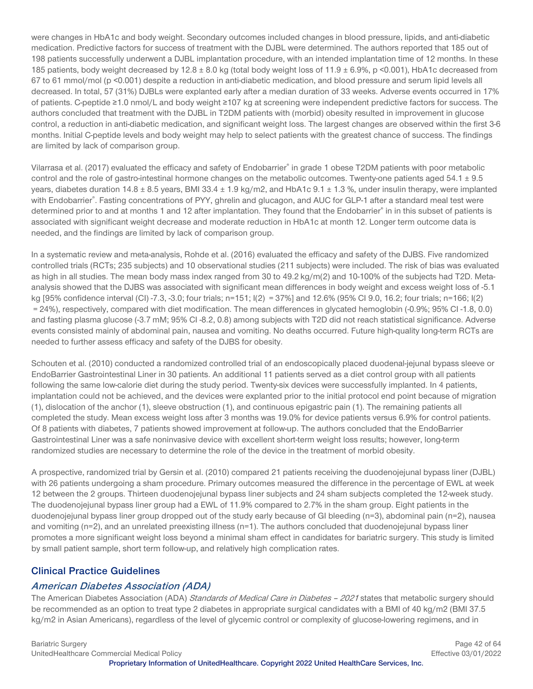were changes in HbA1c and body weight. Secondary outcomes included changes in blood pressure, lipids, and anti-diabetic medication. Predictive factors for success of treatment with the DJBL were determined. The authors reported that 185 out of 198 patients successfully underwent a DJBL implantation procedure, with an intended implantation time of 12 months. In these 185 patients, body weight decreased by 12.8 ± 8.0 kg (total body weight loss of 11.9 ± 6.9%, p <0.001), HbA1c decreased from 67 to 61 mmol/mol (p <0.001) despite a reduction in anti-diabetic medication, and blood pressure and serum lipid levels all decreased. In total, 57 (31%) DJBLs were explanted early after a median duration of 33 weeks. Adverse events occurred in 17% of patients. C-peptide ≥1.0 nmol/L and body weight ≥107 kg at screening were independent predictive factors for success. The authors concluded that treatment with the DJBL in T2DM patients with (morbid) obesity resulted in improvement in glucose control, a reduction in anti-diabetic medication, and significant weight loss. The largest changes are observed within the first 3-6 months. Initial C-peptide levels and body weight may help to select patients with the greatest chance of success. The findings are limited by lack of comparison group.

Vilarrasa et al. (2017) evaluated the efficacy and safety of Endobarrier® in grade 1 obese T2DM patients with poor metabolic control and the role of gastro-intestinal hormone changes on the metabolic outcomes. Twenty-one patients aged  $54.1 \pm 9.5$ years, diabetes duration  $14.8 \pm 8.5$  years, BMI 33.4  $\pm$  1.9 kg/m2, and HbA1c 9.1  $\pm$  1.3 %, under insulin therapy, were implanted with Endobarrier®. Fasting concentrations of PYY, ghrelin and glucagon, and AUC for GLP-1 after a standard meal test were determined prior to and at months 1 and 12 after implantation. They found that the Endobarrier® in in this subset of patients is associated with significant weight decrease and moderate reduction in HbA1c at month 12. Longer term outcome data is needed, and the findings are limited by lack of comparison group.

In a systematic review and meta-analysis, Rohde et al. (2016) evaluated the efficacy and safety of the DJBS. Five randomized controlled trials (RCTs; 235 subjects) and 10 observational studies (211 subjects) were included. The risk of bias was evaluated as high in all studies. The mean body mass index ranged from 30 to 49.2 kg/m(2) and 10-100% of the subjects had T2D. Metaanalysis showed that the DJBS was associated with significant mean differences in body weight and excess weight loss of -5.1 kg [95% confidence interval (CI) -7.3, -3.0; four trials; n=151; I(2) = 37%] and 12.6% (95% CI 9.0, 16.2; four trials; n=166; I(2) = 24%), respectively, compared with diet modification. The mean differences in glycated hemoglobin (-0.9%; 95% CI -1.8, 0.0) and fasting plasma glucose (-3.7 mM; 95% CI-8.2, 0.8) among subjects with T2D did not reach statistical significance. Adverse events consisted mainly of abdominal pain, nausea and vomiting. No deaths occurred. Future high-quality long-term RCTs are needed to further assess efficacy and safety of the DJBS for obesity.

Schouten et al. (2010) conducted a randomized controlled trial of an endoscopically placed duodenal-jejunal bypass sleeve or EndoBarrier Gastrointestinal Liner in 30 patients. An additional 11 patients served as a diet control group with all patients following the same low-calorie diet during the study period. Twenty-six devices were successfully implanted. In 4 patients, implantation could not be achieved, and the devices were explanted prior to the initial protocol end point because of migration (1), dislocation of the anchor (1), sleeve obstruction (1), and continuous epigastric pain (1). The remaining patients all completed the study. Mean excess weight loss after 3 months was 19.0% for device patients versus 6.9% for control patients. Of 8 patients with diabetes, 7 patients showed improvement at follow-up. The authors concluded that the EndoBarrier Gastrointestinal Liner was a safe noninvasive device with excellent short-term weight loss results; however, long-term randomized studies are necessary to determine the role of the device in the treatment of morbid obesity.

A prospective, randomized trial by Gersin et al. (2010) compared 21 patients receiving the duodenojejunal bypass liner (DJBL) with 26 patients undergoing a sham procedure. Primary outcomes measured the difference in the percentage of EWL at week 12 between the 2 groups. Thirteen duodenojejunal bypass liner subjects and 24 sham subjects completed the 12-week study. The duodenojejunal bypass liner group had a EWL of 11.9% compared to 2.7% in the sham group. Eight patients in the duodenojejunal bypass liner group dropped out of the study early because of GI bleeding (n=3), abdominal pain (n=2), nausea and vomiting (n=2), and an unrelated preexisting illness (n=1). The authors concluded that duodenojejunal bypass liner promotes a more significant weight loss beyond a minimal sham effect in candidates for bariatric surgery. This study is limited by small patient sample, short term follow-up, and relatively high complication rates.

# <span id="page-41-0"></span>**Clinical Practice Guidelines**

#### **American Diabetes Association (ADA)**

The American Diabetes Association (ADA) Standards of Medical Care in Diabetes - 2021 states that metabolic surgery should be recommended as an option to treat type 2 diabetes in appropriate surgical candidates with a BMI of 40 kg/m2 (BMI 37.5 kg/m2 in Asian Americans), regardless of the level of glycemic control or complexity of glucose-lowering regimens, and in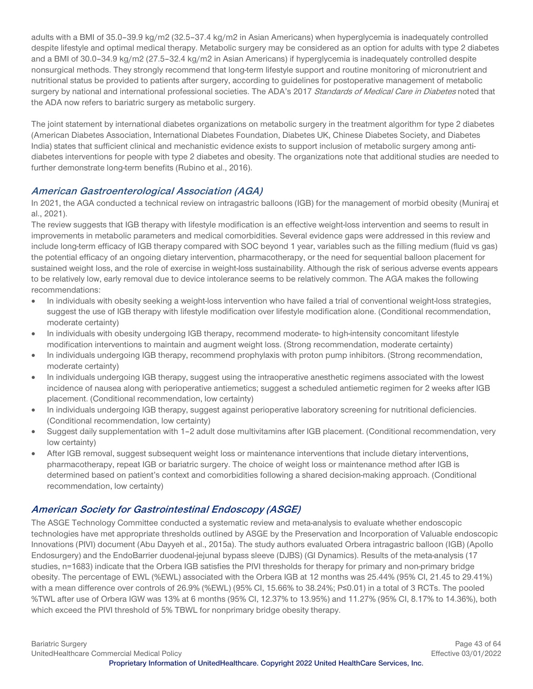adults with a BMI of 35.0–39.9 kg/m2 (32.5–37.4 kg/m2 in Asian Americans) when hyperglycemia is inadequately controlled despite lifestyle and optimal medical therapy. Metabolic surgery may be considered as an option for adults with type 2 diabetes and a BMI of 30.0–34.9 kg/m2 (27.5–32.4 kg/m2 in Asian Americans) if hyperglycemia is inadequately controlled despite nonsurgical methods. They strongly recommend that long-term lifestyle support and routine monitoring of micronutrient and nutritional status be provided to patients after surgery, according to guidelines for postoperative management of metabolic surgery by national and international professional societies. The ADA's 2017 Standards of Medical Care in Diabetes noted that the ADA now refers to bariatric surgery as metabolic surgery.

The joint statement by international diabetes organizations on metabolic surgery in the treatment algorithm for type 2 diabetes (American Diabetes Association, International Diabetes Foundation, Diabetes UK, Chinese Diabetes Society, and Diabetes India) states that sufficient clinical and mechanistic evidence exists to support inclusion of metabolic surgery among antidiabetes interventions for people with type 2 diabetes and obesity. The organizations note that additional studies are needed to further demonstrate long-term benefits (Rubino et al., 2016).

#### **American Gastroenterological Association (AGA)**

In 2021, the AGA conducted a technical review on intragastric balloons (IGB) for the management of morbid obesity (Muniraj et al., 2021).

The review suggests that IGB therapy with lifestyle modification is an effective weight-loss intervention and seems to result in improvements in metabolic parameters and medical comorbidities. Several evidence gaps were addressed in this review and include long-term efficacy of IGB therapy compared with SOC beyond 1 year, variables such as the filling medium (fluid vs gas) the potential efficacy of an ongoing dietary intervention, pharmacotherapy, or the need for sequential balloon placement for sustained weight loss, and the role of exercise in weight-loss sustainability. Although the risk of serious adverse events appears to be relatively low, early removal due to device intolerance seems to be relatively common. The AGA makes the following recommendations:

- In individuals with obesity seeking a weight-loss intervention who have failed a trial of conventional weight-loss strategies, suggest the use of IGB therapy with lifestyle modification over lifestyle modification alone. (Conditional recommendation, moderate certainty)
- In individuals with obesity undergoing IGB therapy, recommend moderate- to high-intensity concomitant lifestyle modification interventions to maintain and augment weight loss. (Strong recommendation, moderate certainty)
- In individuals undergoing IGB therapy, recommend prophylaxis with proton pump inhibitors. (Strong recommendation, moderate certainty)
- In individuals undergoing IGB therapy, suggest using the intraoperative anesthetic regimens associated with the lowest incidence of nausea along with perioperative antiemetics; suggest a scheduled antiemetic regimen for 2 weeks after IGB placement. (Conditional recommendation, low certainty)
- In individuals undergoing IGB therapy, suggest against perioperative laboratory screening for nutritional deficiencies. (Conditional recommendation, low certainty)
- Suggest daily supplementation with 1–2 adult dose multivitamins after IGB placement. (Conditional recommendation, very low certainty)
- After IGB removal, suggest subsequent weight loss or maintenance interventions that include dietary interventions, pharmacotherapy, repeat IGB or bariatric surgery. The choice of weight loss or maintenance method after IGB is determined based on patient's context and comorbidities following a shared decision-making approach. (Conditional recommendation, low certainty)

# **American Society for Gastrointestinal Endoscopy (ASGE)**

The ASGE Technology Committee conducted a systematic review and meta-analysis to evaluate whether endoscopic technologies have met appropriate thresholds outlined by ASGE by the Preservation and Incorporation of Valuable endoscopic Innovations (PIVI) document (Abu Dayyeh et al., 2015a). The study authors evaluated Orbera intragastric balloon (IGB) (Apollo Endosurgery) and the EndoBarrier duodenal-jejunal bypass sleeve (DJBS) (GI Dynamics). Results of the meta-analysis (17 studies, n=1683) indicate that the Orbera IGB satisfies the PIVI thresholds for therapy for primary and non-primary bridge obesity. The percentage of EWL (%EWL) associated with the Orbera IGB at 12 months was 25.44% (95% CI, 21.45 to 29.41%) with a mean difference over controls of 26.9% (%EWL) (95% CI, 15.66% to 38.24%; P≤0.01) in a total of 3 RCTs. The pooled %TWL after use of Orbera IGW was 13% at 6 months (95% CI, 12.37% to 13.95%) and 11.27% (95% CI, 8.17% to 14.36%), both which exceed the PIVI threshold of 5% TBWL for nonprimary bridge obesity therapy.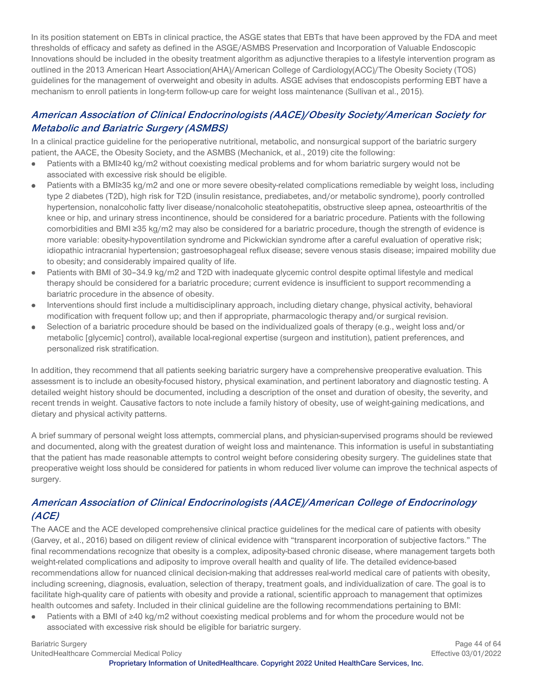In its position statement on EBTs in clinical practice, the ASGE states that EBTs that have been approved by the FDA and meet thresholds of efficacy and safety as defined in the ASGE/ASMBS Preservation and Incorporation of Valuable Endoscopic Innovations should be included in the obesity treatment algorithm as adjunctive therapies to a lifestyle intervention program as outlined in the 2013 American Heart Association(AHA)/American College of Cardiology(ACC)/The Obesity Society (TOS) guidelines for the management of overweight and obesity in adults. ASGE advises that endoscopists performing EBT have a mechanism to enroll patients in long-term follow-up care for weight loss maintenance (Sullivan et al., 2015).

# **American Association of Clinical Endocrinologists (AACE)/Obesity Society/American Society for Metabolic and Bariatric Surgery (ASMBS)**

In a clinical practice guideline for the perioperative nutritional, metabolic, and nonsurgical support of the bariatric surgery patient, the AACE, the Obesity Society, and the ASMBS (Mechanick, et al., 2019) cite the following:

- Patients with a BMI≥40 kg/m2 without coexisting medical problems and for whom bariatric surgery would not be  $\bullet$ associated with excessive risk should be eligible.
- Patients with a BMI≥35 kg/m2 and one or more severe obesity-related complications remediable by weight loss, including type 2 diabetes (T2D), high risk for T2D (insulin resistance, prediabetes, and/or metabolic syndrome), poorly controlled hypertension, nonalcoholic fatty liver disease/nonalcoholic steatohepatitis, obstructive sleep apnea, osteoarthritis of the knee or hip, and urinary stress incontinence, should be considered for a bariatric procedure. Patients with the following comorbidities and BMI ≥35 kg/m2 may also be considered for a bariatric procedure, though the strength of evidence is more variable: obesity-hypoventilation syndrome and Pickwickian syndrome after a careful evaluation of operative risk; idiopathic intracranial hypertension; gastroesophageal reflux disease; severe venous stasis disease; impaired mobility due to obesity; and considerably impaired quality of life.
- Patients with BMI of 30–34.9 kg/m2 and T2D with inadequate glycemic control despite optimal lifestyle and medical therapy should be considered for a bariatric procedure; current evidence is insufficient to support recommending a bariatric procedure in the absence of obesity.
- Interventions should first include a multidisciplinary approach, including dietary change, physical activity, behavioral modification with frequent follow up; and then if appropriate, pharmacologic therapy and/or surgical revision.
- Selection of a bariatric procedure should be based on the individualized goals of therapy (e.g., weight loss and/or  $\bullet$ metabolic [glycemic] control), available local-regional expertise (surgeon and institution), patient preferences, and personalized risk stratification.

In addition, they recommend that all patients seeking bariatric surgery have a comprehensive preoperative evaluation. This assessment is to include an obesity-focused history, physical examination, and pertinent laboratory and diagnostic testing. A detailed weight history should be documented, including a description of the onset and duration of obesity, the severity, and recent trends in weight. Causative factors to note include a family history of obesity, use of weight-gaining medications, and dietary and physical activity patterns.

A brief summary of personal weight loss attempts, commercial plans, and physician-supervised programs should be reviewed and documented, along with the greatest duration of weight loss and maintenance. This information is useful in substantiating that the patient has made reasonable attempts to control weight before considering obesity surgery. The guidelines state that preoperative weight loss should be considered for patients in whom reduced liver volume can improve the technical aspects of surgery.

# **American Association of Clinical Endocrinologists (AACE)/American College of Endocrinology (ACE)**

The AACE and the ACE developed comprehensive clinical practice guidelines for the medical care of patients with obesity (Garvey, et al., 2016) based on diligent review of clinical evidence with "transparent incorporation of subjective factors." The final recommendations recognize that obesity is a complex, adiposity-based chronic disease, where management targets both weight-related complications and adiposity to improve overall health and quality of life. The detailed evidence-based recommendations allow for nuanced clinical decision-making that addresses real-world medical care of patients with obesity, including screening, diagnosis, evaluation, selection of therapy, treatment goals, and individualization of care. The goal is to facilitate high-quality care of patients with obesity and provide a rational, scientific approach to management that optimizes health outcomes and safety. Included in their clinical guideline are the following recommendations pertaining to BMI:

Patients with a BMI of ≥40 kg/m2 without coexisting medical problems and for whom the procedure would not be  $\bullet$ associated with excessive risk should be eligible for bariatric surgery.

UnitedHealthcare Commercial Medical Policy Effective 03/01/2022

Bariatric Surgery **Page 44 of 64** Page 44 of 64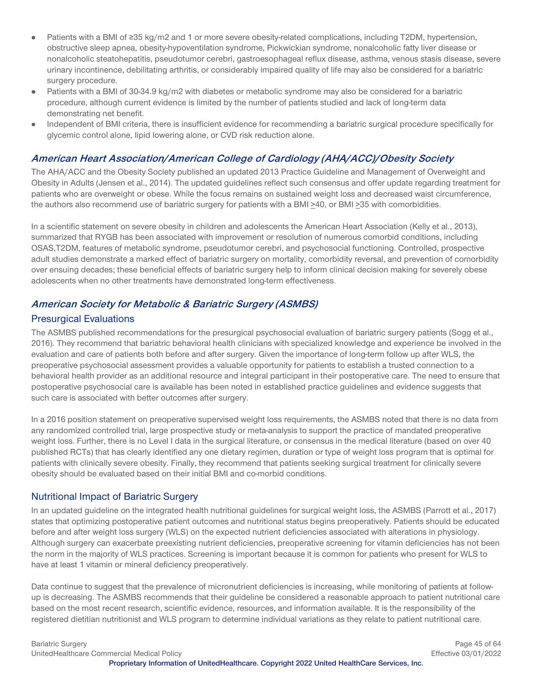- Patients with a BMI of ≥35 kg/m2 and 1 or more severe obesity-related complications, including T2DM, hypertension,  $\bullet$ obstructive sleep apnea, obesity-hypoventilation syndrome, Pickwickian syndrome, nonalcoholic fatty liver disease or nonalcoholic steatohepatitis, pseudotumor cerebri, gastroesophageal reflux disease, asthma, venous stasis disease, severe urinary incontinence, debilitating arthritis, or considerably impaired quality of life may also be considered for a bariatric surgery procedure.
- Patients with a BMI of 30-34.9 kg/m2 with diabetes or metabolic syndrome may also be considered for a bariatric procedure, although current evidence is limited by the number of patients studied and lack of long-term data demonstrating net benefit.
- Independent of BMI criteria, there is insufficient evidence for recommending a bariatric surgical procedure specifically for  $\bullet$ glycemic control alone, lipid lowering alone, or CVD risk reduction alone.

#### **American Heart Association/American College of Cardiology (AHA/ACC)/Obesity Society**

The AHA/ACC and the Obesity Society published an updated 2013 Practice Guideline and Management of Overweight and Obesity in Adults (Jensen et al., 2014). The updated guidelines reflect such consensus and offer update regarding treatment for patients who are overweight or obese. While the focus remains on sustained weight loss and decreased waist circumference, the authors also recommend use of bariatric surgery for patients with a BMI >40, or BMI >35 with comorbidities.

In a scientific statement on severe obesity in children and adolescents the American Heart Association (Kelly et al., 2013), summarized that RYGB has been associated with improvement or resolution of numerous comorbid conditions, including OSAS,T2DM, features of metabolic syndrome, pseudotumor cerebri, and psychosocial functioning. Controlled, prospective adult studies demonstrate a marked effect of bariatric surgery on mortality, comorbidity reversal, and prevention of comorbidity over ensuing decades; these beneficial effects of bariatric surgery help to inform clinical decision making for severely obese adolescents when no other treatments have demonstrated long-term effectiveness.

# **American Society for Metabolic & Bariatric Surgery (ASMBS)**

#### Presurgical Evaluations

The ASMBS published recommendations for the presurgical psychosocial evaluation of bariatric surgery patients (Sogg et al., 2016). They recommend that bariatric behavioral health clinicians with specialized knowledge and experience be involved in the evaluation and care of patients both before and after surgery. Given the importance of long-term follow up after WLS, the preoperative psychosocial assessment provides a valuable opportunity for patients to establish a trusted connection to a behavioral health provider as an additional resource and integral participant in their postoperative care. The need to ensure that postoperative psychosocial care is available has been noted in established practice guidelines and evidence suggests that such care is associated with better outcomes after surgery.

In a 2016 position statement on preoperative supervised weight loss requirements, the ASMBS noted that there is no data from any randomized controlled trial, large prospective study or meta-analysis to support the practice of mandated preoperative weight loss. Further, there is no Level I data in the surgical literature, or consensus in the medical literature (based on over 40 published RCTs) that has clearly identified any one dietary regimen, duration or type of weight loss program that is optimal for patients with clinically severe obesity. Finally, they recommend that patients seeking surgical treatment for clinically severe obesity should be evaluated based on their initial BMI and co-morbid conditions.

#### Nutritional Impact of Bariatric Surgery

In an updated guideline on the integrated health nutritional guidelines for surgical weight loss, the ASMBS (Parrott et al., 2017) states that optimizing postoperative patient outcomes and nutritional status begins preoperatively. Patients should be educated before and after weight loss surgery (WLS) on the expected nutrient deficiencies associated with alterations in physiology. Although surgery can exacerbate preexisting nutrient deficiencies, preoperative screening for vitamin deficiencies has not been the norm in the majority of WLS practices. Screening is important because it is common for patients who present for WLS to have at least 1 vitamin or mineral deficiency preoperatively.

Data continue to suggest that the prevalence of micronutrient deficiencies is increasing, while monitoring of patients at followup is decreasing. The ASMBS recommends that their guideline be considered a reasonable approach to patient nutritional care based on the most recent research, scientific evidence, resources, and information available. It is the responsibility of the registered dietitian nutritionist and WLS program to determine individual variations as they relate to patient nutritional care.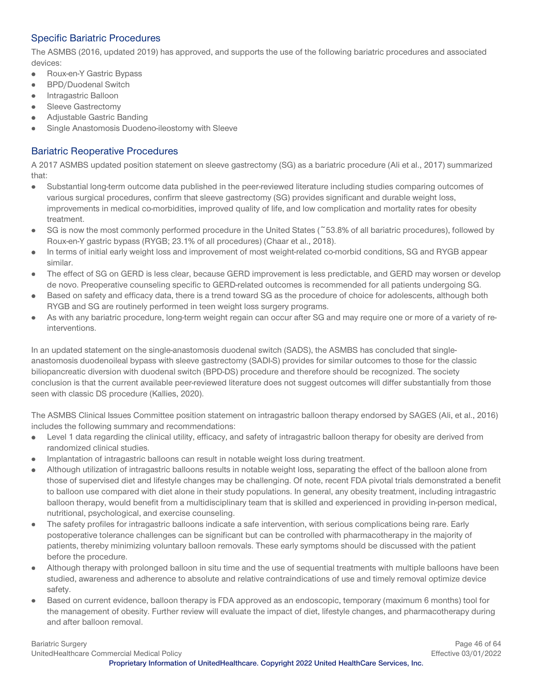# Specific Bariatric Procedures

The ASMBS (2016, updated 2019) has approved, and supports the use of the following bariatric procedures and associated devices:

- Roux-en-Y Gastric Bypass  $\bullet$
- $\bullet$ BPD/Duodenal Switch
- Intragastric Balloon  $\bullet$
- Sleeve Gastrectomy  $\bullet$
- Adjustable Gastric Banding  $\bullet$
- Single Anastomosis Duodeno-ileostomy with Sleeve

# Bariatric Reoperative Procedures

A 2017 ASMBS updated position statement on sleeve gastrectomy (SG) as a bariatric procedure (Ali et al., 2017) summarized that:

- Substantial long-term outcome data published in the peer-reviewed literature including studies comparing outcomes of  $\bullet$ various surgical procedures, confirm that sleeve gastrectomy (SG) provides significant and durable weight loss, improvements in medical co-morbidities, improved quality of life, and low complication and mortality rates for obesity treatment.
- SG is now the most commonly performed procedure in the United States (~53.8% of all bariatric procedures), followed by  $\bullet$ Roux-en-Y gastric bypass (RYGB; 23.1% of all procedures) (Chaar et al., 2018).
- In terms of initial early weight loss and improvement of most weight-related co-morbid conditions, SG and RYGB appear similar.
- The effect of SG on GERD is less clear, because GERD improvement is less predictable, and GERD may worsen or develop  $\bullet$ de novo. Preoperative counseling specific to GERD-related outcomes is recommended for all patients undergoing SG.
- Based on safety and efficacy data, there is a trend toward SG as the procedure of choice for adolescents, although both RYGB and SG are routinely performed in teen weight loss surgery programs.
- As with any bariatric procedure, long-term weight regain can occur after SG and may require one or more of a variety of re- $\bullet$ interventions.

In an updated statement on the single-anastomosis duodenal switch (SADS), the ASMBS has concluded that singleanastomosis duodenoileal bypass with sleeve gastrectomy (SADI-S) provides for similar outcomes to those for the classic biliopancreatic diversion with duodenal switch (BPD-DS) procedure and therefore should be recognized. The society conclusion is that the current available peer-reviewed literature does not suggest outcomes will differ substantially from those seen with classic DS procedure (Kallies, 2020).

The ASMBS Clinical Issues Committee position statement on intragastric balloon therapy endorsed by SAGES (Ali, et al., 2016) includes the following summary and recommendations:

- Level 1 data regarding the clinical utility, efficacy, and safety of intragastric balloon therapy for obesity are derived from  $\bullet$ randomized clinical studies.
- Implantation of intragastric balloons can result in notable weight loss during treatment.
- Although utilization of intragastric balloons results in notable weight loss, separating the effect of the balloon alone from  $\bullet$ those of supervised diet and lifestyle changes may be challenging. Of note, recent FDA pivotal trials demonstrated a benefit to balloon use compared with diet alone in their study populations. In general, any obesity treatment, including intragastric balloon therapy, would benefit from a multidisciplinary team that is skilled and experienced in providing in-person medical, nutritional, psychological, and exercise counseling.
- The safety profiles for intragastric balloons indicate a safe intervention, with serious complications being rare. Early  $\bullet$ postoperative tolerance challenges can be significant but can be controlled with pharmacotherapy in the majority of patients, thereby minimizing voluntary balloon removals. These early symptoms should be discussed with the patient before the procedure.
- Although therapy with prolonged balloon in situ time and the use of sequential treatments with multiple balloons have been studied, awareness and adherence to absolute and relative contraindications of use and timely removal optimize device safety.
- Based on current evidence, balloon therapy is FDA approved as an endoscopic, temporary (maximum 6 months) tool for  $\bullet$ the management of obesity. Further review will evaluate the impact of diet, lifestyle changes, and pharmacotherapy during and after balloon removal.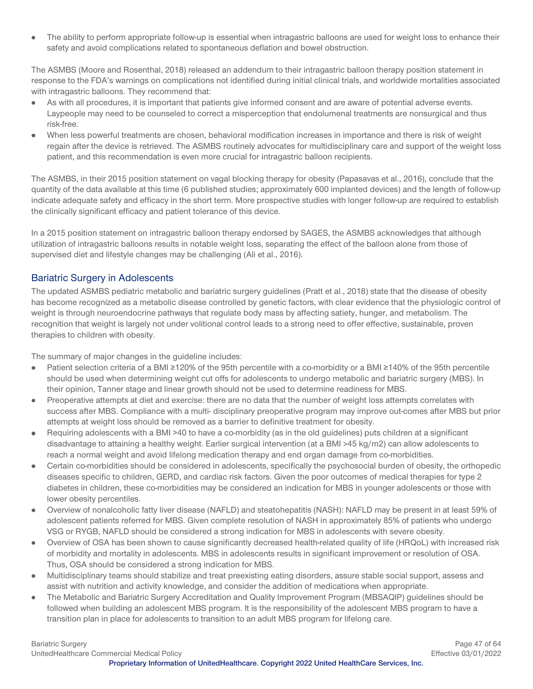The ability to perform appropriate follow-up is essential when intragastric balloons are used for weight loss to enhance their  $\bullet$ safety and avoid complications related to spontaneous deflation and bowel obstruction.

The ASMBS (Moore and Rosenthal, 2018) released an addendum to their intragastric balloon therapy position statement in response to the FDA's warnings on complications not identified during initial clinical trials, and worldwide mortalities associated with intragastric balloons. They recommend that:

- As with all procedures, it is important that patients give informed consent and are aware of potential adverse events. Laypeople may need to be counseled to correct a misperception that endolumenal treatments are nonsurgical and thus risk-free.
- When less powerful treatments are chosen, behavioral modification increases in importance and there is risk of weight regain after the device is retrieved. The ASMBS routinely advocates for multidisciplinary care and support of the weight loss patient, and this recommendation is even more crucial for intragastric balloon recipients.

The ASMBS, in their 2015 position statement on vagal blocking therapy for obesity (Papasavas et al., 2016), conclude that the quantity of the data available at this time (6 published studies; approximately 600 implanted devices) and the length of follow-up indicate adequate safety and efficacy in the short term. More prospective studies with longer follow-up are required to establish the clinically significant efficacy and patient tolerance of this device.

In a 2015 position statement on intragastric balloon therapy endorsed by SAGES, the ASMBS acknowledges that although utilization of intragastric balloons results in notable weight loss, separating the effect of the balloon alone from those of supervised diet and lifestyle changes may be challenging (Ali et al., 2016).

#### Bariatric Surgery in Adolescents

The updated ASMBS pediatric metabolic and bariatric surgery guidelines (Pratt et al., 2018) state that the disease of obesity has become recognized as a metabolic disease controlled by genetic factors, with clear evidence that the physiologic control of weight is through neuroendocrine pathways that regulate body mass by affecting satiety, hunger, and metabolism. The recognition that weight is largely not under volitional control leads to a strong need to offer effective, sustainable, proven therapies to children with obesity.

The summary of major changes in the guideline includes:

- Patient selection criteria of a BMI ≥120% of the 95th percentile with a co-morbidity or a BMI ≥140% of the 95th percentile should be used when determining weight cut offs for adolescents to undergo metabolic and bariatric surgery (MBS). In their opinion, Tanner stage and linear growth should not be used to determine readiness for MBS.
- Preoperative attempts at diet and exercise: there are no data that the number of weight loss attempts correlates with  $\bullet$ success after MBS. Compliance with a multi- disciplinary preoperative program may improve out-comes after MBS but prior attempts at weight loss should be removed as a barrier to definitive treatment for obesity.
- Requiring adolescents with a BMI >40 to have a co-morbidity (as in the old guidelines) puts children at a significant  $\bullet$ disadvantage to attaining a healthy weight. Earlier surgical intervention (at a BMI >45 kg/m2) can allow adolescents to reach a normal weight and avoid lifelong medication therapy and end organ damage from co-morbidities.
- Certain co-morbidities should be considered in adolescents, specifically the psychosocial burden of obesity, the orthopedic diseases specific to children, GERD, and cardiac risk factors. Given the poor outcomes of medical therapies for type 2 diabetes in children, these co-morbidities may be considered an indication for MBS in younger adolescents or those with lower obesity percentiles.
- Overview of nonalcoholic fatty liver disease (NAFLD) and steatohepatitis (NASH): NAFLD may be present in at least 59% of  $\bullet$ adolescent patients referred for MBS. Given complete resolution of NASH in approximately 85% of patients who undergo VSG or RYGB, NAFLD should be considered a strong indication for MBS in adolescents with severe obesity.
- Overview of OSA has been shown to cause significantly decreased health-related quality of life (HRQoL) with increased risk  $\bullet$ of morbidity and mortality in adolescents. MBS in adolescents results in significant improvement or resolution of OSA. Thus, OSA should be considered a strong indication for MBS.
- Multidisciplinary teams should stabilize and treat preexisting eating disorders, assure stable social support, assess and assist with nutrition and activity knowledge, and consider the addition of medications when appropriate.
- The Metabolic and Bariatric Surgery Accreditation and Quality Improvement Program (MBSAQIP) guidelines should be  $\bullet$ followed when building an adolescent MBS program. It is the responsibility of the adolescent MBS program to have a transition plan in place for adolescents to transition to an adult MBS program for lifelong care.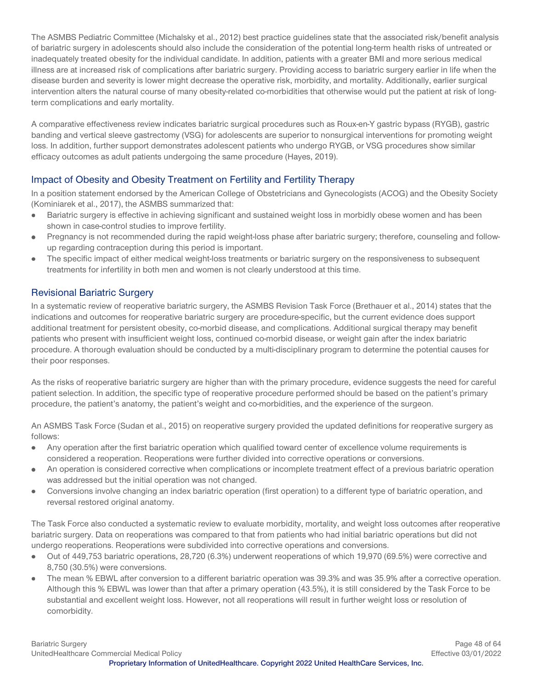The ASMBS Pediatric Committee (Michalsky et al., 2012) best practice guidelines state that the associated risk/benefit analysis of bariatric surgery in adolescents should also include the consideration of the potential long-term health risks of untreated or inadequately treated obesity for the individual candidate. In addition, patients with a greater BMI and more serious medical illness are at increased risk of complications after bariatric surgery. Providing access to bariatric surgery earlier in life when the disease burden and severity is lower might decrease the operative risk, morbidity, and mortality. Additionally, earlier surgical intervention alters the natural course of many obesity-related co-morbidities that otherwise would put the patient at risk of longterm complications and early mortality.

A comparative effectiveness review indicates bariatric surgical procedures such as Roux-en-Y gastric bypass (RYGB), gastric banding and vertical sleeve gastrectomy (VSG) for adolescents are superior to nonsurgical interventions for promoting weight loss. In addition, further support demonstrates adolescent patients who undergo RYGB, or VSG procedures show similar efficacy outcomes as adult patients undergoing the same procedure (Hayes, 2019).

# Impact of Obesity and Obesity Treatment on Fertility and Fertility Therapy

In a position statement endorsed by the American College of Obstetricians and Gynecologists (ACOG) and the Obesity Society (Kominiarek et al., 2017), the ASMBS summarized that:

- Bariatric surgery is effective in achieving significant and sustained weight loss in morbidly obese women and has been  $\bullet$ shown in case-control studies to improve fertility.
- Pregnancy is not recommended during the rapid weight-loss phase after bariatric surgery; therefore, counseling and follow- $\bullet$ up regarding contraception during this period is important.
- The specific impact of either medical weight-loss treatments or bariatric surgery on the responsiveness to subsequent  $\bullet$ treatments for infertility in both men and women is not clearly understood at this time.

#### Revisional Bariatric Surgery

In a systematic review of reoperative bariatric surgery, the ASMBS Revision Task Force (Brethauer et al., 2014) states that the indications and outcomes for reoperative bariatric surgery are procedure-specific, but the current evidence does support additional treatment for persistent obesity, co-morbid disease, and complications. Additional surgical therapy may benefit patients who present with insufficient weight loss, continued co-morbid disease, or weight gain after the index bariatric procedure. A thorough evaluation should be conducted by a multi-disciplinary program to determine the potential causes for their poor responses.

As the risks of reoperative bariatric surgery are higher than with the primary procedure, evidence suggests the need for careful patient selection. In addition, the specific type of reoperative procedure performed should be based on the patient's primary procedure, the patient's anatomy, the patient's weight and co-morbidities, and the experience of the surgeon.

An ASMBS Task Force (Sudan et al., 2015) on reoperative surgery provided the updated definitions for reoperative surgery as follows:

- Any operation after the first bariatric operation which qualified toward center of excellence volume requirements is considered a reoperation. Reoperations were further divided into corrective operations or conversions.
- An operation is considered corrective when complications or incomplete treatment effect of a previous bariatric operation  $\bullet$ was addressed but the initial operation was not changed.
- $\bullet$ Conversions involve changing an index bariatric operation (first operation) to a different type of bariatric operation, and reversal restored original anatomy.

The Task Force also conducted a systematic review to evaluate morbidity, mortality, and weight loss outcomes after reoperative bariatric surgery. Data on reoperations was compared to that from patients who had initial bariatric operations but did not undergo reoperations. Reoperations were subdivided into corrective operations and conversions.

- $\bullet$ Out of 449,753 bariatric operations, 28,720 (6.3%) underwent reoperations of which 19,970 (69.5%) were corrective and 8,750 (30.5%) were conversions.
- The mean % EBWL after conversion to a different bariatric operation was 39.3% and was 35.9% after a corrective operation. Although this % EBWL was lower than that after a primary operation (43.5%), it is still considered by the Task Force to be substantial and excellent weight loss. However, not all reoperations will result in further weight loss or resolution of comorbidity.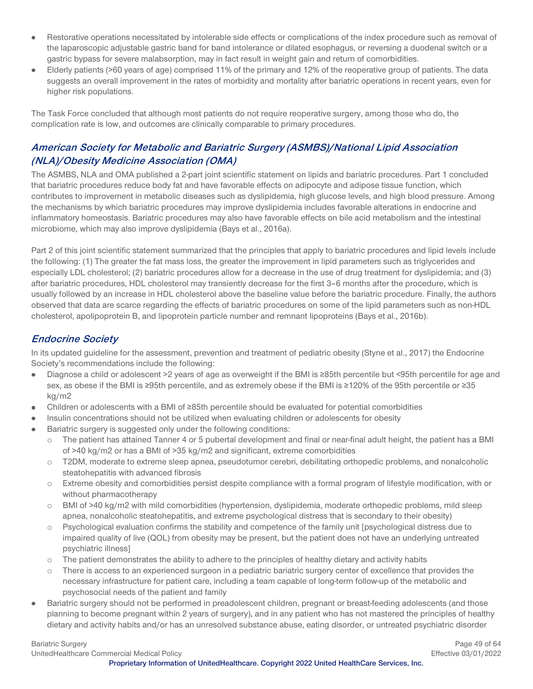- Restorative operations necessitated by intolerable side effects or complications of the index procedure such as removal of  $\bullet$ the laparoscopic adjustable gastric band for band intolerance or dilated esophagus, or reversing a duodenal switch or a gastric bypass for severe malabsorption, may in fact result in weight gain and return of comorbidities.
- Elderly patients (>60 years of age) comprised 11% of the primary and 12% of the reoperative group of patients. The data suggests an overall improvement in the rates of morbidity and mortality after bariatric operations in recent years, even for higher risk populations.

The Task Force concluded that although most patients do not require reoperative surgery, among those who do, the complication rate is low, and outcomes are clinically comparable to primary procedures.

# **American Society for Metabolic and Bariatric Surgery (ASMBS)/National Lipid Association (NLA)/Obesity Medicine Association (OMA)**

The ASMBS, NLA and OMA published a 2-part joint scientific statement on lipids and bariatric procedures. Part 1 concluded that bariatric procedures reduce body fat and have favorable effects on adipocyte and adipose tissue function, which contributes to improvement in metabolic diseases such as dyslipidemia, high glucose levels, and high blood pressure. Among the mechanisms by which bariatric procedures may improve dyslipidemia includes favorable alterations in endocrine and inflammatory homeostasis. Bariatric procedures may also have favorable effects on bile acid metabolism and the intestinal microbiome, which may also improve dyslipidemia (Bays et al., 2016a).

Part 2 of this joint scientific statement summarized that the principles that apply to bariatric procedures and lipid levels include the following: (1) The greater the fat mass loss, the greater the improvement in lipid parameters such as triglycerides and especially LDL cholesterol; (2) bariatric procedures allow for a decrease in the use of drug treatment for dyslipidemia; and (3) after bariatric procedures, HDL cholesterol may transiently decrease for the first 3–6 months after the procedure, which is usually followed by an increase in HDL cholesterol above the baseline value before the bariatric procedure. Finally, the authors observed that data are scarce regarding the effects of bariatric procedures on some of the lipid parameters such as non-HDL cholesterol, apolipoprotein B, and lipoprotein particle number and remnant lipoproteins (Bays et al., 2016b).

# **Endocrine Society**

In its updated guideline for the assessment, prevention and treatment of pediatric obesity (Styne et al., 2017) the Endocrine Society's recommendations include the following:

- Diagnose a child or adolescent >2 years of age as overweight if the BMI is ≥85th percentile but <95th percentile for age and  $\bullet$ sex, as obese if the BMI is ≥95th percentile, and as extremely obese if the BMI is ≥120% of the 95th percentile or ≥35 kg/m2
- Children or adolescents with a BMI of ≥85th percentile should be evaluated for potential comorbidities  $\bullet$
- Insulin concentrations should not be utilized when evaluating children or adolescents for obesity
- Bariatric surgery is suggested only under the following conditions:
	- o The patient has attained Tanner 4 or 5 pubertal development and final or near-final adult height, the patient has a BMI of >40 kg/m2 or has a BMI of >35 kg/m2 and significant, extreme comorbidities
	- o T2DM, moderate to extreme sleep apnea, pseudotumor cerebri, debilitating orthopedic problems, and nonalcoholic steatohepatitis with advanced fibrosis
	- o Extreme obesity and comorbidities persist despite compliance with a formal program of lifestyle modification, with or without pharmacotherapy
	- $\circ$  BMI of >40 kg/m2 with mild comorbidities (hypertension, dyslipidemia, moderate orthopedic problems, mild sleep apnea, nonalcoholic steatohepatitis, and extreme psychological distress that is secondary to their obesity)
	- o Psychological evaluation confirms the stability and competence of the family unit [psychological distress due to impaired quality of live (QOL) from obesity may be present, but the patient does not have an underlying untreated psychiatric illness]
	- o The patient demonstrates the ability to adhere to the principles of healthy dietary and activity habits
	- o There is access to an experienced surgeon in a pediatric bariatric surgery center of excellence that provides the necessary infrastructure for patient care, including a team capable of long-term follow-up of the metabolic and psychosocial needs of the patient and family
- Bariatric surgery should not be performed in preadolescent children, pregnant or breast-feeding adolescents (and those planning to become pregnant within 2 years of surgery), and in any patient who has not mastered the principles of healthy dietary and activity habits and/or has an unresolved substance abuse, eating disorder, or untreated psychiatric disorder

UnitedHealthcare Commercial Medical Policy Effective 03/01/2022

Bariatric Surgery **Page 49 of 64 Page 49 of 64**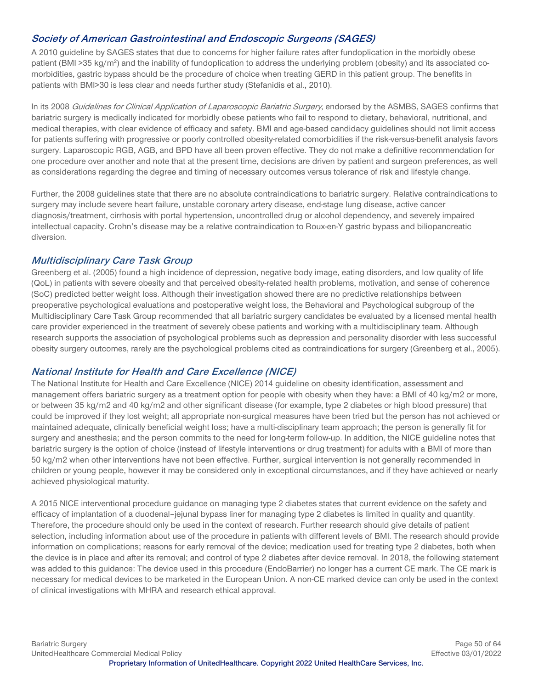# **Society of American Gastrointestinal and Endoscopic Surgeons (SAGES)**

A 2010 guideline by SAGES states that due to concerns for higher failure rates after fundoplication in the morbidly obese patient (BMI >35 kg/m<sup>2</sup>) and the inability of fundoplication to address the underlying problem (obesity) and its associated comorbidities, gastric bypass should be the procedure of choice when treating GERD in this patient group. The benefits in patients with BMI>30 is less clear and needs further study (Stefanidis et al., 2010).

In its 2008 Guidelines for Clinical Application of Laparoscopic Bariatric Surgery, endorsed by the ASMBS, SAGES confirms that bariatric surgery is medically indicated for morbidly obese patients who fail to respond to dietary, behavioral, nutritional, and medical therapies, with clear evidence of efficacy and safety. BMI and age-based candidacy guidelines should not limit access for patients suffering with progressive or poorly controlled obesity-related comorbidities if the risk-versus-benefit analysis favors surgery. Laparoscopic RGB, AGB, and BPD have all been proven effective. They do not make a definitive recommendation for one procedure over another and note that at the present time, decisions are driven by patient and surgeon preferences, as well as considerations regarding the degree and timing of necessary outcomes versus tolerance of risk and lifestyle change.

Further, the 2008 guidelines state that there are no absolute contraindications to bariatric surgery. Relative contraindications to surgery may include severe heart failure, unstable coronary artery disease, end-stage lung disease, active cancer diagnosis/treatment, cirrhosis with portal hypertension, uncontrolled drug or alcohol dependency, and severely impaired intellectual capacity. Crohn's disease may be a relative contraindication to Roux-en-Y gastric bypass and biliopancreatic diversion.

#### **Multidisciplinary Care Task Group**

Greenberg et al. (2005) found a high incidence of depression, negative body image, eating disorders, and low quality of life (QoL) in patients with severe obesity and that perceived obesity-related health problems, motivation, and sense of coherence (SoC) predicted better weight loss. Although their investigation showed there are no predictive relationships between preoperative psychological evaluations and postoperative weight loss, the Behavioral and Psychological subgroup of the Multidisciplinary Care Task Group recommended that all bariatric surgery candidates be evaluated by a licensed mental health care provider experienced in the treatment of severely obese patients and working with a multidisciplinary team. Although research supports the association of psychological problems such as depression and personality disorder with less successful obesity surgery outcomes, rarely are the psychological problems cited as contraindications for surgery (Greenberg et al., 2005).

#### **National Institute for Health and Care Excellence (NICE)**

The National Institute for Health and Care Excellence (NICE) 2014 guideline on obesity identification, assessment and management offers bariatric surgery as a treatment option for people with obesity when they have: a BMI of 40 kg/m2 or more, or between 35 kg/m2 and 40 kg/m2 and other significant disease (for example, type 2 diabetes or high blood pressure) that could be improved if they lost weight; all appropriate non-surgical measures have been tried but the person has not achieved or maintained adequate, clinically beneficial weight loss; have a multi-disciplinary team approach; the person is generally fit for surgery and anesthesia; and the person commits to the need for long-term follow-up. In addition, the NICE guideline notes that bariatric surgery is the option of choice (instead of lifestyle interventions or drug treatment) for adults with a BMI of more than 50 kg/m2 when other interventions have not been effective. Further, surgical intervention is not generally recommended in children or young people, however it may be considered only in exceptional circumstances, and if they have achieved or nearly achieved physiological maturity.

A 2015 NICE interventional procedure guidance on managing type 2 diabetes states that current evidence on the safety and efficacy of implantation of a duodenal–jejunal bypass liner for managing type 2 diabetes is limited in quality and quantity. Therefore, the procedure should only be used in the context of research. Further research should give details of patient selection, including information about use of the procedure in patients with different levels of BMI. The research should provide information on complications; reasons for early removal of the device; medication used for treating type 2 diabetes, both when the device is in place and after its removal; and control of type 2 diabetes after device removal. In 2018, the following statement was added to this guidance: The device used in this procedure (EndoBarrier) no longer has a current CE mark. The CE mark is necessary for medical devices to be marketed in the European Union. A non-CE marked device can only be used in the context of clinical investigations with MHRA and research ethical approval.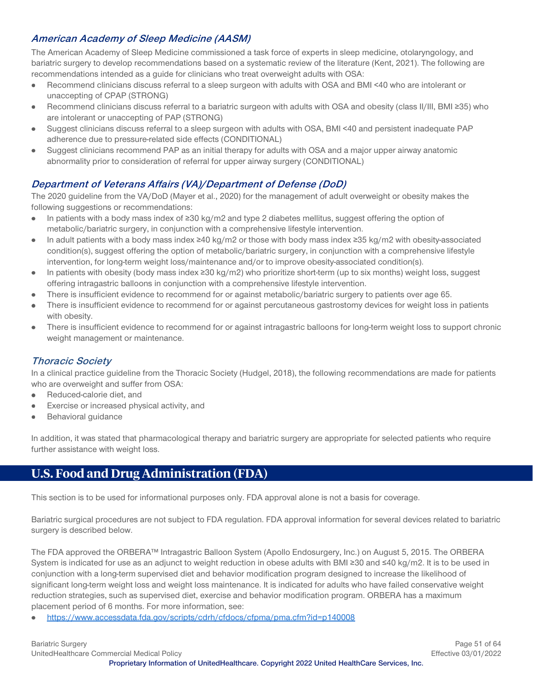# **American Academy of Sleep Medicine (AASM)**

The American Academy of Sleep Medicine commissioned a task force of experts in sleep medicine, otolaryngology, and bariatric surgery to develop recommendations based on a systematic review of the literature (Kent, 2021). The following are recommendations intended as a guide for clinicians who treat overweight adults with OSA:

- Recommend clinicians discuss referral to a sleep surgeon with adults with OSA and BMI <40 who are intolerant or  $\bullet$ unaccepting of CPAP (STRONG)
- Recommend clinicians discuss referral to a bariatric surgeon with adults with OSA and obesity (class II/III, BMI ≥35) who  $\bullet$ are intolerant or unaccepting of PAP (STRONG)
- Suggest clinicians discuss referral to a sleep surgeon with adults with OSA, BMI <40 and persistent inadequate PAP  $\bullet$ adherence due to pressure-related side effects (CONDITIONAL)
- Suggest clinicians recommend PAP as an initial therapy for adults with OSA and a major upper airway anatomic  $\bullet$ abnormality prior to consideration of referral for upper airway surgery (CONDITIONAL)

# **Department of Veterans Affairs (VA)/Department of Defense (DoD)**

The 2020 guideline from the VA/DoD (Mayer et al., 2020) for the management of adult overweight or obesity makes the following suggestions or recommendations:

- $\bullet$ In patients with a body mass index of ≥30 kg/m2 and type 2 diabetes mellitus, suggest offering the option of metabolic/bariatric surgery, in conjunction with a comprehensive lifestyle intervention.
- In adult patients with a body mass index ≥40 kg/m2 or those with body mass index ≥35 kg/m2 with obesity-associated  $\bullet$ condition(s), suggest offering the option of metabolic/bariatric surgery, in conjunction with a comprehensive lifestyle intervention, for long-term weight loss/maintenance and/or to improve obesity-associated condition(s).
- In patients with obesity (body mass index ≥30 kg/m2) who prioritize short-term (up to six months) weight loss, suggest offering intragastric balloons in conjunction with a comprehensive lifestyle intervention.
- There is insufficient evidence to recommend for or against metabolic/bariatric surgery to patients over age 65.
- There is insufficient evidence to recommend for or against percutaneous gastrostomy devices for weight loss in patients with obesity.
- There is insufficient evidence to recommend for or against intragastric balloons for long-term weight loss to support chronic weight management or maintenance.

#### **Thoracic Society**

In a clinical practice guideline from the Thoracic Society (Hudgel, 2018), the following recommendations are made for patients who are overweight and suffer from OSA:

- Reduced-calorie diet, and  $\bullet$
- Exercise or increased physical activity, and
- Behavioral guidance  $\bullet$

In addition, it was stated that pharmacological therapy and bariatric surgery are appropriate for selected patients who require further assistance with weight loss.

# <span id="page-50-0"></span>**U.S. Food and Drug Administration (FDA)**

This section is to be used for informational purposes only. FDA approval alone is not a basis for coverage.

Bariatric surgical procedures are not subject to FDA regulation. FDA approval information for several devices related to bariatric surgery is described below.

The FDA approved the ORBERA™ Intragastric Balloon System (Apollo Endosurgery, Inc.) on August 5, 2015. The ORBERA System is indicated for use as an adjunct to weight reduction in obese adults with BMI ≥30 and ≤40 kg/m2. It is to be used in conjunction with a long-term supervised diet and behavior modification program designed to increase the likelihood of significant long-term weight loss and weight loss maintenance. It is indicated for adults who have failed conservative weight reduction strategies, such as supervised diet, exercise and behavior modification program. ORBERA has a maximum placement period of 6 months. For more information, see:

<https://www.accessdata.fda.gov/scripts/cdrh/cfdocs/cfpma/pma.cfm?id=p140008>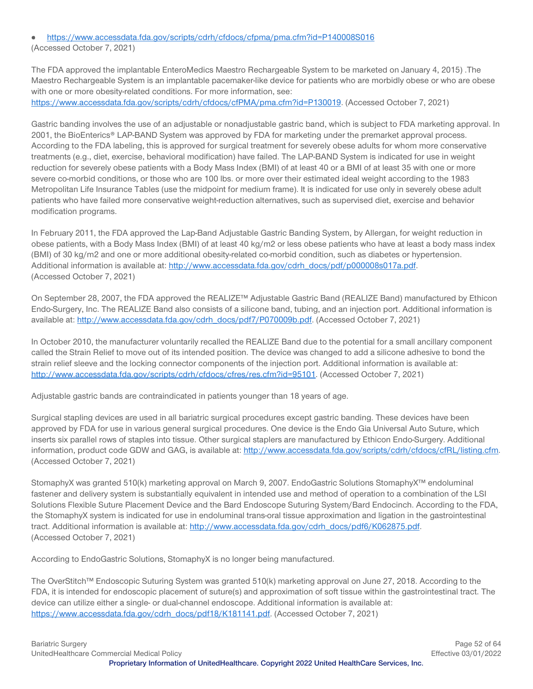<https://www.accessdata.fda.gov/scripts/cdrh/cfdocs/cfpma/pma.cfm?id=P140008S016>

(Accessed October 7, 2021)

The FDA approved the implantable EnteroMedics Maestro Rechargeable System to be marketed on January 4, 2015) .The Maestro Rechargeable System is an implantable pacemaker-like device for patients who are morbidly obese or who are obese with one or more obesity-related conditions. For more information, see: [https://www.accessdata.fda.gov/scripts/cdrh/cfdocs/cfPMA/pma.cfm?id=P130019.](https://www.accessdata.fda.gov/scripts/cdrh/cfdocs/cfPMA/pma.cfm?id=P130019) (Accessed October 7, 2021)

Gastric banding involves the use of an adjustable or nonadjustable gastric band, which is subject to FDA marketing approval. In 2001, the BioEnterics® LAP-BAND System was approved by FDA for marketing under the premarket approval process. According to the FDA labeling, this is approved for surgical treatment for severely obese adults for whom more conservative treatments (e.g., diet, exercise, behavioral modification) have failed. The LAP-BAND System is indicated for use in weight reduction for severely obese patients with a Body Mass Index (BMI) of at least 40 or a BMI of at least 35 with one or more severe co-morbid conditions, or those who are 100 lbs. or more over their estimated ideal weight according to the 1983 Metropolitan Life Insurance Tables (use the midpoint for medium frame). It is indicated for use only in severely obese adult patients who have failed more conservative weight-reduction alternatives, such as supervised diet, exercise and behavior modification programs.

In February 2011, the FDA approved the Lap-Band Adjustable Gastric Banding System, by Allergan, for weight reduction in obese patients, with a Body Mass Index (BMI) of at least 40 kg/m2 or less obese patients who have at least a body mass index (BMI) of 30 kg/m2 and one or more additional obesity-related co-morbid condition, such as diabetes or hypertension. Additional information is available at: [http://www.accessdata.fda.gov/cdrh\\_docs/pdf/p000008s017a.pdf.](http://www.accessdata.fda.gov/cdrh_docs/pdf/p000008s017a.pdf) (Accessed October 7, 2021)

On September 28, 2007, the FDA approved the REALIZE™ Adjustable Gastric Band (REALIZE Band) manufactured by Ethicon Endo-Surgery, Inc. The REALIZE Band also consists of a silicone band, tubing, and an injection port. Additional information is available at[: http://www.accessdata.fda.gov/cdrh\\_docs/pdf7/P070009b.pdf.](http://www.accessdata.fda.gov/cdrh_docs/pdf7/P070009b.pdf) (Accessed October 7, 2021)

In October 2010, the manufacturer voluntarily recalled the REALIZE Band due to the potential for a small ancillary component called the Strain Relief to move out of its intended position. The device was changed to add a silicone adhesive to bond the strain relief sleeve and the locking connector components of the injection port. Additional information is available at: [http://www.accessdata.fda.gov/scripts/cdrh/cfdocs/cfres/res.cfm?id=95101.](http://www.accessdata.fda.gov/scripts/cdrh/cfdocs/cfres/res.cfm?id=95101) (Accessed October 7, 2021)

Adjustable gastric bands are contraindicated in patients younger than 18 years of age.

Surgical stapling devices are used in all bariatric surgical procedures except gastric banding. These devices have been approved by FDA for use in various general surgical procedures. One device is the Endo Gia Universal Auto Suture, which inserts six parallel rows of staples into tissue. Other surgical staplers are manufactured by Ethicon Endo-Surgery. Additional information, product code GDW and GAG, is available at: [http://www.accessdata.fda.gov/scripts/cdrh/cfdocs/cfRL/listing.cfm.](http://www.accessdata.fda.gov/scripts/cdrh/cfdocs/cfRL/listing.cfm) (Accessed October 7, 2021)

StomaphyX was granted 510(k) marketing approval on March 9, 2007. EndoGastric Solutions StomaphyX™ endoluminal fastener and delivery system is substantially equivalent in intended use and method of operation to a combination of the LSI Solutions Flexible Suture Placement Device and the Bard Endoscope Suturing System/Bard Endocinch. According to the FDA, the StomaphyX system is indicated for use in endoluminal trans-oral tissue approximation and ligation in the gastrointestinal tract. Additional information is available at: http://www.accessdata.fda.gov/cdrh\_docs/pdf6/K062875.pdf. (Accessed October 7, 2021)

According to EndoGastric Solutions, StomaphyX is no longer being manufactured.

The OverStitch™ Endoscopic Suturing System was granted 510(k) marketing approval on June 27, 2018. According to the FDA, it is intended for endoscopic placement of suture(s) and approximation of soft tissue within the gastrointestinal tract. The device can utilize either a single- or dual-channel endoscope. Additional information is available at: [https://www.accessdata.fda.gov/cdrh\\_docs/pdf18/K181141.pdf.](https://www.accessdata.fda.gov/cdrh_docs/pdf18/K181141.pdf) (Accessed October 7, 2021)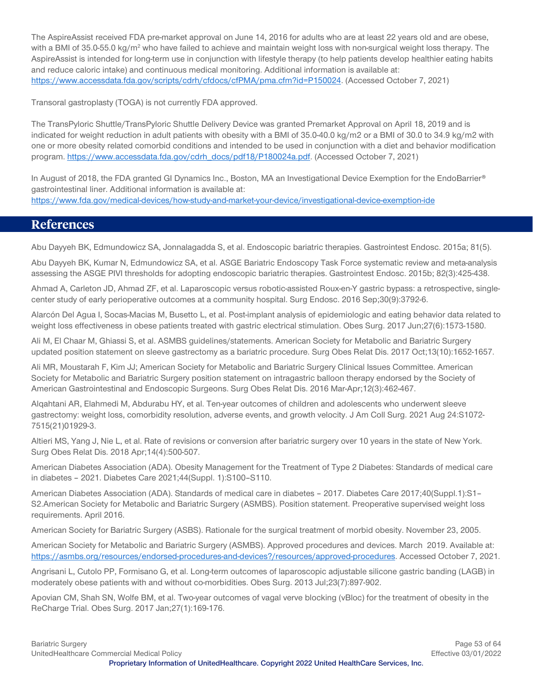The AspireAssist received FDA pre-market approval on June 14, 2016 for adults who are at least 22 years old and are obese, with a BMI of 35.0-55.0 kg/m<sup>2</sup> who have failed to achieve and maintain weight loss with non-surgical weight loss therapy. The AspireAssist is intended for long-term use in conjunction with lifestyle therapy (to help patients develop healthier eating habits and reduce caloric intake) and continuous medical monitoring. Additional information is available at: [https://www.accessdata.fda.gov/scripts/cdrh/cfdocs/cfPMA/pma.cfm?id=P150024.](https://www.accessdata.fda.gov/scripts/cdrh/cfdocs/cfPMA/pma.cfm?id=P150024) (Accessed October 7, 2021)

Transoral gastroplasty (TOGA) is not currently FDA approved.

The TransPyloric Shuttle/TransPyloric Shuttle Delivery Device was granted Premarket Approval on April 18, 2019 and is indicated for weight reduction in adult patients with obesity with a BMI of 35.0-40.0 kg/m2 or a BMI of 30.0 to 34.9 kg/m2 with one or more obesity related comorbid conditions and intended to be used in conjunction with a diet and behavior modification program. [https://www.accessdata.fda.gov/cdrh\\_docs/pdf18/P180024a.pdf.](https://www.accessdata.fda.gov/cdrh_docs/pdf18/P180024a.pdf) (Accessed October 7, 2021)

In August of 2018, the FDA granted GI Dynamics Inc., Boston, MA an Investigational Device Exemption for the EndoBarrier<sup>®</sup> gastrointestinal liner. Additional information is available at: <https://www.fda.gov/medical-devices/how-study-and-market-your-device/investigational-device-exemption-ide>

# <span id="page-52-0"></span>**References**

Abu Dayyeh BK, Edmundowicz SA, Jonnalagadda S, et al. Endoscopic bariatric therapies. Gastrointest Endosc. 2015a; 81(5).

Abu Dayyeh BK, Kumar N, Edmundowicz SA, et al. ASGE Bariatric Endoscopy Task Force systematic review and meta-analysis assessing the ASGE PIVI thresholds for adopting endoscopic bariatric therapies. Gastrointest Endosc. 2015b; 82(3):425-438.

Ahmad A, Carleton JD, Ahmad ZF, et al. Laparoscopic versus robotic-assisted Roux-en-Y gastric bypass: a retrospective, singlecenter study of early perioperative outcomes at a community hospital. Surg Endosc. 2016 Sep;30(9):3792-6.

Alarcón Del Agua I, Socas-Macias M, Busetto L, et al. Post-implant analysis of epidemiologic and eating behavior data related to weight loss effectiveness in obese patients treated with gastric electrical stimulation. Obes Surg. 2017 Jun;27(6):1573-1580.

Ali M, El Chaar M, Ghiassi S, et al. ASMBS guidelines/statements. American Society for Metabolic and Bariatric Surgery updated position statement on sleeve gastrectomy as a bariatric procedure. Surg Obes Relat Dis. 2017 Oct;13(10):1652-1657.

Ali MR, Moustarah F, Kim JJ; American Society for Metabolic and Bariatric Surgery Clinical Issues Committee. American Society for Metabolic and Bariatric Surgery position statement on intragastric balloon therapy endorsed by the Society of American Gastrointestinal and Endoscopic Surgeons. Surg Obes Relat Dis. 2016 Mar-Apr;12(3):462-467.

Alqahtani AR, Elahmedi M, Abdurabu HY, et al. Ten-year outcomes of children and adolescents who underwent sleeve gastrectomy: weight loss, comorbidity resolution, adverse events, and growth velocity. J Am Coll Surg. 2021 Aug 24:S1072- 7515(21)01929-3.

Altieri MS, Yang J, Nie L, et al. Rate of revisions or conversion after bariatric surgery over 10 years in the state of New York. Surg Obes Relat Dis. 2018 Apr;14(4):500-507.

American Diabetes Association (ADA). Obesity Management for the Treatment of Type 2 Diabetes: Standards of medical care in diabetes – 2021. Diabetes Care 2021;44(Suppl. 1):S100–S110.

American Diabetes Association (ADA). Standards of medical care in diabetes – 2017. Diabetes Care 2017;40(Suppl.1):S1– S2.American Society for Metabolic and Bariatric Surgery (ASMBS). Position statement. Preoperative supervised weight loss requirements. April 2016.

American Society for Bariatric Surgery (ASBS). Rationale for the surgical treatment of morbid obesity. November 23, 2005.

American Society for Metabolic and Bariatric Surgery (ASMBS). Approved procedures and devices. March 2019. Available at: [https://asmbs.org/resources/endorsed-procedures-and-devices?/resources/approved-procedures.](https://asmbs.org/resources/endorsed-procedures-and-devices?/resources/approved-procedures) Accessed October 7, 2021.

Angrisani L, Cutolo PP, Formisano G, et al. Long-term outcomes of laparoscopic adjustable silicone gastric banding (LAGB) in moderately obese patients with and without co-morbidities. Obes Surg. 2013 Jul;23(7):897-902.

Apovian CM, Shah SN, Wolfe BM, et al. Two-year outcomes of vagal verve blocking (vBloc) for the treatment of obesity in the ReCharge Trial. Obes Surg. 2017 Jan;27(1):169-176.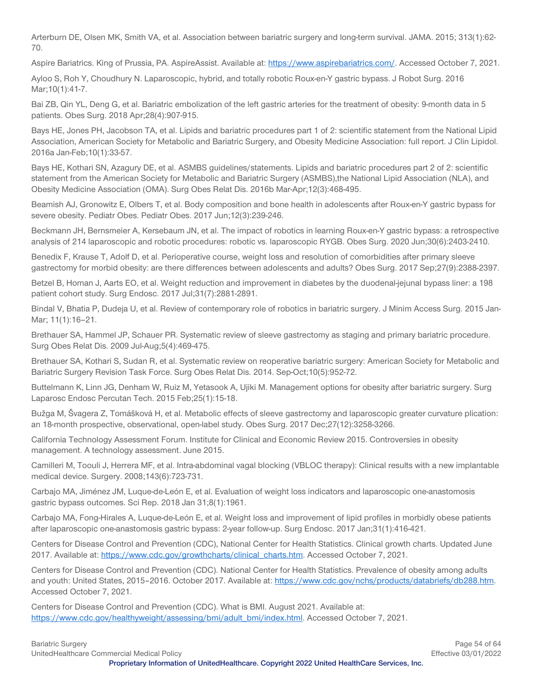Arterburn DE, Olsen MK, Smith VA, et al. Association between bariatric surgery and long-term survival. JAMA. 2015; 313(1):62- 70.

Aspire Bariatrics. King of Prussia, PA. AspireAssist. Available at: [https://www.aspirebariatrics.com/.](https://www.aspirebariatrics.com/) Accessed October 7, 2021.

Ayloo S, Roh Y, Choudhury N. Laparoscopic, hybrid, and totally robotic Roux-en-Y gastric bypass. J Robot Surg. 2016 Mar;10(1):41-7.

Bai ZB, Qin YL, Deng G, et al. Bariatric embolization of the left gastric arteries for the treatment of obesity: 9-month data in 5 patients. Obes Surg. 2018 Apr;28(4):907-915.

Bays HE, Jones PH, Jacobson TA, et al. Lipids and bariatric procedures part 1 of 2: scientific statement from the National Lipid Association, American Society for Metabolic and Bariatric Surgery, and Obesity Medicine Association: full report. J Clin Lipidol. 2016a Jan-Feb;10(1):33-57.

Bays HE, Kothari SN, Azagury DE, et al. ASMBS guidelines/statements. Lipids and bariatric procedures part 2 of 2: scientific statement from the American Society for Metabolic and Bariatric Surgery (ASMBS),the National Lipid Association (NLA), and Obesity Medicine Association (OMA). Surg Obes Relat Dis. 2016b Mar-Apr;12(3):468-495.

Beamish AJ, Gronowitz E, Olbers T, et al. Body composition and bone health in adolescents after Roux-en-Y gastric bypass for severe obesity. Pediatr Obes. Pediatr Obes. 2017 Jun;12(3):239-246.

Beckmann JH, Bernsmeier A, Kersebaum JN, et al. The impact of robotics in learning Roux-en-Y gastric bypass: a retrospective analysis of 214 laparoscopic and robotic procedures: robotic vs. laparoscopic RYGB. Obes Surg. 2020 Jun;30(6):2403-2410.

Benedix F, Krause T, Adolf D, et al. Perioperative course, weight loss and resolution of comorbidities after primary sleeve gastrectomy for morbid obesity: are there differences between adolescents and adults? Obes Surg. 2017 Sep;27(9):2388-2397.

Betzel B, Homan J, Aarts EO, et al. Weight reduction and improvement in diabetes by the duodenal-jejunal bypass liner: a 198 patient cohort study. Surg Endosc. 2017 Jul;31(7):2881-2891.

Bindal V, Bhatia P, Dudeja U, et al. Review of contemporary role of robotics in bariatric surgery. J Minim Access Surg. 2015 Jan-Mar; 11(1):16–21.

Brethauer SA, Hammel JP, Schauer PR. Systematic review of sleeve gastrectomy as staging and primary bariatric procedure. Surg Obes Relat Dis. 2009 Jul-Aug;5(4):469-475.

Brethauer SA, Kothari S, Sudan R, et al. Systematic review on reoperative bariatric surgery: American Society for Metabolic and Bariatric Surgery Revision Task Force. Surg Obes Relat Dis. 2014. Sep-Oct;10(5):952-72.

Buttelmann K, Linn JG, Denham W, Ruiz M, Yetasook A, Ujiki M. Management options for obesity after bariatric surgery. Surg Laparosc Endosc Percutan Tech. 2015 Feb;25(1):15-18.

Bužga M, Švagera Z, Tomášková H, et al. Metabolic effects of sleeve gastrectomy and laparoscopic greater curvature plication: an 18-month prospective, observational, open-label study. Obes Surg. 2017 Dec;27(12):3258-3266.

California Technology Assessment Forum. Institute for Clinical and Economic Review 2015. Controversies in obesity management. A technology assessment. June 2015.

Camilleri M, Toouli J, Herrera MF, et al. Intra-abdominal vagal blocking (VBLOC therapy): Clinical results with a new implantable medical device. Surgery. 2008;143(6):723-731.

Carbajo MA, Jiménez JM, Luque-de-León E, et al. Evaluation of weight loss indicators and laparoscopic one-anastomosis gastric bypass outcomes. Sci Rep. 2018 Jan 31;8(1):1961.

Carbajo MA, Fong-Hirales A, Luque-de-León E, et al. Weight loss and improvement of lipid profiles in morbidly obese patients after laparoscopic one-anastomosis gastric bypass: 2-year follow-up. Surg Endosc. 2017 Jan;31(1):416-421.

Centers for Disease Control and Prevention (CDC), National Center for Health Statistics. Clinical growth charts. Updated June 2017. Available at: [https://www.cdc.gov/growthcharts/clinical\\_charts.htm.](https://www.cdc.gov/growthcharts/clinical_charts.htm) Accessed October 7, 2021.

Centers for Disease Control and Prevention (CDC). National Center for Health Statistics. Prevalence of obesity among adults and youth: United States, 2015-2016. October 2017. Available at[: https://www.cdc.gov/nchs/products/databriefs/db288.htm.](https://www.cdc.gov/nchs/products/databriefs/db288.htm) Accessed October 7, 2021.

Centers for Disease Control and Prevention (CDC). What is BMI. August 2021. Available at: [https://www.cdc.gov/healthyweight/assessing/bmi/adult\\_bmi/index.html.](https://www.cdc.gov/healthyweight/assessing/bmi/adult_bmi/index.html) Accessed October 7, 2021.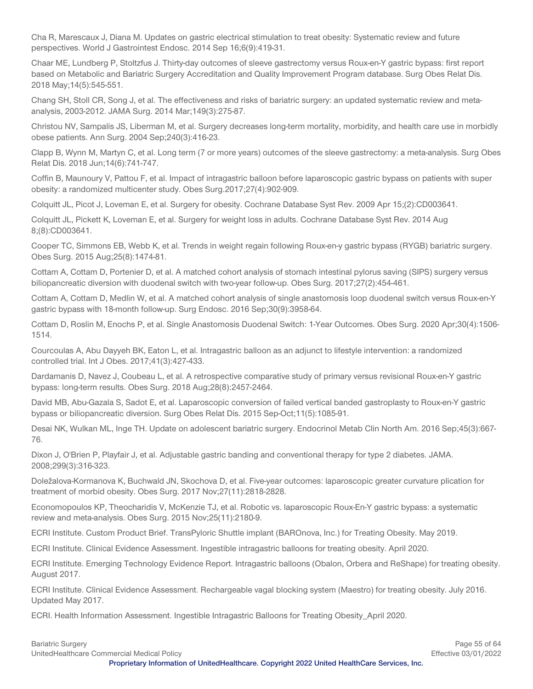Cha R, Marescaux J, Diana M. Updates on gastric electrical stimulation to treat obesity: Systematic review and future perspectives. World J Gastrointest Endosc. 2014 Sep 16;6(9):419-31.

Chaar ME, Lundberg P, Stoltzfus J. Thirty-day outcomes of sleeve gastrectomy versus Roux-en-Y gastric bypass: first report based on Metabolic and Bariatric Surgery Accreditation and Quality Improvement Program database. Surg Obes Relat Dis. 2018 May;14(5):545-551.

Chang SH, Stoll CR, Song J, et al. The effectiveness and risks of bariatric surgery: an updated systematic review and metaanalysis, 2003-2012. JAMA Surg. 2014 Mar;149(3):275-87.

Christou NV, Sampalis JS, Liberman M, et al. Surgery decreases long-term mortality, morbidity, and health care use in morbidly obese patients. Ann Surg. 2004 Sep;240(3):416-23.

Clapp B, Wynn M, Martyn C, et al. Long term (7 or more years) outcomes of the sleeve gastrectomy: a meta-analysis. Surg Obes Relat Dis. 2018 Jun;14(6):741-747.

Coffin B, Maunoury V, Pattou F, et al. Impact of intragastric balloon before laparoscopic gastric bypass on patients with super obesity: a randomized multicenter study. Obes Surg.2017;27(4):902-909.

Colquitt JL, Picot J, Loveman E, et al. Surgery for obesity. Cochrane Database Syst Rev. 2009 Apr 15;(2):CD003641.

Colquitt JL, Pickett K, Loveman E, et al. Surgery for weight loss in adults. Cochrane Database Syst Rev. 2014 Aug 8;(8):CD003641.

Cooper TC, Simmons EB, Webb K, et al. Trends in weight regain following Roux-en-y gastric bypass (RYGB) bariatric surgery. Obes Surg. 2015 Aug;25(8):1474-81.

Cottam A, Cottam D, Portenier D, et al. A matched cohort analysis of stomach intestinal pylorus saving (SIPS) surgery versus biliopancreatic diversion with duodenal switch with two-year follow-up. Obes Surg. 2017;27(2):454-461.

Cottam A, Cottam D, Medlin W, et al. A matched cohort analysis of single anastomosis loop duodenal switch versus Roux-en-Y gastric bypass with 18-month follow-up. Surg Endosc. 2016 Sep;30(9):3958-64.

Cottam D, Roslin M, Enochs P, et al. Single Anastomosis Duodenal Switch: 1-Year Outcomes. Obes Surg. 2020 Apr;30(4):1506- 1514.

Courcoulas A, Abu Dayyeh BK, Eaton L, et al. Intragastric balloon as an adjunct to lifestyle intervention: a randomized controlled trial. Int J Obes. 2017;41(3):427-433.

Dardamanis D, Navez J, Coubeau L, et al. A retrospective comparative study of primary versus revisional Roux-en-Y gastric bypass: long-term results. Obes Surg. 2018 Aug;28(8):2457-2464.

David MB, Abu-Gazala S, Sadot E, et al. Laparoscopic conversion of failed vertical banded gastroplasty to Roux-en-Y gastric bypass or biliopancreatic diversion. Surg Obes Relat Dis. 2015 Sep-Oct;11(5):1085-91.

Desai NK, Wulkan ML, Inge TH. Update on adolescent bariatric surgery. Endocrinol Metab Clin North Am. 2016 Sep;45(3):667- 76.

Dixon J, O'Brien P, Playfair J, et al. Adjustable gastric banding and conventional therapy for type 2 diabetes. JAMA. 2008;299(3):316-323.

Doležalova-Kormanova K, Buchwald JN, Skochova D, et al. Five-year outcomes: laparoscopic greater curvature plication for treatment of morbid obesity. Obes Surg. 2017 Nov;27(11):2818-2828.

Economopoulos KP, Theocharidis V, McKenzie TJ, et al. Robotic vs. laparoscopic Roux-En-Y gastric bypass: a systematic review and meta-analysis. Obes Surg. 2015 Nov;25(11):2180-9.

ECRI Institute. Custom Product Brief. TransPyloric Shuttle implant (BAROnova, Inc.) for Treating Obesity. May 2019.

ECRI Institute. Clinical Evidence Assessment. Ingestible intragastric balloons for treating obesity. April 2020.

ECRI Institute. Emerging Technology Evidence Report. Intragastric balloons (Obalon, Orbera and ReShape) for treating obesity. August 2017.

ECRI Institute. Clinical Evidence Assessment. Rechargeable vagal blocking system (Maestro) for treating obesity. July 2016. Updated May 2017.

ECRI. Health Information Assessment. Ingestible Intragastric Balloons for Treating Obesity\_April 2020.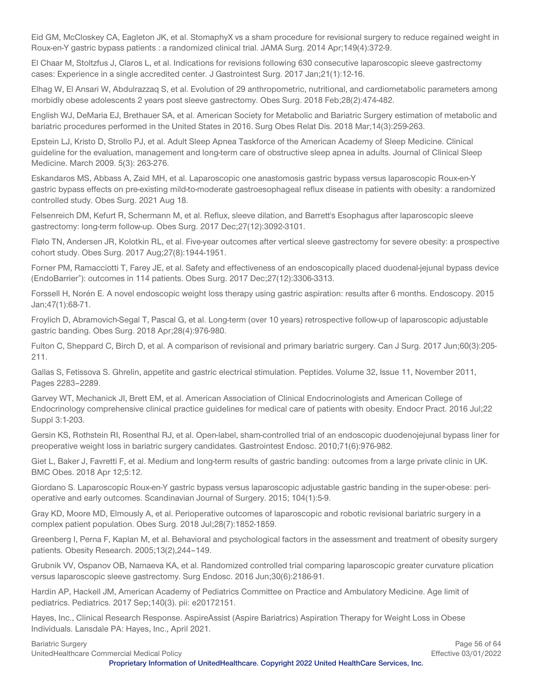Eid GM, McCloskey CA, Eagleton JK, et al. StomaphyX vs a sham procedure for revisional surgery to reduce regained weight in Roux-en-Y gastric bypass patients : a randomized clinical trial. JAMA Surg. 2014 Apr;149(4):372-9.

El Chaar M, Stoltzfus J, Claros L, et al. Indications for revisions following 630 consecutive laparoscopic sleeve gastrectomy cases: Experience in a single accredited center. J Gastrointest Surg. 2017 Jan;21(1):12-16.

Elhag W, El Ansari W, Abdulrazzaq S, et al. Evolution of 29 anthropometric, nutritional, and cardiometabolic parameters among morbidly obese adolescents 2 years post sleeve gastrectomy. Obes Surg. 2018 Feb;28(2):474-482.

English WJ, DeMaria EJ, Brethauer SA, et al. American Society for Metabolic and Bariatric Surgery estimation of metabolic and bariatric procedures performed in the United States in 2016. Surg Obes Relat Dis. 2018 Mar;14(3):259-263.

Epstein LJ, Kristo D, Strollo PJ, et al. Adult Sleep Apnea Taskforce of the American Academy of Sleep Medicine. Clinical guideline for the evaluation, management and long-term care of obstructive sleep apnea in adults. Journal of Clinical Sleep Medicine. March 2009. 5(3): 263-276.

Eskandaros MS, Abbass A, Zaid MH, et al. Laparoscopic one anastomosis gastric bypass versus laparoscopic Roux-en-Y gastric bypass effects on pre-existing mild-to-moderate gastroesophageal reflux disease in patients with obesity: a randomized controlled study. Obes Surg. 2021 Aug 18.

Felsenreich DM, Kefurt R, Schermann M, et al. Reflux, sleeve dilation, and Barrett's Esophagus after laparoscopic sleeve gastrectomy: long-term follow-up. Obes Surg. 2017 Dec;27(12):3092-3101.

Flølo TN, Andersen JR, Kolotkin RL, et al. Five-year outcomes after vertical sleeve gastrectomy for severe obesity: a prospective cohort study. Obes Surg. 2017 Aug;27(8):1944-1951.

Forner PM, Ramacciotti T, Farey JE, et al. Safety and effectiveness of an endoscopically placed duodenal-jejunal bypass device (EndoBarrier® ): outcomes in 114 patients. Obes Surg. 2017 Dec;27(12):3306-3313.

Forssell H, Norén E. A novel endoscopic weight loss therapy using gastric aspiration: results after 6 months. Endoscopy. 2015 Jan;47(1):68-71.

Froylich D, Abramovich-Segal T, Pascal G, et al. Long-term (over 10 years) retrospective follow-up of laparoscopic adjustable gastric banding. Obes Surg. 2018 Apr;28(4):976-980.

Fulton C, Sheppard C, Birch D, et al. A comparison of revisional and primary bariatric surgery. Can J Surg. 2017 Jun;60(3):205- 211.

Gallas S, Fetissova S. Ghrelin, appetite and gastric electrical stimulation. Peptides. Volume 32, Issue 11, November 2011, Pages 2283–2289.

Garvey WT, Mechanick JI, Brett EM, et al. American Association of Clinical Endocrinologists and American College of Endocrinology comprehensive clinical practice guidelines for medical care of patients with obesity. Endocr Pract. 2016 Jul;22 Suppl 3:1-203.

Gersin KS, Rothstein RI, Rosenthal RJ, et al. Open-label, sham-controlled trial of an endoscopic duodenojejunal bypass liner for preoperative weight loss in bariatric surgery candidates. Gastrointest Endosc. 2010;71(6):976-982.

Giet L, Baker J, Favretti F, et al. Medium and long-term results of gastric banding: outcomes from a large private clinic in UK. BMC Obes. 2018 Apr 12;5:12.

Giordano S. Laparoscopic Roux-en-Y gastric bypass versus laparoscopic adjustable gastric banding in the super-obese: perioperative and early outcomes. Scandinavian Journal of Surgery. 2015; 104(1):5-9.

Gray KD, Moore MD, Elmously A, et al. Perioperative outcomes of laparoscopic and robotic revisional bariatric surgery in a complex patient population. Obes Surg. 2018 Jul;28(7):1852-1859.

Greenberg I, Perna F, Kaplan M, et al. Behavioral and psychological factors in the assessment and treatment of obesity surgery patients. Obesity Research. 2005;13(2),244–149.

Grubnik VV, Ospanov OB, Namaeva KA, et al. Randomized controlled trial comparing laparoscopic greater curvature plication versus laparoscopic sleeve gastrectomy. Surg Endosc. 2016 Jun;30(6):2186-91.

Hardin AP, Hackell JM, American Academy of Pediatrics Committee on Practice and Ambulatory Medicine. Age limit of pediatrics. Pediatrics. 2017 Sep;140(3). pii: e20172151.

Hayes, Inc., Clinical Research Response. AspireAssist (Aspire Bariatrics) Aspiration Therapy for Weight Loss in Obese Individuals. Lansdale PA: Hayes, Inc., April 2021.

UnitedHealthcare Commercial Medical Policy Effective 03/01/2022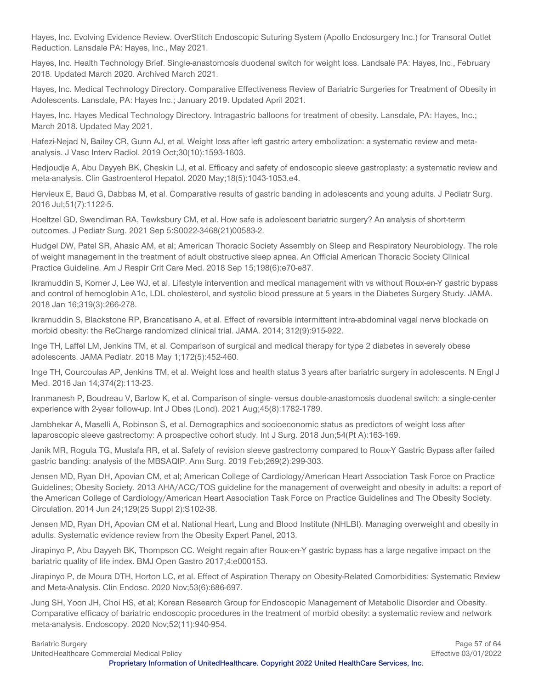Hayes, Inc. Evolving Evidence Review. OverStitch Endoscopic Suturing System (Apollo Endosurgery Inc.) for Transoral Outlet Reduction. Lansdale PA: Hayes, Inc., May 2021.

Hayes, Inc. Health Technology Brief. Single-anastomosis duodenal switch for weight loss. Landsale PA: Hayes, Inc., February 2018. Updated March 2020. Archived March 2021.

Hayes, Inc. Medical Technology Directory. Comparative Effectiveness Review of Bariatric Surgeries for Treatment of Obesity in Adolescents. Lansdale, PA: Hayes Inc.; January 2019. Updated April 2021.

Hayes, Inc. Hayes Medical Technology Directory. Intragastric balloons for treatment of obesity. Lansdale, PA: Hayes, Inc.; March 2018. Updated May 2021.

Hafezi-Nejad N, Bailey CR, Gunn AJ, et al. Weight loss after left gastric artery embolization: a systematic review and metaanalysis. J Vasc Interv Radiol. 2019 Oct;30(10):1593-1603.

Hedjoudje A, Abu Dayyeh BK, Cheskin LJ, et al. Efficacy and safety of endoscopic sleeve gastroplasty: a systematic review and meta-analysis. Clin Gastroenterol Hepatol. 2020 May;18(5):1043-1053.e4.

Hervieux E, Baud G, Dabbas M, et al. Comparative results of gastric banding in adolescents and young adults. J Pediatr Surg. 2016 Jul;51(7):1122-5.

Hoeltzel GD, Swendiman RA, Tewksbury CM, et al. How safe is adolescent bariatric surgery? An analysis of short-term outcomes. J Pediatr Surg. 2021 Sep 5:S0022-3468(21)00583-2.

Hudgel DW, Patel SR, Ahasic AM, et al; American Thoracic Society Assembly on Sleep and Respiratory Neurobiology. The role of weight management in the treatment of adult obstructive sleep apnea. An Official American Thoracic Society Clinical Practice Guideline. Am J Respir Crit Care Med. 2018 Sep 15;198(6):e70-e87.

Ikramuddin S, Korner J, Lee WJ, et al. Lifestyle intervention and medical management with vs without Roux-en-Y gastric bypass and control of hemoglobin A1c, LDL cholesterol, and systolic blood pressure at 5 years in the Diabetes Surgery Study. JAMA. 2018 Jan 16;319(3):266-278.

Ikramuddin S, Blackstone RP, Brancatisano A, et al. Effect of reversible intermittent intra-abdominal vagal nerve blockade on morbid obesity: the ReCharge randomized clinical trial. JAMA. 2014; 312(9):915-922.

Inge TH, Laffel LM, Jenkins TM, et al. Comparison of surgical and medical therapy for type 2 diabetes in severely obese adolescents. JAMA Pediatr. 2018 May 1;172(5):452-460.

Inge TH, Courcoulas AP, Jenkins TM, et al. Weight loss and health status 3 years after bariatric surgery in adolescents. N Engl J Med. 2016 Jan 14;374(2):113-23.

Iranmanesh P, Boudreau V, Barlow K, et al. Comparison of single- versus double-anastomosis duodenal switch: a single-center experience with 2-year follow-up. Int J Obes (Lond). 2021 Aug;45(8):1782-1789.

Jambhekar A, Maselli A, Robinson S, et al. Demographics and socioeconomic status as predictors of weight loss after laparoscopic sleeve gastrectomy: A prospective cohort study. Int J Surg. 2018 Jun;54(Pt A):163-169.

Janik MR, Rogula TG, Mustafa RR, et al. Safety of revision sleeve gastrectomy compared to Roux-Y Gastric Bypass after failed gastric banding: analysis of the MBSAQIP. Ann Surg. 2019 Feb;269(2):299-303.

Jensen MD, Ryan DH, Apovian CM, et al; American College of Cardiology/American Heart Association Task Force on Practice Guidelines; Obesity Society. 2013 AHA/ACC/TOS guideline for the management of overweight and obesity in adults: a report of the American College of Cardiology/American Heart Association Task Force on Practice Guidelines and The Obesity Society. Circulation. 2014 Jun 24;129(25 Suppl 2):S102-38.

Jensen MD, Ryan DH, Apovian CM et al. National Heart, Lung and Blood Institute (NHLBI). Managing overweight and obesity in adults. Systematic evidence review from the Obesity Expert Panel, 2013.

Jirapinyo P, Abu Dayyeh BK, Thompson CC. Weight regain after Roux-en-Y gastric bypass has a large negative impact on the bariatric quality of life index. BMJ Open Gastro 2017;4:e000153.

Jirapinyo P, de Moura DTH, Horton LC, et al. Effect of Aspiration Therapy on Obesity-Related Comorbidities: Systematic Review and Meta-Analysis. Clin Endosc. 2020 Nov;53(6):686-697.

Jung SH, Yoon JH, Choi HS, et al; Korean Research Group for Endoscopic Management of Metabolic Disorder and Obesity. Comparative efficacy of bariatric endoscopic procedures in the treatment of morbid obesity: a systematic review and network meta-analysis. Endoscopy. 2020 Nov;52(11):940-954.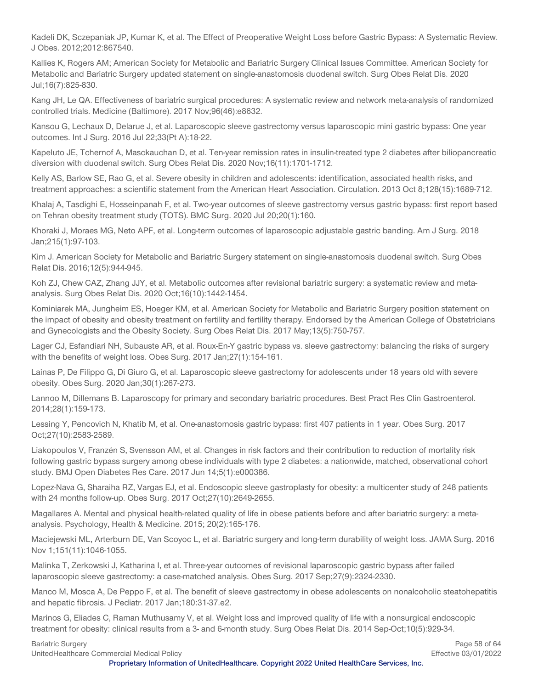Kadeli DK, Sczepaniak JP, Kumar K, et al. The Effect of Preoperative Weight Loss before Gastric Bypass: A Systematic Review. J Obes. 2012;2012:867540.

Kallies K, Rogers AM; American Society for Metabolic and Bariatric Surgery Clinical Issues Committee. American Society for Metabolic and Bariatric Surgery updated statement on single-anastomosis duodenal switch. Surg Obes Relat Dis. 2020 Jul;16(7):825-830.

Kang JH, Le QA. Effectiveness of bariatric surgical procedures: A systematic review and network meta-analysis of randomized controlled trials. Medicine (Baltimore). 2017 Nov;96(46):e8632.

Kansou G, Lechaux D, Delarue J, et al. Laparoscopic sleeve gastrectomy versus laparoscopic mini gastric bypass: One year outcomes. Int J Surg. 2016 Jul 22;33(Pt A):18-22.

Kapeluto JE, Tchernof A, Masckauchan D, et al. Ten-year remission rates in insulin-treated type 2 diabetes after biliopancreatic diversion with duodenal switch. Surg Obes Relat Dis. 2020 Nov;16(11):1701-1712.

Kelly AS, Barlow SE, Rao G, et al. Severe obesity in children and adolescents: identification, associated health risks, and treatment approaches: a scientific statement from the American Heart Association. Circulation. 2013 Oct 8;128(15):1689-712.

Khalaj A, Tasdighi E, Hosseinpanah F, et al. Two-year outcomes of sleeve gastrectomy versus gastric bypass: first report based on Tehran obesity treatment study (TOTS). BMC Surg. 2020 Jul 20;20(1):160.

Khoraki J, Moraes MG, Neto APF, et al. Long-term outcomes of laparoscopic adjustable gastric banding. Am J Surg. 2018 Jan;215(1):97-103.

Kim J. American Society for Metabolic and Bariatric Surgery statement on single-anastomosis duodenal switch. Surg Obes Relat Dis. 2016;12(5):944-945.

Koh ZJ, Chew CAZ, Zhang JJY, et al. Metabolic outcomes after revisional bariatric surgery: a systematic review and metaanalysis. Surg Obes Relat Dis. 2020 Oct;16(10):1442-1454.

Kominiarek MA, Jungheim ES, Hoeger KM, et al. American Society for Metabolic and Bariatric Surgery position statement on the impact of obesity and obesity treatment on fertility and fertility therapy. Endorsed by the American College of Obstetricians and Gynecologists and the Obesity Society. Surg Obes Relat Dis. 2017 May;13(5):750-757.

Lager CJ, Esfandiari NH, Subauste AR, et al. Roux-En-Y gastric bypass vs. sleeve gastrectomy: balancing the risks of surgery with the benefits of weight loss. Obes Surg. 2017 Jan;27(1):154-161.

Lainas P, De Filippo G, Di Giuro G, et al. Laparoscopic sleeve gastrectomy for adolescents under 18 years old with severe obesity. Obes Surg. 2020 Jan;30(1):267-273.

Lannoo M, Dillemans B. Laparoscopy for primary and secondary bariatric procedures. Best Pract Res Clin Gastroenterol. 2014;28(1):159-173.

Lessing Y, Pencovich N, Khatib M, et al. One-anastomosis gastric bypass: first 407 patients in 1 year. Obes Surg. 2017 Oct;27(10):2583-2589.

Liakopoulos V, Franzén S, Svensson AM, et al. Changes in risk factors and their contribution to reduction of mortality risk following gastric bypass surgery among obese individuals with type 2 diabetes: a nationwide, matched, observational cohort study. BMJ Open Diabetes Res Care. 2017 Jun 14;5(1):e000386.

Lopez-Nava G, Sharaiha RZ, Vargas EJ, et al. Endoscopic sleeve gastroplasty for obesity: a multicenter study of 248 patients with 24 months follow-up. Obes Surg. 2017 Oct;27(10):2649-2655.

Magallares A. Mental and physical health-related quality of life in obese patients before and after bariatric surgery: a metaanalysis. Psychology, Health & Medicine. 2015; 20(2):165-176.

Maciejewski ML, Arterburn DE, Van Scoyoc L, et al. Bariatric surgery and long-term durability of weight loss. JAMA Surg. 2016 Nov 1;151(11):1046-1055.

Malinka T, Zerkowski J, Katharina I, et al. Three-year outcomes of revisional laparoscopic gastric bypass after failed laparoscopic sleeve gastrectomy: a case-matched analysis. Obes Surg. 2017 Sep;27(9):2324-2330.

Manco M, Mosca A, De Peppo F, et al. The benefit of sleeve gastrectomy in obese adolescents on nonalcoholic steatohepatitis and hepatic fibrosis. J Pediatr. 2017 Jan;180:31-37.e2.

Marinos G, Eliades C, Raman Muthusamy V, et al. Weight loss and improved quality of life with a nonsurgical endoscopic treatment for obesity: clinical results from a 3- and 6-month study. Surg Obes Relat Dis. 2014 Sep-Oct;10(5):929-34.

UnitedHealthcare Commercial Medical Policy Effective 03/01/2022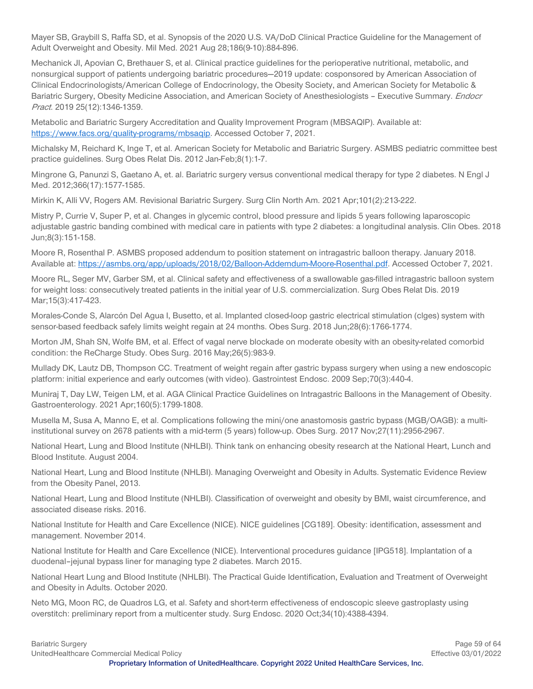Mayer SB, Graybill S, Raffa SD, et al. Synopsis of the 2020 U.S. VA/DoD Clinical Practice Guideline for the Management of Adult Overweight and Obesity. Mil Med. 2021 Aug 28;186(9-10):884-896.

Mechanick JI, Apovian C, Brethauer S, et al. Clinical practice guidelines for the perioperative nutritional, metabolic, and nonsurgical support of patients undergoing bariatric procedures—2019 update: cosponsored by American Association of Clinical Endocrinologists/American College of Endocrinology, the Obesity Society, and American Society for Metabolic & Bariatric Surgery, Obesity Medicine Association, and American Society of Anesthesiologists - Executive Summary. *Endocr* Pract. 2019 25(12):1346-1359.

Metabolic and Bariatric Surgery Accreditation and Quality Improvement Program (MBSAQIP). Available at: [https://www.facs.org/quality-programs/mbsaqip.](https://www.facs.org/quality-programs/mbsaqip) Accessed October 7, 2021.

Michalsky M, Reichard K, Inge T, et al. American Society for Metabolic and Bariatric Surgery. ASMBS pediatric committee best practice guidelines. Surg Obes Relat Dis. 2012 Jan-Feb;8(1):1-7.

Mingrone G, Panunzi S, Gaetano A, et. al. Bariatric surgery versus conventional medical therapy for type 2 diabetes. N Engl J Med. 2012;366(17):1577-1585.

Mirkin K, Alli VV, Rogers AM. Revisional Bariatric Surgery. Surg Clin North Am. 2021 Apr;101(2):213-222.

Mistry P, Currie V, Super P, et al. Changes in glycemic control, blood pressure and lipids 5 years following laparoscopic adjustable gastric banding combined with medical care in patients with type 2 diabetes: a longitudinal analysis. Clin Obes. 2018 Jun;8(3):151-158.

Moore R, Rosenthal P. ASMBS proposed addendum to position statement on intragastric balloon therapy. January 2018. Available at: [https://asmbs.org/app/uploads/2018/02/Balloon-Addemdum-Moore-Rosenthal.pdf.](https://asmbs.org/app/uploads/2018/02/Balloon-Addemdum-Moore-Rosenthal.pdf) Accessed October 7, 2021.

Moore RL, Seger MV, Garber SM, et al. Clinical safety and effectiveness of a swallowable gas-filled intragastric balloon system for weight loss: consecutively treated patients in the initial year of U.S. commercialization. Surg Obes Relat Dis. 2019 Mar;15(3):417-423.

Morales-Conde S, Alarcón Del Agua I, Busetto, et al. Implanted closed-loop gastric electrical stimulation (clges) system with sensor-based feedback safely limits weight regain at 24 months. Obes Surg. 2018 Jun;28(6):1766-1774.

Morton JM, Shah SN, Wolfe BM, et al. Effect of vagal nerve blockade on moderate obesity with an obesity-related comorbid condition: the ReCharge Study. Obes Surg. 2016 May;26(5):983-9.

Mullady DK, Lautz DB, Thompson CC. Treatment of weight regain after gastric bypass surgery when using a new endoscopic platform: initial experience and early outcomes (with video). Gastrointest Endosc. 2009 Sep;70(3):440-4.

Muniraj T, Day LW, Teigen LM, et al. AGA Clinical Practice Guidelines on Intragastric Balloons in the Management of Obesity. Gastroenterology. 2021 Apr;160(5):1799-1808.

Musella M, Susa A, Manno E, et al. Complications following the mini/one anastomosis gastric bypass (MGB/OAGB): a multiinstitutional survey on 2678 patients with a mid-term (5 years) follow-up. Obes Surg. 2017 Nov;27(11):2956-2967.

National Heart, Lung and Blood Institute (NHLBI). Think tank on enhancing obesity research at the National Heart, Lunch and Blood Institute. August 2004.

National Heart, Lung and Blood Institute (NHLBI). Managing Overweight and Obesity in Adults. Systematic Evidence Review from the Obesity Panel, 2013.

National Heart, Lung and Blood Institute (NHLBI). Classification of overweight and obesity by BMI, waist circumference, and associated disease risks. 2016.

National Institute for Health and Care Excellence (NICE). NICE guidelines [CG189]. Obesity: identification, assessment and management. November 2014.

National Institute for Health and Care Excellence (NICE). Interventional procedures guidance [IPG518]. Implantation of a duodenal–jejunal bypass liner for managing type 2 diabetes. March 2015.

National Heart Lung and Blood Institute (NHLBI). The Practical Guide Identification, Evaluation and Treatment of Overweight and Obesity in Adults. October 2020.

Neto MG, Moon RC, de Quadros LG, et al. Safety and short-term effectiveness of endoscopic sleeve gastroplasty using overstitch: preliminary report from a multicenter study. Surg Endosc. 2020 Oct;34(10):4388-4394.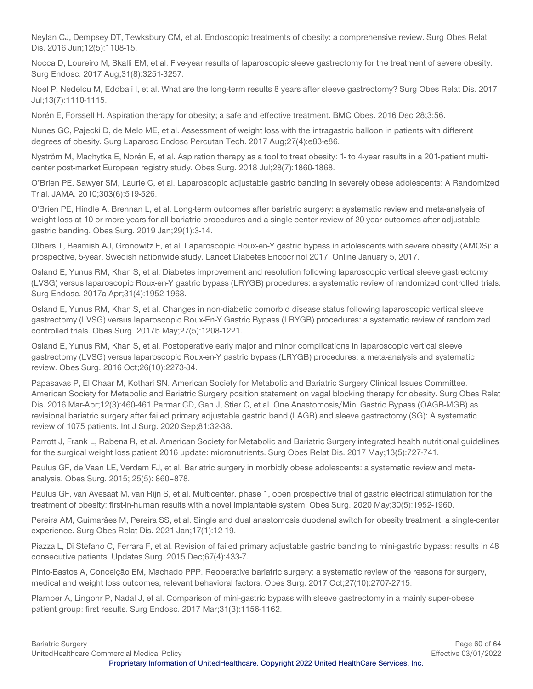Neylan CJ, Dempsey DT, Tewksbury CM, et al. Endoscopic treatments of obesity: a comprehensive review. Surg Obes Relat Dis. 2016 Jun;12(5):1108-15.

Nocca D, Loureiro M, Skalli EM, et al. Five-year results of laparoscopic sleeve gastrectomy for the treatment of severe obesity. Surg Endosc. 2017 Aug;31(8):3251-3257.

Noel P, Nedelcu M, Eddbali I, et al. What are the long-term results 8 years after sleeve gastrectomy? Surg Obes Relat Dis. 2017 Jul;13(7):1110-1115.

Norén E, Forssell H. Aspiration therapy for obesity; a safe and effective treatment. BMC Obes. 2016 Dec 28;3:56.

Nunes GC, Pajecki D, de Melo ME, et al. Assessment of weight loss with the intragastric balloon in patients with different degrees of obesity. Surg Laparosc Endosc Percutan Tech. 2017 Aug;27(4):e83-e86.

Nyström M, Machytka E, Norén E, et al. Aspiration therapy as a tool to treat obesity: 1- to 4-year results in a 201-patient multicenter post-market European registry study. Obes Surg. 2018 Jul;28(7):1860-1868.

O'Brien PE, Sawyer SM, Laurie C, et al. Laparoscopic adjustable gastric banding in severely obese adolescents: A Randomized Trial. JAMA. 2010;303(6):519-526.

O'Brien PE, Hindle A, Brennan L, et al. Long-term outcomes after bariatric surgery: a systematic review and meta-analysis of weight loss at 10 or more years for all bariatric procedures and a single-center review of 20-year outcomes after adjustable gastric banding. Obes Surg. 2019 Jan;29(1):3-14.

Olbers T, Beamish AJ, Gronowitz E, et al. Laparoscopic Roux-en-Y gastric bypass in adolescents with severe obesity (AMOS): a prospective, 5-year, Swedish nationwide study. Lancet Diabetes Encocrinol 2017. Online January 5, 2017.

Osland E, Yunus RM, Khan S, et al. Diabetes improvement and resolution following laparoscopic vertical sleeve gastrectomy (LVSG) versus laparoscopic Roux-en-Y gastric bypass (LRYGB) procedures: a systematic review of randomized controlled trials. Surg Endosc. 2017a Apr;31(4):1952-1963.

Osland E, Yunus RM, Khan S, et al. Changes in non-diabetic comorbid disease status following laparoscopic vertical sleeve gastrectomy (LVSG) versus laparoscopic Roux-En-Y Gastric Bypass (LRYGB) procedures: a systematic review of randomized controlled trials. Obes Surg. 2017b May;27(5):1208-1221.

Osland E, Yunus RM, Khan S, et al. Postoperative early major and minor complications in laparoscopic vertical sleeve gastrectomy (LVSG) versus laparoscopic Roux-en-Y gastric bypass (LRYGB) procedures: a meta-analysis and systematic review. Obes Surg. 2016 Oct;26(10):2273-84.

Papasavas P, El Chaar M, Kothari SN. American Society for Metabolic and Bariatric Surgery Clinical Issues Committee. American Society for Metabolic and Bariatric Surgery position statement on vagal blocking therapy for obesity. Surg Obes Relat Dis. 2016 Mar-Apr;12(3):460-461.Parmar CD, Gan J, Stier C, et al. One Anastomosis/Mini Gastric Bypass (OAGB-MGB) as revisional bariatric surgery after failed primary adjustable gastric band (LAGB) and sleeve gastrectomy (SG): A systematic review of 1075 patients. Int J Surg. 2020 Sep;81:32-38.

Parrott J, Frank L, Rabena R, et al. American Society for Metabolic and Bariatric Surgery integrated health nutritional guidelines for the surgical weight loss patient 2016 update: micronutrients. Surg Obes Relat Dis. 2017 May;13(5):727-741.

Paulus GF, de Vaan LE, Verdam FJ, et al. Bariatric surgery in morbidly obese adolescents: a systematic review and metaanalysis. Obes Surg. 2015; 25(5): 860–878.

Paulus GF, van Avesaat M, van Rijn S, et al. Multicenter, phase 1, open prospective trial of gastric electrical stimulation for the treatment of obesity: first-in-human results with a novel implantable system. Obes Surg. 2020 May;30(5):1952-1960.

Pereira AM, Guimarães M, Pereira SS, et al. Single and dual anastomosis duodenal switch for obesity treatment: a single-center experience. Surg Obes Relat Dis. 2021 Jan;17(1):12-19.

Piazza L, Di Stefano C, Ferrara F, et al. Revision of failed primary adjustable gastric banding to mini-gastric bypass: results in 48 consecutive patients. Updates Surg. 2015 Dec;67(4):433-7.

Pinto-Bastos A, Conceição EM, Machado PPP. Reoperative bariatric surgery: a systematic review of the reasons for surgery, medical and weight loss outcomes, relevant behavioral factors. Obes Surg. 2017 Oct;27(10):2707-2715.

Plamper A, Lingohr P, Nadal J, et al. Comparison of mini-gastric bypass with sleeve gastrectomy in a mainly super-obese patient group: first results. Surg Endosc. 2017 Mar;31(3):1156-1162.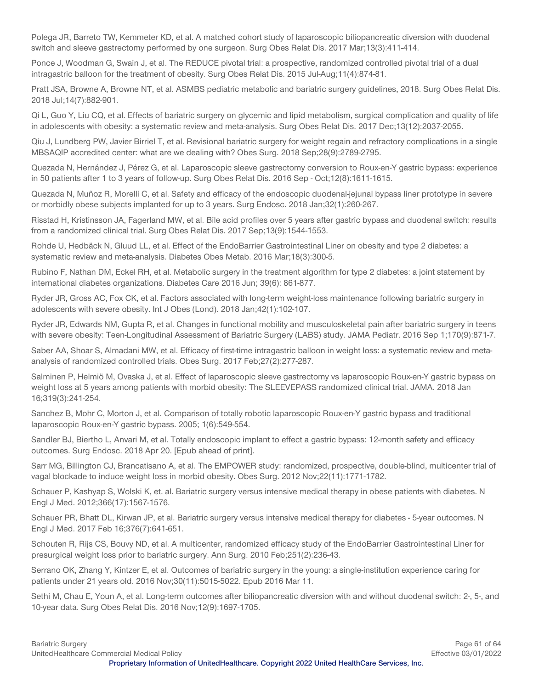Polega JR, Barreto TW, Kemmeter KD, et al. A matched cohort study of laparoscopic biliopancreatic diversion with duodenal switch and sleeve gastrectomy performed by one surgeon. Surg Obes Relat Dis. 2017 Mar;13(3):411-414.

Ponce J, Woodman G, Swain J, et al. The REDUCE pivotal trial: a prospective, randomized controlled pivotal trial of a dual intragastric balloon for the treatment of obesity. Surg Obes Relat Dis. 2015 Jul-Aug;11(4):874-81.

Pratt JSA, Browne A, Browne NT, et al. ASMBS pediatric metabolic and bariatric surgery guidelines, 2018. Surg Obes Relat Dis. 2018 Jul;14(7):882-901.

Qi L, Guo Y, Liu CQ, et al. Effects of bariatric surgery on glycemic and lipid metabolism, surgical complication and quality of life in adolescents with obesity: a systematic review and meta-analysis. Surg Obes Relat Dis. 2017 Dec;13(12):2037-2055.

Qiu J, Lundberg PW, Javier Birriel T, et al. Revisional bariatric surgery for weight regain and refractory complications in a single MBSAQIP accredited center: what are we dealing with? Obes Surg. 2018 Sep;28(9):2789-2795.

Quezada N, Hernández J, Pérez G, et al. Laparoscopic sleeve gastrectomy conversion to Roux-en-Y gastric bypass: experience in 50 patients after 1 to 3 years of follow-up. Surg Obes Relat Dis. 2016 Sep - Oct;12(8):1611-1615.

Quezada N, Muñoz R, Morelli C, et al. Safety and efficacy of the endoscopic duodenal-jejunal bypass liner prototype in severe or morbidly obese subjects implanted for up to 3 years. Surg Endosc. 2018 Jan;32(1):260-267.

Risstad H, Kristinsson JA, Fagerland MW, et al. Bile acid profiles over 5 years after gastric bypass and duodenal switch: results from a randomized clinical trial. Surg Obes Relat Dis. 2017 Sep;13(9):1544-1553.

Rohde U, Hedbäck N, Gluud LL, et al. Effect of the EndoBarrier Gastrointestinal Liner on obesity and type 2 diabetes: a systematic review and meta-analysis. Diabetes Obes Metab. 2016 Mar;18(3):300-5.

Rubino F, Nathan DM, Eckel RH, et al. Metabolic surgery in the treatment algorithm for type 2 diabetes: a joint statement by international diabetes organizations. Diabetes Care 2016 Jun; 39(6): 861-877.

Ryder JR, Gross AC, Fox CK, et al. Factors associated with long-term weight-loss maintenance following bariatric surgery in adolescents with severe obesity. Int J Obes (Lond). 2018 Jan;42(1):102-107.

Ryder JR, Edwards NM, Gupta R, et al. Changes in functional mobility and musculoskeletal pain after bariatric surgery in teens with severe obesity: Teen-Longitudinal Assessment of Bariatric Surgery (LABS) study. JAMA Pediatr. 2016 Sep 1;170(9):871-7.

Saber AA, Shoar S, Almadani MW, et al. Efficacy of first-time intragastric balloon in weight loss: a systematic review and metaanalysis of randomized controlled trials. Obes Surg. 2017 Feb;27(2):277-287.

Salminen P, Helmiö M, Ovaska J, et al. Effect of laparoscopic sleeve gastrectomy vs laparoscopic Roux-en-Y gastric bypass on weight loss at 5 years among patients with morbid obesity: The SLEEVEPASS randomized clinical trial. JAMA. 2018 Jan 16;319(3):241-254.

Sanchez B, Mohr C, Morton J, et al. Comparison of totally robotic laparoscopic Roux-en-Y gastric bypass and traditional laparoscopic Roux-en-Y gastric bypass. 2005; 1(6):549-554.

Sandler BJ, Biertho L, Anvari M, et al. Totally endoscopic implant to effect a gastric bypass: 12-month safety and efficacy outcomes. Surg Endosc. 2018 Apr 20. [Epub ahead of print].

Sarr MG, Billington CJ, Brancatisano A, et al. The EMPOWER study: randomized, prospective, double-blind, multicenter trial of vagal blockade to induce weight loss in morbid obesity. Obes Surg. 2012 Nov;22(11):1771-1782.

Schauer P, Kashyap S, Wolski K, et. al. Bariatric surgery versus intensive medical therapy in obese patients with diabetes. N Engl J Med. 2012;366(17):1567-1576.

Schauer PR, Bhatt DL, Kirwan JP, et al. Bariatric surgery versus intensive medical therapy for diabetes - 5-year outcomes. N Engl J Med. 2017 Feb 16;376(7):641-651.

Schouten R, Rijs CS, Bouvy ND, et al. A multicenter, randomized efficacy study of the EndoBarrier Gastrointestinal Liner for presurgical weight loss prior to bariatric surgery. Ann Surg. 2010 Feb;251(2):236-43.

Serrano OK, Zhang Y, Kintzer E, et al. Outcomes of bariatric surgery in the young: a single-institution experience caring for patients under 21 years old. 2016 Nov;30(11):5015-5022. Epub 2016 Mar 11.

Sethi M, Chau E, Youn A, et al. Long-term outcomes after biliopancreatic diversion with and without duodenal switch: 2-, 5-, and 10-year data. Surg Obes Relat Dis. 2016 Nov;12(9):1697-1705.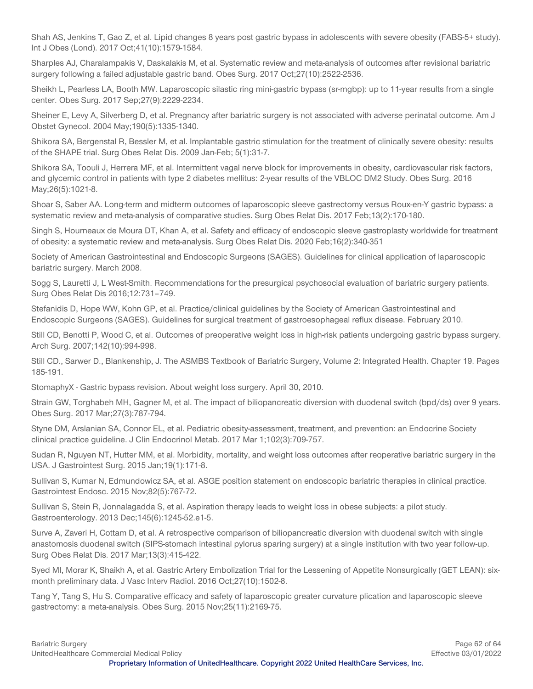Shah AS, Jenkins T, Gao Z, et al. Lipid changes 8 years post gastric bypass in adolescents with severe obesity (FABS-5+ study). Int J Obes (Lond). 2017 Oct;41(10):1579-1584.

Sharples AJ, Charalampakis V, Daskalakis M, et al. Systematic review and meta-analysis of outcomes after revisional bariatric surgery following a failed adjustable gastric band. Obes Surg. 2017 Oct;27(10):2522-2536.

Sheikh L, Pearless LA, Booth MW. Laparoscopic silastic ring mini-gastric bypass (sr-mgbp): up to 11-year results from a single center. Obes Surg. 2017 Sep;27(9):2229-2234.

Sheiner E, Levy A, Silverberg D, et al. Pregnancy after bariatric surgery is not associated with adverse perinatal outcome. Am J Obstet Gynecol. 2004 May;190(5):1335-1340.

Shikora SA, Bergenstal R, Bessler M, et al. Implantable gastric stimulation for the treatment of clinically severe obesity: results of the SHAPE trial. Surg Obes Relat Dis. 2009 Jan-Feb; 5(1):31-7.

Shikora SA, Toouli J, Herrera MF, et al. Intermittent vagal nerve block for improvements in obesity, cardiovascular risk factors, and glycemic control in patients with type 2 diabetes mellitus: 2-year results of the VBLOC DM2 Study. Obes Surg. 2016 May;26(5):1021-8.

Shoar S, Saber AA. Long-term and midterm outcomes of laparoscopic sleeve gastrectomy versus Roux-en-Y gastric bypass: a systematic review and meta-analysis of comparative studies. Surg Obes Relat Dis. 2017 Feb;13(2):170-180.

Singh S, Hourneaux de Moura DT, Khan A, et al. Safety and efficacy of endoscopic sleeve gastroplasty worldwide for treatment of obesity: a systematic review and meta-analysis. Surg Obes Relat Dis. 2020 Feb;16(2):340-351

Society of American Gastrointestinal and Endoscopic Surgeons (SAGES). Guidelines for clinical application of laparoscopic bariatric surgery. March 2008.

Sogg S, Lauretti J, L West-Smith. Recommendations for the presurgical psychosocial evaluation of bariatric surgery patients. Surg Obes Relat Dis 2016;12:731–749.

Stefanidis D, Hope WW, Kohn GP, et al. Practice/clinical guidelines by the Society of American Gastrointestinal and Endoscopic Surgeons (SAGES). Guidelines for surgical treatment of gastroesophageal reflux disease. February 2010.

Still CD, Benotti P, Wood C, et al. Outcomes of preoperative weight loss in high-risk patients undergoing gastric bypass surgery. Arch Surg. 2007;142(10):994-998.

Still CD., Sarwer D., Blankenship, J. The ASMBS Textbook of Bariatric Surgery, Volume 2: Integrated Health. Chapter 19. Pages 185-191.

StomaphyX - Gastric bypass revision. About weight loss surgery. April 30, 2010.

Strain GW, Torghabeh MH, Gagner M, et al. The impact of biliopancreatic diversion with duodenal switch (bpd/ds) over 9 years. Obes Surg. 2017 Mar;27(3):787-794.

Styne DM, Arslanian SA, Connor EL, et al. Pediatric obesity-assessment, treatment, and prevention: an Endocrine Society clinical practice guideline. J Clin Endocrinol Metab. 2017 Mar 1;102(3):709-757.

Sudan R, Nguyen NT, Hutter MM, et al. Morbidity, mortality, and weight loss outcomes after reoperative bariatric surgery in the USA. J Gastrointest Surg. 2015 Jan;19(1):171-8.

Sullivan S, Kumar N, Edmundowicz SA, et al. ASGE position statement on endoscopic bariatric therapies in clinical practice. Gastrointest Endosc. 2015 Nov;82(5):767-72.

Sullivan S, Stein R, Jonnalagadda S, et al. Aspiration therapy leads to weight loss in obese subjects: a pilot study. Gastroenterology. 2013 Dec;145(6):1245-52.e1-5.

Surve A, Zaveri H, Cottam D, et al. A retrospective comparison of biliopancreatic diversion with duodenal switch with single anastomosis duodenal switch (SIPS-stomach intestinal pylorus sparing surgery) at a single institution with two year follow-up. Surg Obes Relat Dis. 2017 Mar;13(3):415-422.

Syed MI, Morar K, Shaikh A, et al. Gastric Artery Embolization Trial for the Lessening of Appetite Nonsurgically (GET LEAN): sixmonth preliminary data. J Vasc Interv Radiol. 2016 Oct;27(10):1502-8.

Tang Y, Tang S, Hu S. Comparative efficacy and safety of laparoscopic greater curvature plication and laparoscopic sleeve gastrectomy: a meta-analysis. Obes Surg. 2015 Nov;25(11):2169-75.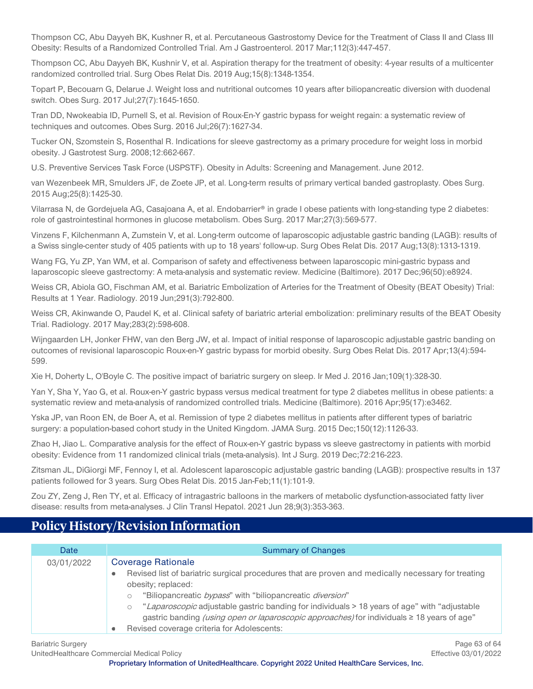Thompson CC, Abu Dayyeh BK, Kushner R, et al. Percutaneous Gastrostomy Device for the Treatment of Class II and Class III Obesity: Results of a Randomized Controlled Trial. Am J Gastroenterol. 2017 Mar;112(3):447-457.

Thompson CC, Abu Dayyeh BK, Kushnir V, et al. Aspiration therapy for the treatment of obesity: 4-year results of a multicenter randomized controlled trial. Surg Obes Relat Dis. 2019 Aug;15(8):1348-1354.

Topart P, Becouarn G, Delarue J. Weight loss and nutritional outcomes 10 years after biliopancreatic diversion with duodenal switch. Obes Surg. 2017 Jul;27(7):1645-1650.

Tran DD, Nwokeabia ID, Purnell S, et al. Revision of Roux-En-Y gastric bypass for weight regain: a systematic review of techniques and outcomes. Obes Surg. 2016 Jul;26(7):1627-34.

Tucker ON, Szomstein S, Rosenthal R. Indications for sleeve gastrectomy as a primary procedure for weight loss in morbid obesity. J Gastrotest Surg. 2008;12:662-667.

U.S. Preventive Services Task Force (USPSTF). Obesity in Adults: Screening and Management. June 2012.

van Wezenbeek MR, Smulders JF, de Zoete JP, et al. Long-term results of primary vertical banded gastroplasty. Obes Surg. 2015 Aug;25(8):1425-30.

Vilarrasa N, de Gordejuela AG, Casajoana A, et al. Endobarrier® in grade I obese patients with long-standing type 2 diabetes: role of gastrointestinal hormones in glucose metabolism. Obes Surg. 2017 Mar;27(3):569-577.

Vinzens F, Kilchenmann A, Zumstein V, et al. Long-term outcome of laparoscopic adjustable gastric banding (LAGB): results of a Swiss single-center study of 405 patients with up to 18 years' follow-up. Surg Obes Relat Dis. 2017 Aug;13(8):1313-1319.

Wang FG, Yu ZP, Yan WM, et al. Comparison of safety and effectiveness between laparoscopic mini-gastric bypass and laparoscopic sleeve gastrectomy: A meta-analysis and systematic review. Medicine (Baltimore). 2017 Dec;96(50):e8924.

Weiss CR, Abiola GO, Fischman AM, et al. Bariatric Embolization of Arteries for the Treatment of Obesity (BEAT Obesity) Trial: Results at 1 Year. Radiology. 2019 Jun;291(3):792-800.

Weiss CR, Akinwande O, Paudel K, et al. Clinical safety of bariatric arterial embolization: preliminary results of the BEAT Obesity Trial. Radiology. 2017 May;283(2):598-608.

Wijngaarden LH, Jonker FHW, van den Berg JW, et al. Impact of initial response of laparoscopic adjustable gastric banding on outcomes of revisional laparoscopic Roux-en-Y gastric bypass for morbid obesity. Surg Obes Relat Dis. 2017 Apr;13(4):594- 599.

Xie H, Doherty L, O'Boyle C. The positive impact of bariatric surgery on sleep. Ir Med J. 2016 Jan;109(1):328-30.

Yan Y, Sha Y, Yao G, et al. Roux-en-Y gastric bypass versus medical treatment for type 2 diabetes mellitus in obese patients: a systematic review and meta-analysis of randomized controlled trials. Medicine (Baltimore). 2016 Apr;95(17):e3462.

Yska JP, van Roon EN, de Boer A, et al. Remission of type 2 diabetes mellitus in patients after different types of bariatric surgery: a population-based cohort study in the United Kingdom. JAMA Surg. 2015 Dec;150(12):1126-33.

Zhao H, Jiao L. Comparative analysis for the effect of Roux-en-Y gastric bypass vs sleeve gastrectomy in patients with morbid obesity: Evidence from 11 randomized clinical trials (meta-analysis). Int J Surg. 2019 Dec;72:216-223.

Zitsman JL, DiGiorgi MF, Fennoy I, et al. Adolescent laparoscopic adjustable gastric banding (LAGB): prospective results in 137 patients followed for 3 years. Surg Obes Relat Dis. 2015 Jan-Feb;11(1):101-9.

Zou ZY, Zeng J, Ren TY, et al. Efficacy of intragastric balloons in the markers of metabolic dysfunction-associated fatty liver disease: results from meta-analyses. J Clin Transl Hepatol. 2021 Jun 28;9(3):353-363.

# <span id="page-62-0"></span>**Policy History/Revision Information**

| Date       | <b>Summary of Changes</b>                                                                                                                                                                                                                                                                                                                                                                                                                                                                        |
|------------|--------------------------------------------------------------------------------------------------------------------------------------------------------------------------------------------------------------------------------------------------------------------------------------------------------------------------------------------------------------------------------------------------------------------------------------------------------------------------------------------------|
| 03/01/2022 | <b>Coverage Rationale</b><br>Revised list of bariatric surgical procedures that are proven and medically necessary for treating<br>$\bullet$<br>obesity; replaced:<br>"Biliopancreatic <i>bypass</i> " with "biliopancreatic <i>diversion</i> "<br>"Laparoscopic adjustable gastric banding for individuals > 18 years of age" with "adjustable<br>gastric banding (using open or laparoscopic approaches) for individuals ≥ 18 years of age"<br>Revised coverage criteria for Adolescents:<br>٠ |

UnitedHealthcare Commercial Medical Policy Effective 03/01/2022